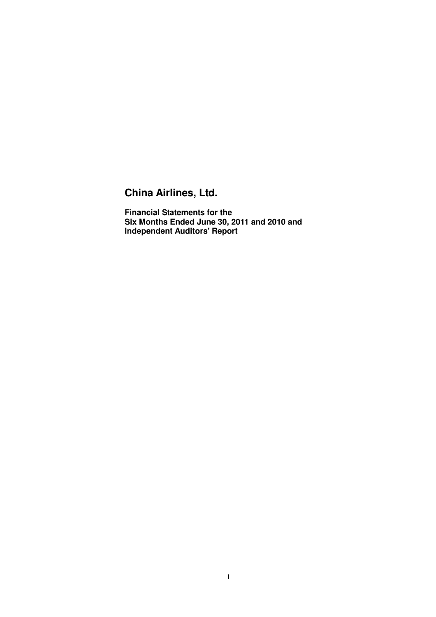### **China Airlines, Ltd.**

 **Financial Statements for the Six Months Ended June 30, 2011 and 2010 and Independent Auditors' Report**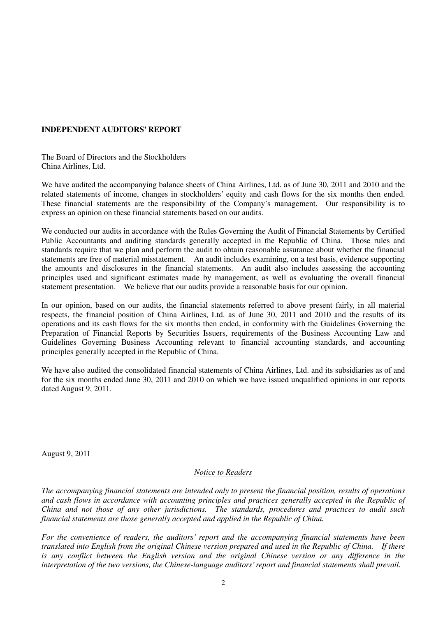### **INDEPENDENT AUDITORS' REPORT**

 The Board of Directors and the Stockholders China Airlines, Ltd.

 We have audited the accompanying balance sheets of China Airlines, Ltd. as of June 30, 2011 and 2010 and the related statements of income, changes in stockholders' equity and cash flows for the six months then ended. These financial statements are the responsibility of the Company's management. Our responsibility is to express an opinion on these financial statements based on our audits.

 We conducted our audits in accordance with the Rules Governing the Audit of Financial Statements by Certified Public Accountants and auditing standards generally accepted in the Republic of China. Those rules and standards require that we plan and perform the audit to obtain reasonable assurance about whether the financial statements are free of material misstatement. An audit includes examining, on a test basis, evidence supporting the amounts and disclosures in the financial statements. An audit also includes assessing the accounting principles used and significant estimates made by management, as well as evaluating the overall financial statement presentation. We believe that our audits provide a reasonable basis for our opinion.

 In our opinion, based on our audits, the financial statements referred to above present fairly, in all material respects, the financial position of China Airlines, Ltd. as of June 30, 2011 and 2010 and the results of its operations and its cash flows for the six months then ended, in conformity with the Guidelines Governing the Preparation of Financial Reports by Securities Issuers, requirements of the Business Accounting Law and Guidelines Governing Business Accounting relevant to financial accounting standards, and accounting principles generally accepted in the Republic of China.

 We have also audited the consolidated financial statements of China Airlines, Ltd. and its subsidiaries as of and for the six months ended June 30, 2011 and 2010 on which we have issued unqualified opinions in our reports dated August 9, 2011.

August 9, 2011

### *Notice to Readers*

 *The accompanying financial statements are intended only to present the financial position, results of operations*  and cash flows in accordance with accounting principles and practices generally accepted in the Republic of  *China and not those of any other jurisdictions. The standards, procedures and practices to audit such financial statements are those generally accepted and applied in the Republic of China.* 

For the convenience of readers, the auditors' report and the accompanying financial statements have been  *translated into English from the original Chinese version prepared and used in the Republic of China. If there is any conflict between the English version and the original Chinese version or any difference in the interpretation of the two versions, the Chinese-language auditors' report and financial statements shall prevail.*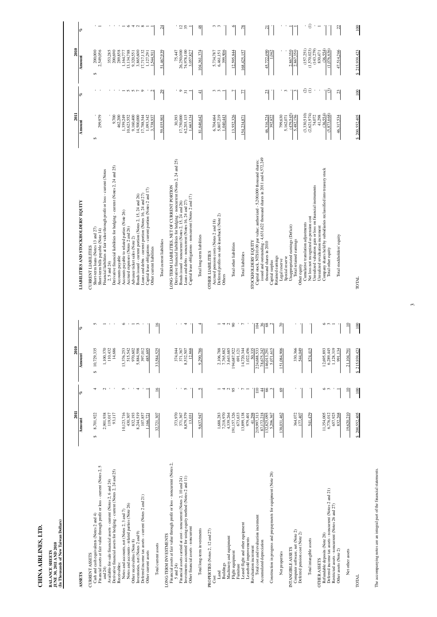CHINA AIRLINES, LTD.

| <b>CURRENT ASSETS</b><br><b>ASSETS</b>                                                                                                                               |                                                                                                                                                                                                                                                                                                                                                                                                                                                  |
|----------------------------------------------------------------------------------------------------------------------------------------------------------------------|--------------------------------------------------------------------------------------------------------------------------------------------------------------------------------------------------------------------------------------------------------------------------------------------------------------------------------------------------------------------------------------------------------------------------------------------------|
|                                                                                                                                                                      |                                                                                                                                                                                                                                                                                                                                                                                                                                                  |
| Inventories, net (Notes 2 and 9)<br>Other receivables (Note 8)<br>Other current assets<br>Receivables:<br>24)<br>and                                                 | S<br>Financial assets at fair value through profit or loss - current (Notes 2,<br>ົດ<br>$\alpha$<br>Derivative financial assets for hedging - current (Notes 2, 24 and<br>Available-for-sale financial assets - current (Notes 2, 6 and 24)<br>Deferred income tax assets - current (Notes 2 and 21)<br>Notes and accounts, net (Notes 2, 3 and 7)<br>Notes and accounts - related parties (Note 26)<br>ash and cash equivalents (Notes 2 and 4) |
| Total current assets                                                                                                                                                 |                                                                                                                                                                                                                                                                                                                                                                                                                                                  |
| Other financial assets - noncurrent<br>LONG-TERM INVESTMENTS<br>5 and $24$ )                                                                                         | Financial assets at fair value through profit or loss - noncurrent (Notes 2,<br>Investments accounted for using equity method (Notes 2 and 11)<br>Financial assets carried at cost - noncurrent (Notes 2, 10 and 24)                                                                                                                                                                                                                             |
| Total long-term investments                                                                                                                                          |                                                                                                                                                                                                                                                                                                                                                                                                                                                  |
| Leased flight and other equipment<br>PROPERTIES (Notes 2, 12 and 27)<br>Machinery and equipment<br>Flight equipment<br><b>Buildings</b><br>Furniture<br>Land<br>Cost |                                                                                                                                                                                                                                                                                                                                                                                                                                                  |
| easehold improvements<br>Accumulated depreciation<br>Revaluation increment                                                                                           | Total cost and revaluation increment                                                                                                                                                                                                                                                                                                                                                                                                             |
|                                                                                                                                                                      | Construction in progress and prepayments for equipment (Note 28)                                                                                                                                                                                                                                                                                                                                                                                 |
| Deferred pension cost (Note 2)<br>computer software, net (Note<br>INTANGIBLE ASSETS<br>Net properties                                                                | <u>ද</u>                                                                                                                                                                                                                                                                                                                                                                                                                                         |
| Total intangible assets                                                                                                                                              |                                                                                                                                                                                                                                                                                                                                                                                                                                                  |
| Refundable deposits (Note 28)<br>Other assets (Note 2)<br>OTHER ASSETS                                                                                               | Deferred income tax assets - noncurrent (Notes 2 and 21)<br>Restricted assets - noncurrent (Notes 26 and 27)                                                                                                                                                                                                                                                                                                                                     |
| Net other assets                                                                                                                                                     |                                                                                                                                                                                                                                                                                                                                                                                                                                                  |
| TOTAL                                                                                                                                                                |                                                                                                                                                                                                                                                                                                                                                                                                                                                  |

|                                                                                                                                                      | 2011                    |                  | 2010                    |                     |                                                                                                                                      | <b>2011</b>              |                 | 2010                      |                          |
|------------------------------------------------------------------------------------------------------------------------------------------------------|-------------------------|------------------|-------------------------|---------------------|--------------------------------------------------------------------------------------------------------------------------------------|--------------------------|-----------------|---------------------------|--------------------------|
| ASSETS                                                                                                                                               | Amount                  | o                | Amount                  | o                   | <b>LIABILITIES AND STOCKHOLDERS' EQUITY</b>                                                                                          | Amount                   | o               | Amount                    | o                        |
| 5<br>Financial assets at fair value through profit or loss - current (Notes 2,<br>Cash and cash equivalents (Notes 2 and 4)<br><b>CURRENT ASSETS</b> | 8,701,922<br>S          | 4                | 10,729,335<br>$\Theta$  | 5                   | Short-term loans (Notes 13 and 27)<br>Short-term bills payable (Note 14)<br><b>TTIES</b><br><b>CURRENT LIABIL</b>                    | 299,979<br>S             |                 | 200,000<br>2,549,056<br>↮ |                          |
| and $24$                                                                                                                                             | 2,901,938               | $\mathcal{L}$    | 1,100,370               |                     | Financial liabilities at fair value through profit or loss - current (Notes                                                          |                          |                 |                           |                          |
| 24 and 25)<br>Available-for-sale financial assets - current (Notes 2, 6 and 24)<br>Derivative financial assets for hedging - current (Notes 2,       | 119,017<br>93,117       | J.               | 110,432<br>14,686       |                     | Derivative financial liabilities for hedging - current (Notes 2, 24 and 25)<br>$2, 5$ and $24$ )                                     | 9,700                    |                 | 353,285<br>200,690        |                          |
| Notes and accounts, net (Notes 2, 3 and 7)<br>Receivables:                                                                                           | 10,123,716              | 5                | 13,376,253              | ৩                   | to related parties (Note 26)<br>Accounts payable<br>Accounts payable                                                                 | 462,200<br>1,359,249     |                 | 289,858<br>1,164,77       |                          |
| Notes and accounts - related parties (Note 26)                                                                                                       | 430,307                 |                  | 515,542                 |                     | (Notes 2 and 26)<br>Accrued expenses                                                                                                 | 10,623,552               |                 | 13,134,788                |                          |
| Other receivables (Note 8)                                                                                                                           | 832,193                 |                  | 970,602                 |                     | es (Note 2)<br>Advance ticket sal                                                                                                    | 9,160,400                | $-500$          | 9,320,551                 |                          |
| Deferred income tax assets - current (Notes 2 and 21)<br>Inventories, net (Notes 2 and 9)                                                            | 8,244,519<br>107,857    | 4                | 5,884,598<br>397,012    | $\epsilon$          | Loans and debts - current portion (Notes 16, 24 and 27)<br>Bonds issued - current portion (Notes 2, 15, 24 and 26)                   | 14,500,000<br>17,788,544 | $\circ$         | 3,865,600<br>17,717,132   | $-0$ 4 $\alpha$ $\infty$ |
| Other current assets                                                                                                                                 | 1,166,72                |                  | 485,695                 |                     | Capital lease obligations - current portion (Notes 2 and 17)                                                                         | 1,093,342                |                 | 1,127,291                 |                          |
| Total current assets                                                                                                                                 | 32,721,307              | $\overline{16}$  | 33,584,525              | $\overline{16}$     | Other current liabilities                                                                                                            | 3,738,937                | $\sim$          | 1,544,911                 |                          |
| LONG-TERM INVESTMENTS                                                                                                                                |                         |                  |                         |                     | Total current liabilities                                                                                                            | 59,035,903               | 29              | 51,467,939                | $\overline{c}$           |
| Financial assets at fair value through profit or loss - noncurrent (Notes 2,                                                                         |                         |                  |                         |                     | LONG-TERM LIABILITIES, NET OF CURRENT PORTION                                                                                        |                          |                 |                           |                          |
| Financial assets carried at cost - noncurrent (Notes 2, 10 and 24)<br>5 and 24)                                                                      | 373,970<br>371,367      |                  | 374,044<br>371,367      |                     | Derivative financial liabilities for hedging - noncurrent (Notes 2, 24 and 25)<br>Bonds issued - noncurrent (Notes 2, 15, 24 and 26) | 30,393<br>17,750,000     | $\circ$         | 26,250,000<br>75,447      |                          |
| and $11$ )<br>Investments accounted for using equity method (Notes 2                                                                                 | 8,879,579               | S                | 8,532,507               | 4                   | noncurrent (Notes 16, 24 and 27)<br>Loans and debts -                                                                                | 62,203,115               | $\overline{31}$ | 74,978,100                | 12 <sub>35</sub>         |
| Other financial assets - noncurrent                                                                                                                  | 13,031                  |                  | 12,868                  |                     | Capital lease obligations - noncurrent (Notes 2 and 17)                                                                              | 1,663,134                |                 | 3,057,827                 |                          |
| Total long-term investments                                                                                                                          | 9,637,947               | 5                | 9,290,786               | 4                   | Total long-term liabilities                                                                                                          | 81,646,642               | $\overline{4}$  | 104,361,374               | 48                       |
| PROPERTIES (Notes 2, 12 and 27)                                                                                                                      |                         |                  |                         |                     | <b>OTHER LIABILITIES</b>                                                                                                             |                          |                 |                           |                          |
| Land<br>Cost                                                                                                                                         | 1,688,283               |                  | 2,106,788               |                     | Deferred profits on sale-leaseback (Note 2)<br>Accrued pension costs (Notes 2 and 18)                                                | 5,807,219<br>6,704,664   | ო ო             | 5,734,787<br>6,461,151    | ოო                       |
| <b>Buildings</b>                                                                                                                                     | 7,218,970               |                  | 7,765,882               |                     | Others                                                                                                                               | 1,040,443                |                 | 399,906                   |                          |
| Machinery and equipment                                                                                                                              | 4,339,264               | 4 U              | 3,643,685               | 4 U                 |                                                                                                                                      |                          |                 |                           |                          |
| Flight equipment<br>Furniture                                                                                                                        | 191,157,326<br>673,633  | 95               | 194,687,922<br>691,121  | $\infty$            | Total other liabilities                                                                                                              | 13,552,326               |                 | 12,595,844                | ७                        |
| Leased flight and other equipment                                                                                                                    | 13,899,138              |                  | 14,720,344              |                     | Total liabilities                                                                                                                    | 154,234,871              | 77              | 168,425,157               | 78                       |
| Leasehold improvements                                                                                                                               | 979,401                 |                  | 1,022,456               |                     | EQUITY                                                                                                                               |                          |                 |                           |                          |
| Total cost and revaluation increment<br>Revaluation increment                                                                                        | 41,298<br>219,997,313   | $\overline{110}$ | 224,688,533<br>50,335   | 104                 | Capital stock, NT\$10.00 par value; authorized - 5,200,000 thousand shares;<br><b>STOCKHOLDERS</b>                                   |                          |                 |                           |                          |
| Accumulated depreciation                                                                                                                             | 87,172,218              | 4                | 78,675,242              | 36                  | issued and outstanding - 4,631,622 thousand shares in 2011 and 4,572,249                                                             |                          |                 |                           |                          |
|                                                                                                                                                      | 132,825,095             | $\delta$         | 146,013,291             | $\frac{8}{3}$       | in 2010<br>thousand shares                                                                                                           | 46,316,224               | 23              | 45.722.490                | $\overline{21}$          |
| Construction in progress and prepayments for equipment (Note 28)                                                                                     | 5,206,367               |                  | 5,071,615               |                     | Retained earnings<br>Capital surplus                                                                                                 | 392,822                  |                 | ,062                      |                          |
| Net properties                                                                                                                                       | 138.031.462             | $^{\circ}$       | 151,084,906             | $\sqrt{2}$          | Legal reserve                                                                                                                        | 799,630                  |                 |                           |                          |
|                                                                                                                                                      |                         |                  |                         |                     | Special reserve                                                                                                                      | 5,162,071                | $\omega$        |                           |                          |
| Computer software, net (Note 2)<br>INTANGIBLE ASSETS                                                                                                 | 364,072                 |                  | 330,366                 |                     | earnings (Deficit)<br>Total retained earnings<br>Unappropriated                                                                      | (479.545)<br>5,482,156   | 3               | 2.867.350<br>2,867,350    |                          |
| Deferred pension cost (Note 2)                                                                                                                       | 177,407                 |                  | 544,049                 |                     | Other equity                                                                                                                         |                          |                 |                           |                          |
|                                                                                                                                                      |                         |                  |                         |                     | Cumulative translation adjustments                                                                                                   | (3,330,510)              | $\odot$         | (157,251)                 |                          |
| Total intangible assets                                                                                                                              | 541,479                 |                  | 874,415                 |                     | Unrealized valuation gain or loss on financial instruments<br>Net loss not recognized as pension cost                                | (2,621,974)<br>74,072    | $\widehat{\Xi}$ | (1,570,023)<br>(143,279)  | $\widehat{\Xi}$<br>1     |
| <b>OTHER ASSETS</b>                                                                                                                                  |                         |                  |                         |                     | Unrealized revaluation increment                                                                                                     | 41,298                   |                 | 830,471                   | $\overline{ }$           |
| Deferred income tax assets - noncurrent (Notes 2 and 21)<br>Refundable deposits (Note 28)                                                            | 11,354,005<br>6,776,012 | $\circ$<br>3     | 12,695,893<br>6,289,445 | ७<br>$\mathfrak{c}$ | Company shares held by subsidiaries reclassified into treasury stock<br>Total other equity                                           | (36, 554)<br>(5,873,668) | ලු              | (36,554)<br>(1,076,636)   |                          |
| Restricted assets - noncurrent (Notes 26 and 27)                                                                                                     | 657,925                 |                  | 1,128,319               |                     |                                                                                                                                      |                          |                 |                           |                          |
| Other assets (Note 2)                                                                                                                                | 832,268                 |                  | 991,134                 |                     | Total stockholders' equity                                                                                                           | 46,317,534               | 23              | 47,514,266                | 22                       |
| Net other assets                                                                                                                                     | 19,620,210              | $\overline{10}$  | 21,104,79               | $\overline{10}$     |                                                                                                                                      |                          |                 |                           |                          |
| <b>TOTAL</b>                                                                                                                                         | \$200,552,405           | 100              | \$215,939,423           | 100                 | TOTAL                                                                                                                                | \$200,552,405            | $100\,$         | \$215,939,423             | 100                      |

 $\tilde{3}$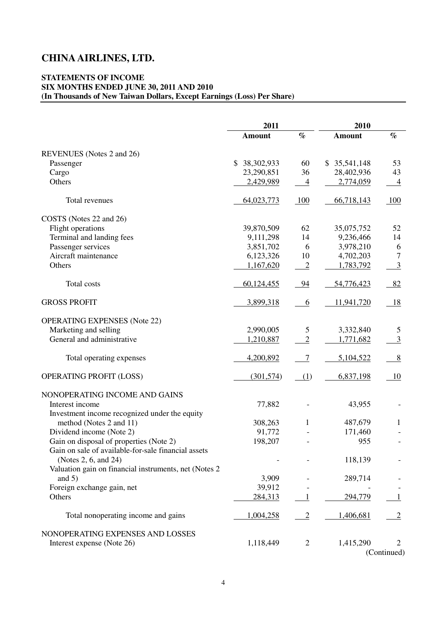### **STATEMENTS OF INCOME (In Thousands of New Taiwan Dollars, Except Earnings (Loss) Per Share) SIX MONTHS ENDED JUNE 30, 2011 AND 2010**

|                                                       | 2011             |                | 2010          |                |
|-------------------------------------------------------|------------------|----------------|---------------|----------------|
|                                                       | <b>Amount</b>    | $\%$           | <b>Amount</b> | $\%$           |
| REVENUES (Notes 2 and 26)                             |                  |                |               |                |
| Passenger                                             | \$<br>38,302,933 | 60             | \$35,541,148  | 53             |
| Cargo                                                 | 23,290,851       | 36             | 28,402,936    | 43             |
| Others                                                | 2,429,989        | $\overline{4}$ | 2,774,059     | $\overline{4}$ |
| <b>Total revenues</b>                                 | 64,023,773       | 100            | 66,718,143    | 100            |
| COSTS (Notes 22 and 26)                               |                  |                |               |                |
| Flight operations                                     | 39,870,509       | 62             | 35,075,752    | 52             |
| Terminal and landing fees                             | 9,111,298        | 14             | 9,236,466     | 14             |
| Passenger services                                    | 3,851,702        | 6              | 3,978,210     | 6              |
| Aircraft maintenance                                  | 6,123,326        | 10             | 4,702,203     | 7              |
| Others                                                | 1,167,620        | $\overline{2}$ | 1,783,792     | $\overline{3}$ |
| <b>Total costs</b>                                    | 60,124,455       | 94             | 54,776,423    | 82             |
| <b>GROSS PROFIT</b>                                   | 3,899,318        | 6              | 11,941,720    | 18             |
| <b>OPERATING EXPENSES</b> (Note 22)                   |                  |                |               |                |
| Marketing and selling                                 | 2,990,005        | 5              | 3,332,840     | 5              |
| General and administrative                            | 1,210,887        | $\overline{2}$ | 1,771,682     | $\overline{3}$ |
| Total operating expenses                              | 4,200,892        | $\overline{7}$ | 5,104,522     | 8              |
| <b>OPERATING PROFIT (LOSS)</b>                        | (301, 574)       | (1)            | 6,837,198     | -10            |
| NONOPERATING INCOME AND GAINS                         |                  |                |               |                |
| Interest income                                       | 77,882           |                | 43,955        |                |
| Investment income recognized under the equity         |                  |                |               |                |
| method (Notes 2 and 11)                               | 308,263          | 1              | 487,679       | 1              |
| Dividend income (Note 2)                              | 91,772           |                | 171,460       |                |
| Gain on disposal of properties (Note 2)               | 198,207          |                | 955           |                |
| Gain on sale of available-for-sale financial assets   |                  |                |               |                |
| (Notes 2, 6, and 24)                                  |                  |                | 118,139       |                |
| Valuation gain on financial instruments, net (Notes 2 |                  |                |               |                |
| and $5)$                                              | 3,909            |                | 289,714       |                |
| Foreign exchange gain, net                            | 39,912           |                |               |                |
| Others                                                | 284,313          | 1              | 294,779       | 1              |
| Total nonoperating income and gains                   | 1,004,258        | $\overline{2}$ | 1,406,681     | $\overline{2}$ |
| NONOPERATING EXPENSES AND LOSSES                      |                  |                |               |                |
| Interest expense (Note 26)                            | 1,118,449        | $\overline{2}$ | 1,415,290     | 2              |
|                                                       |                  |                |               | (Continued)    |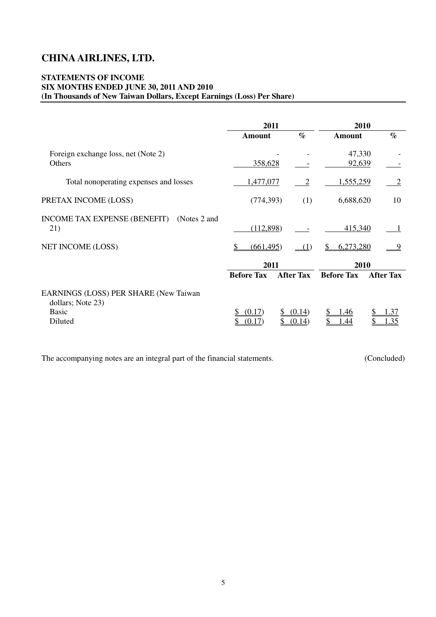### **STATEMENTS OF INCOME (In Thousands of New Taiwan Dollars, Except Earnings (Loss) Per Share) SIX MONTHS ENDED JUNE 30, 2011 AND 2010**

|                                                                                       | 2011              |                  | 2010               |                  |
|---------------------------------------------------------------------------------------|-------------------|------------------|--------------------|------------------|
|                                                                                       | <b>Amount</b>     | $\%$             | <b>Amount</b>      | $\%$             |
| Foreign exchange loss, net (Note 2)<br>Others                                         | 358,628           |                  | 47,330<br>92,639   |                  |
| Total nonoperating expenses and losses                                                | 1,477,077         | 2                | 1,555,259          | 2                |
| PRETAX INCOME (LOSS)                                                                  | (774, 393)        | (1)              | 6,688,620          | 10               |
| <b>INCOME TAX EXPENSE (BENEFIT)</b><br>(Notes 2 and<br>21)                            | (112,898)         |                  | 415,340            |                  |
| <b>NET INCOME (LOSS)</b>                                                              | (661, 495)        |                  | 6,273,280          | 9                |
|                                                                                       | 2011              |                  | 2010               |                  |
|                                                                                       | <b>Before Tax</b> | <b>After Tax</b> | <b>Before Tax</b>  | <b>After Tax</b> |
| EARNINGS (LOSS) PER SHARE (New Taiwan<br>dollars; Note 23)<br><b>Basic</b><br>Diluted | (0.17)<br>(0.17)  | (0.14)<br>(0.14) | <u>1.46</u><br>.44 | .37<br>35        |

The accompanying notes are an integral part of the financial statements. (Concluded)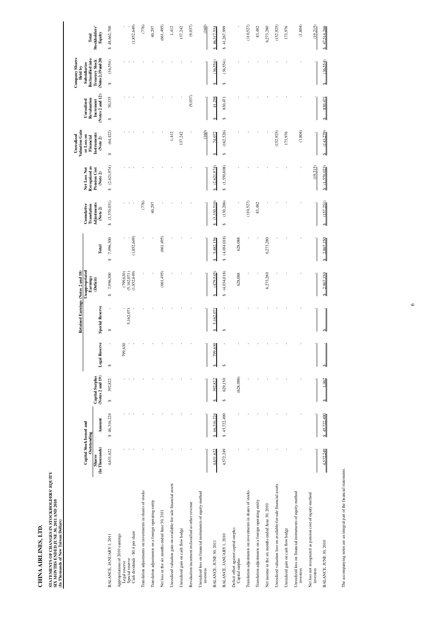|                                                                        | Capital Stock Issued and                       |                        |                                            |                      | Retained Earnings (Notes 2 and 18) | Unappropriated                                     |                             | Cunnulative                            | Net Loss Not                                     | Valuation Gain<br>or Loss on<br>Unrealized | Unrealized                                   | <b>Company Shares</b><br><b>Subsidiaries</b><br>Held by            |                                  |
|------------------------------------------------------------------------|------------------------------------------------|------------------------|--------------------------------------------|----------------------|------------------------------------|----------------------------------------------------|-----------------------------|----------------------------------------|--------------------------------------------------|--------------------------------------------|----------------------------------------------|--------------------------------------------------------------------|----------------------------------|
|                                                                        | Outstanding<br>(In Thousands)<br><b>Shares</b> | <b>Amount</b>          | (Notes 2 and 19)<br><b>Capital Surplus</b> | <b>Legal Reserve</b> | <b>Special Reserve</b>             | Earnings<br>(Deficit)                              | <b>btal</b>                 | Adjustments<br>Translation<br>(Note 2) | Recognized as<br><b>Pension Cost</b><br>(Note 2) | Instruments<br>Financial<br>(Note 2)       | (Notes 2 and 12)<br>Revaluation<br>Increment | (Notes 2, 19 and 20)<br>Reclassified into<br><b>Treasury Stock</b> | Stockholders'<br>Equity<br>Total |
| BALANCE, JANUARY 1, 2011                                               | 4,631,622                                      | \$46,316,224           | 392,822<br>↮                               | ı<br>↮               | ı<br>$\Theta$                      | 7,996,300<br>$\Theta$                              | 7,996,300<br>$\Theta$       | (3,370,031)<br>$\bullet$               | (2,621,974)<br>$\Theta$                          | (64, 422)<br>$\Theta$                      | 50,335<br>$\Theta$                           | (36,554)<br>$\Theta$                                               | 48,662,700<br>Ø                  |
| Appropriations of 2010 earnings                                        |                                                |                        |                                            |                      |                                    |                                                    |                             |                                        |                                                  |                                            |                                              |                                                                    |                                  |
| Legal reserve                                                          |                                                |                        |                                            | 799,630              |                                    |                                                    |                             |                                        |                                                  |                                            |                                              |                                                                    |                                  |
| Cash dividends - \$0.4 per share<br>Special reserve                    |                                                |                        |                                            |                      | 5,162,071                          | $(799, 630)$<br>$(5, 162, 071)$<br>$(1, 852, 649)$ | ,852,649)<br>J,             | $\blacksquare$                         |                                                  |                                            |                                              |                                                                    | (1,852,649)                      |
|                                                                        |                                                |                        |                                            |                      |                                    |                                                    |                             |                                        |                                                  |                                            |                                              |                                                                    |                                  |
| Translation adjustments on investments in shares of stocks             |                                                |                        |                                            |                      |                                    |                                                    |                             | (776)                                  |                                                  |                                            |                                              |                                                                    | (776)                            |
| Translation adjustments on a foreign operating entity                  |                                                |                        |                                            |                      |                                    |                                                    |                             | 40,297                                 |                                                  |                                            |                                              |                                                                    | 40,297                           |
| Net loss in the six months ended June 30, 2011                         |                                                |                        |                                            |                      |                                    | (661, 495)                                         | (661, 495)                  |                                        |                                                  | ı                                          |                                              |                                                                    | (661, 495)                       |
| Unrealized valuation gain on available-for-sale financial assets       |                                                |                        |                                            |                      |                                    |                                                    |                             |                                        |                                                  | 1,412                                      |                                              |                                                                    | 1,412                            |
| Unrealized gain on cash flow hedge                                     |                                                |                        |                                            |                      |                                    |                                                    |                             |                                        |                                                  | 137,242                                    |                                              |                                                                    | 137,242                          |
| Revaluation increment reclassified as other revenue                    |                                                |                        |                                            |                      |                                    |                                                    |                             |                                        |                                                  | $\blacksquare$                             | (9,037)                                      |                                                                    | (9,037)                          |
| Unrealized loss on financial instruments of equity-method<br>investees |                                                |                        |                                            |                      |                                    |                                                    |                             |                                        |                                                  | (160)                                      |                                              |                                                                    | (160)                            |
| BALANCE, JUNE 30, 2011                                                 | 4,631,622                                      | 46,316,224<br>$\Theta$ | 392,822<br>$\Theta$                        | 799,630<br>$\Theta$  | 5,162,071<br>$\Theta$              | (479,545)<br>S                                     | 5,482,156<br>$\bullet$      | (3,330,510)<br>$\Theta$                | (2,621,974)<br>$\Theta$                          | 74,072<br>$\Theta$                         | 41,298<br>$\bullet$                          | (36,554)<br>$\Theta$                                               | 46,317,534<br>မာ                 |
| BALANCE, JANUARY 1, 2010                                               | 4,572,249                                      | \$45,722,490           | 629,150<br>$\Theta$                        | $\Theta$             | $\bullet$                          | (4,034,018)<br>$\leftrightarrow$                   | \$(4,034,018)               | (130, 206)<br>$\Theta$                 | (1,550,808)<br>$\leftrightarrow$                 | (162, 526)<br>$\Theta$                     | 830,471<br>$\Theta$                          | (36,554)<br>$\leftrightarrow$                                      | \$41,267,999                     |
| Deficit offset against capital surplus<br>Capital surplus              |                                                |                        | (628,088)                                  |                      |                                    | 628,088                                            | 628,088                     |                                        |                                                  |                                            |                                              |                                                                    |                                  |
| Translation adjustments on investments in shares of stocks             |                                                |                        |                                            |                      |                                    |                                                    |                             | (110, 527)                             |                                                  |                                            |                                              |                                                                    | (110, 527)                       |
| Translation adjustments on a foreign operating entity                  |                                                |                        |                                            |                      |                                    |                                                    |                             | 83,482                                 |                                                  |                                            |                                              |                                                                    | 83,482                           |
| Net income in the six months ended June 30, 2010                       |                                                |                        |                                            |                      |                                    | 6,273,280                                          | 6,273,280                   |                                        |                                                  |                                            |                                              |                                                                    | 6,273,280                        |
| Unrealized valuation loss on available-for-sale financial assets       |                                                |                        |                                            |                      |                                    |                                                    |                             |                                        |                                                  | (152, 925)                                 |                                              |                                                                    | (152,925)                        |
| Unrealized gain on cash flow hedge                                     |                                                |                        |                                            |                      |                                    |                                                    |                             |                                        |                                                  | 173,976                                    |                                              |                                                                    | 173,976                          |
| Unrealized loss on financial instruments of equity-method<br>investees |                                                |                        |                                            |                      |                                    |                                                    |                             |                                        |                                                  | (1,804)                                    |                                              |                                                                    | (1,804)                          |
| Net loss not recognized as pension cost of equity-method<br>investees  |                                                |                        |                                            |                      |                                    |                                                    |                             |                                        | (19,215)                                         |                                            |                                              |                                                                    | (19,215)                         |
| BALANCE, JUNE 30, 2010                                                 | 4,572,249                                      | 45,722,490<br>₩        | 1,062<br>$\mathbf{\Theta}$                 | $\mathbf{\Theta}$    | $\Theta$                           | 2,867,350<br>⊷                                     | 867,350<br>$\mathbf 2$<br>↮ | (157,251)<br>S                         | (1,570,023)<br>⊷                                 | (143,279)<br>⊷                             | 830,471<br>⊷                                 | (36,554)<br>$\bullet$                                              | 47,514,266<br>S                  |

| LTD.<br>$\bullet$<br><b>AIRLINES</b><br><b>CHINA</b>                                                                                                 |
|------------------------------------------------------------------------------------------------------------------------------------------------------|
| <b>STOCKHOLDERS' EQUITY</b><br>STATEMENTS OF CHANGES IN STOCKHOLD<br>SIX MONTHS ENDED JUNE 30, 2011 AND 2010<br>(In Thousands of New Taiwan Dollars) |
|                                                                                                                                                      |
| $\overline{a}$                                                                                                                                       |
| BALANCE, JANUARY 1, 2011                                                                                                                             |
| share<br>Appropriations of 2010 earnings<br>\$0.4 per :<br>- 11<br>Cash dividends<br>Special reserve<br>Legal reserve                                |
| Translation adjustments on investments in shares of stocks                                                                                           |
| Translation adjustments on a foreign operating entity                                                                                                |
| Net loss in the six months ended June 30, 2011                                                                                                       |
| Unrealized valuation gain on available-for-sale financial assets                                                                                     |
| Unrealized gain on cash flow hedge                                                                                                                   |
| Revaluation increment reclassified as other revenue                                                                                                  |
| Unrealized loss on financial instruments of equity-method<br>investees                                                                               |
| JUNE 30, 2011<br>BALANCE,                                                                                                                            |
| BALANCE, JANUARY 1, 2010                                                                                                                             |
| Deficit offset against capital surplus<br>Capital surplus                                                                                            |
| Translation adjustments on investments in shares of stocks                                                                                           |
| Translation adjustments on a foreign operating entity                                                                                                |
| Net income in the six months ended June 30, 2010                                                                                                     |
| Unrealized valuation loss on available-for-sale financial assets                                                                                     |
| Unrealized gain on cash flow hedge                                                                                                                   |
| Unrealized loss on financial instruments of equity-method<br>investees                                                                               |
| Net loss not recognized as pension cost of equity-method<br>nvestees                                                                                 |
| BALANCE, JUNE 30, 2010                                                                                                                               |
|                                                                                                                                                      |
| The accompanying notes are an integral part of the financial statements.                                                                             |
|                                                                                                                                                      |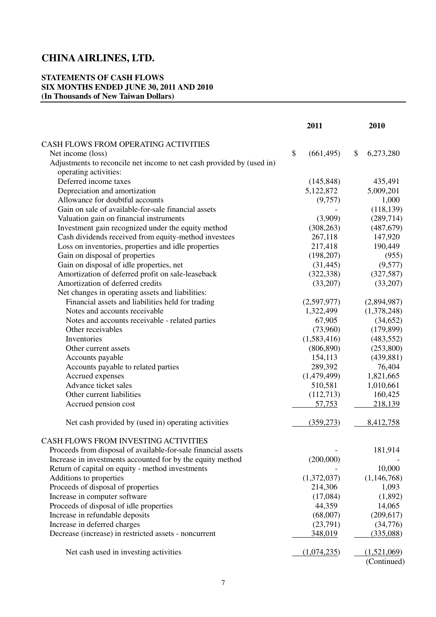### **STATEMENTS OF CASH FLOWS SIX MONTHS ENDED JUNE 30, 2011 AND 2010 (In Thousands of New Taiwan Dollars)**

|                                                                       | 2011             | 2010            |
|-----------------------------------------------------------------------|------------------|-----------------|
| CASH FLOWS FROM OPERATING ACTIVITIES                                  |                  |                 |
| Net income (loss)                                                     | \$<br>(661, 495) | \$<br>6,273,280 |
| Adjustments to reconcile net income to net cash provided by (used in) |                  |                 |
| operating activities:                                                 |                  |                 |
| Deferred income taxes                                                 | (145, 848)       | 435,491         |
| Depreciation and amortization                                         | 5,122,872        | 5,009,201       |
| Allowance for doubtful accounts                                       | (9,757)          | 1,000           |
| Gain on sale of available-for-sale financial assets                   |                  | (118, 139)      |
| Valuation gain on financial instruments                               | (3,909)          | (289,714)       |
| Investment gain recognized under the equity method                    | (308, 263)       | (487, 679)      |
| Cash dividends received from equity-method investees                  | 267,118          | 147,920         |
| Loss on inventories, properties and idle properties                   | 217,418          | 190,449         |
| Gain on disposal of properties                                        | (198, 207)       | (955)           |
| Gain on disposal of idle properties, net                              | (31, 445)        | (9,577)         |
| Amortization of deferred profit on sale-leaseback                     | (322, 338)       | (327, 587)      |
| Amortization of deferred credits                                      | (33,207)         | (33,207)        |
| Net changes in operating assets and liabilities:                      |                  |                 |
| Financial assets and liabilities held for trading                     | (2,597,977)      | (2,894,987)     |
| Notes and accounts receivable                                         | 1,322,499        | (1,378,248)     |
| Notes and accounts receivable - related parties                       | 67,905           | (34,652)        |
| Other receivables                                                     | (73,960)         | (179, 899)      |
| Inventories                                                           | (1,583,416)      | (483, 552)      |
| Other current assets                                                  | (806, 890)       | (253,800)       |
| Accounts payable                                                      | 154,113          | (439, 881)      |
| Accounts payable to related parties                                   | 289,392          | 76,404          |
| Accrued expenses                                                      | (1,479,499)      | 1,821,665       |
| Advance ticket sales                                                  | 510,581          | 1,010,661       |
| Other current liabilities                                             | (112,713)        | 160,425         |
| Accrued pension cost                                                  | 57,753           | 218,139         |
| Net cash provided by (used in) operating activities                   | (359, 273)       | 8,412,758       |
|                                                                       |                  |                 |
| CASH FLOWS FROM INVESTING ACTIVITIES                                  |                  |                 |
| Proceeds from disposal of available-for-sale financial assets         |                  | 181,914         |
| Increase in investments accounted for by the equity method            | (200,000)        |                 |
| Return of capital on equity - method investments                      |                  | 10,000          |
| Additions to properties                                               | (1,372,037)      | (1,146,768)     |
| Proceeds of disposal of properties                                    | 214,306          | 1,093           |
| Increase in computer software                                         | (17,084)         | (1,892)         |
| Proceeds of disposal of idle properties                               | 44,359           | 14,065          |
| Increase in refundable deposits                                       | (68,007)         | (209,617)       |
| Increase in deferred charges                                          | (23,791)         | (34,776)        |
| Decrease (increase) in restricted assets - noncurrent                 | 348,019          | (335,088)       |
| Net cash used in investing activities                                 | (1,074,235)      | (1,521,069)     |
|                                                                       |                  | (Continued)     |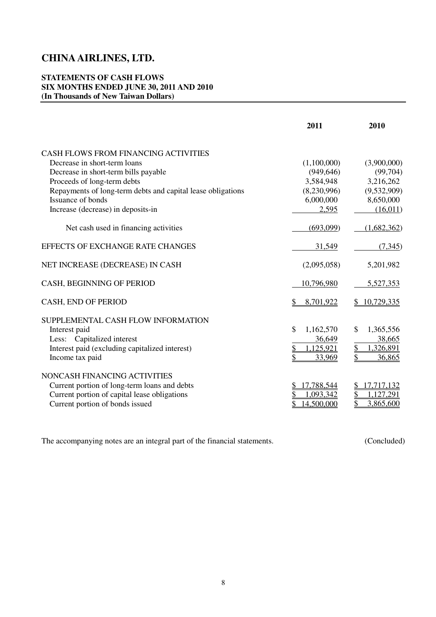### **STATEMENTS OF CASH FLOWS SIX MONTHS ENDED JUNE 30, 2011 AND 2010 (In Thousands of New Taiwan Dollars)**

|                                                             | 2011                       | 2010            |
|-------------------------------------------------------------|----------------------------|-----------------|
| CASH FLOWS FROM FINANCING ACTIVITIES                        |                            |                 |
| Decrease in short-term loans                                | (1,100,000)                | (3,900,000)     |
| Decrease in short-term bills payable                        | (949, 646)                 | (99,704)        |
| Proceeds of long-term debts                                 | 3,584,948                  | 3,216,262       |
| Repayments of long-term debts and capital lease obligations | (8,230,996)                | (9,532,909)     |
| Issuance of bonds                                           | 6,000,000                  | 8,650,000       |
| Increase (decrease) in deposits-in                          | 2,595                      | (16,011)        |
| Net cash used in financing activities                       | (693,099)                  | (1,682,362)     |
| EFFECTS OF EXCHANGE RATE CHANGES                            | 31,549                     | (7, 345)        |
| NET INCREASE (DECREASE) IN CASH                             | (2,095,058)                | 5,201,982       |
| CASH, BEGINNING OF PERIOD                                   | 10,796,980                 | 5,527,353       |
| <b>CASH, END OF PERIOD</b>                                  | 8,701,922                  | 10,729,335      |
| SUPPLEMENTAL CASH FLOW INFORMATION                          |                            |                 |
| Interest paid                                               | $\mathcal{S}$<br>1,162,570 | S.<br>1,365,556 |
| Less: Capitalized interest                                  | 36,649                     | 38,665          |
| Interest paid (excluding capitalized interest)              | \$<br>1,125,921            | \$<br>1,326,891 |
| Income tax paid                                             | \$<br>33,969               | 36,865          |
| NONCASH FINANCING ACTIVITIES                                |                            |                 |
| Current portion of long-term loans and debts                | 17,788,544                 | 17,717,132      |
| Current portion of capital lease obligations                | 1,093,342                  | 1,127,291       |
| Current portion of bonds issued                             | 14,500,000                 | \$<br>3,865,600 |

The accompanying notes are an integral part of the financial statements. (Concluded) (Concluded)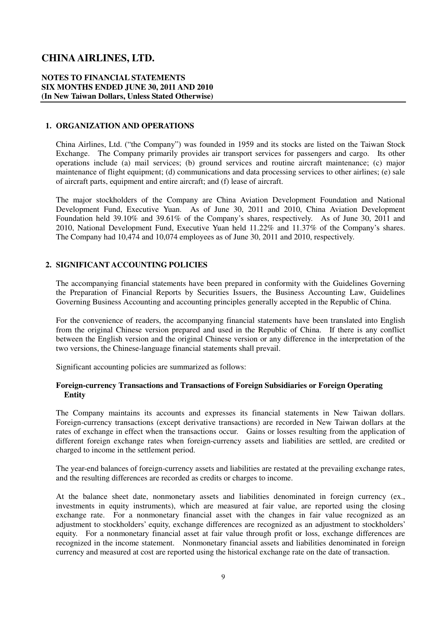### **SIX MONTHS ENDED JUNE 30, 2011 AND 2010 (In New Taiwan Dollars, Unless Stated Otherwise) NOTES TO FINANCIAL STATEMENTS**

### **1. ORGANIZATION AND OPERATIONS**

 China Airlines, Ltd. ("the Company") was founded in 1959 and its stocks are listed on the Taiwan Stock Exchange. The Company primarily provides air transport services for passengers and cargo. Its other operations include (a) mail services; (b) ground services and routine aircraft maintenance; (c) major maintenance of flight equipment; (d) communications and data processing services to other airlines; (e) sale of aircraft parts, equipment and entire aircraft; and (f) lease of aircraft.

 The major stockholders of the Company are China Aviation Development Foundation and National Development Fund, Executive Yuan. As of June 30, 2011 and 2010, China Aviation Development Foundation held 39.10% and 39.61% of the Company's shares, respectively. As of June 30, 2011 and 2010, National Development Fund, Executive Yuan held 11.22% and 11.37% of the Company's shares. The Company had 10,474 and 10,074 employees as of June 30, 2011 and 2010, respectively.

### **2. SIGNIFICANT ACCOUNTING POLICIES**

 The accompanying financial statements have been prepared in conformity with the Guidelines Governing the Preparation of Financial Reports by Securities Issuers, the Business Accounting Law, Guidelines Governing Business Accounting and accounting principles generally accepted in the Republic of China.

 Governing Business Accounting and accounting principles generally accepted in the Republic of China. For the convenience of readers, the accompanying financial statements have been translated into English from the original Chinese version prepared and used in the Republic of China. If there is any conflict between the English version and the original Chinese version or any difference in the interpretation of the two versions, the Chinese-language financial statements shall prevail.

Significant accounting policies are summarized as follows:

### **Foreign-currency Transactions and Transactions of Foreign Subsidiaries or Foreign Operating Entity**

 The Company maintains its accounts and expresses its financial statements in New Taiwan dollars. Foreign-currency transactions (except derivative transactions) are recorded in New Taiwan dollars at the rates of exchange in effect when the transactions occur. Gains or losses resulting from the application of different foreign exchange rates when foreign-currency assets and liabilities are settled, are credited or charged to income in the settlement period.

 The year-end balances of foreign-currency assets and liabilities are restated at the prevailing exchange rates, and the resulting differences are recorded as credits or charges to income.

 At the balance sheet date, nonmonetary assets and liabilities denominated in foreign currency (ex., investments in equity instruments), which are measured at fair value, are reported using the closing exchange rate. For a nonmonetary financial asset with the changes in fair value recognized as an adjustment to stockholders' equity, exchange differences are recognized as an adjustment to stockholders' equity. For a nonmonetary financial asset at fair value through profit or loss, exchange differences are recognized in the income statement. Nonmonetary financial assets and liabilities denominated in foreign currency and measured at cost are reported using the historical exchange rate on the date of transaction.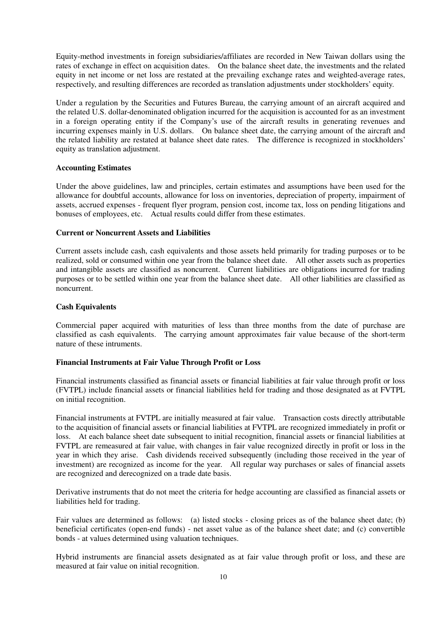Equity-method investments in foreign subsidiaries/affiliates are recorded in New Taiwan dollars using the rates of exchange in effect on acquisition dates. On the balance sheet date, the investments and the related equity in net income or net loss are restated at the prevailing exchange rates and weighted-average rates, respectively, and resulting differences are recorded as translation adjustments under stockholders' equity.

 Under a regulation by the Securities and Futures Bureau, the carrying amount of an aircraft acquired and in a foreign operating entity if the Company's use of the aircraft results in generating revenues and incurring expenses mainly in U.S. dollars. On balance sheet date, the carrying amount of the aircraft and the related liability are restated at balance sheet date rates. The difference is recognized in stockholders' the related U.S. dollar-denominated obligation incurred for the acquisition is accounted for as an investment equity as translation adjustment.

### **Accounting Estimates**

 Under the above guidelines, law and principles, certain estimates and assumptions have been used for the allowance for doubtful accounts, allowance for loss on inventories, depreciation of property, impairment of assets, accrued expenses - frequent flyer program, pension cost, income tax, loss on pending litigations and bonuses of employees, etc. Actual results could differ from these estimates.

### **Current or Noncurrent Assets and Liabilities**

 Current assets include cash, cash equivalents and those assets held primarily for trading purposes or to be realized, sold or consumed within one year from the balance sheet date. All other assets such as properties and intangible assets are classified as noncurrent. Current liabilities are obligations incurred for trading purposes or to be settled within one year from the balance sheet date. All other liabilities are classified as noncurrent.

### **Cash Equivalents**

 Commercial paper acquired with maturities of less than three months from the date of purchase are classified as cash equivalents. The carrying amount approximates fair value because of the short-term nature of these intruments.

### **Financial Instruments at Fair Value Through Profit or Loss**

 Financial instruments classified as financial assets or financial liabilities at fair value through profit or loss (FVTPL) include financial assets or financial liabilities held for trading and those designated as at FVTPL on initial recognition.

on initial recognition.<br>Financial instruments at FVTPL are initially measured at fair value. Transaction costs directly attributable to the acquisition of financial assets or financial liabilities at FVTPL are recognized immediately in profit or loss. At each balance sheet date subsequent to initial recognition, financial assets or financial liabilities at FVTPL are remeasured at fair value, with changes in fair value recognized directly in profit or loss in the year in which they arise. Cash dividends received subsequently (including those received in the year of investment) are recognized as income for the year. All regular way purchases or sales of financial assets are recognized and derecognized on a trade date basis.

 Derivative instruments that do not meet the criteria for hedge accounting are classified as financial assets or liabilities held for trading.

 Fair values are determined as follows: (a) listed stocks - closing prices as of the balance sheet date; (b) beneficial certificates (open-end funds) - net asset value as of the balance sheet date; and (c) convertible bonds - at values determined using valuation techniques.

 Hybrid instruments are financial assets designated as at fair value through profit or loss, and these are measured at fair value on initial recognition.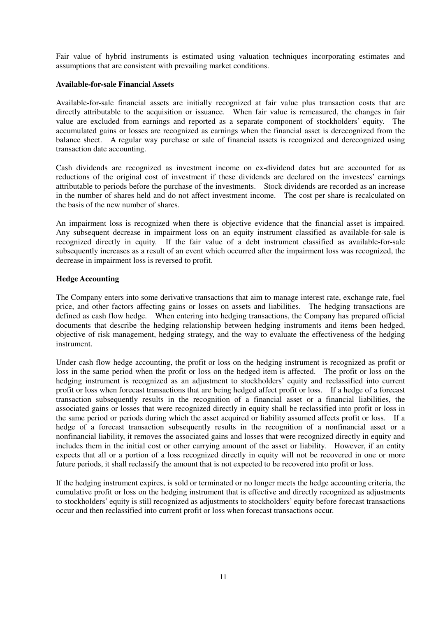Fair value of hybrid instruments is estimated using valuation techniques incorporating estimates and assumptions that are consistent with prevailing market conditions.

### **Available-for-sale Financial Assets**

 Available-for-sale financial assets are initially recognized at fair value plus transaction costs that are directly attributable to the acquisition or issuance. When fair value is remeasured, the changes in fair value are excluded from earnings and reported as a separate component of stockholders' equity. The accumulated gains or losses are recognized as earnings when the financial asset is derecognized from the balance sheet. A regular way purchase or sale of financial assets is recognized and derecognized using transaction date accounting.

 Cash dividends are recognized as investment income on ex-dividend dates but are accounted for as reductions of the original cost of investment if these dividends are declared on the investees' earnings attributable to periods before the purchase of the investments. Stock dividends are recorded as an increase in the number of shares held and do not affect investment income. The cost per share is recalculated on the basis of the new number of shares.

 An impairment loss is recognized when there is objective evidence that the financial asset is impaired. Any subsequent decrease in impairment loss on an equity instrument classified as available-for-sale is recognized directly in equity. If the fair value of a debt instrument classified as available-for-sale subsequently increases as a result of an event which occurred after the impairment loss was recognized, the decrease in impairment loss is reversed to profit.

### **Hedge Accounting**

 The Company enters into some derivative transactions that aim to manage interest rate, exchange rate, fuel price, and other factors affecting gains or losses on assets and liabilities. The hedging transactions are defined as cash flow hedge. When entering into hedging transactions, the Company has prepared official documents that describe the hedging relationship between hedging instruments and items been hedged, objective of risk management, hedging strategy, and the way to evaluate the effectiveness of the hedging instrument.

 Under cash flow hedge accounting, the profit or loss on the hedging instrument is recognized as profit or loss in the same period when the profit or loss on the hedged item is affected. The profit or loss on the hedging instrument is recognized as an adjustment to stockholders' equity and reclassified into current profit or loss when forecast transactions that are being hedged affect profit or loss. If a hedge of a forecast transaction subsequently results in the recognition of a financial asset or a financial liabilities, the associated gains or losses that were recognized directly in equity shall be reclassified into profit or loss in the same period or periods during which the asset acquired or liability assumed affects profit or loss. If a hedge of a forecast transaction subsequently results in the recognition of a nonfinancial asset or a nonfinancial liability, it removes the associated gains and losses that were recognized directly in equity and includes them in the initial cost or other carrying amount of the asset or liability. However, if an entity expects that all or a portion of a loss recognized directly in equity will not be recovered in one or more future periods, it shall reclassify the amount that is not expected to be recovered into profit or loss.

 cumulative profit or loss on the hedging instrument that is effective and directly recognized as adjustments to stockholders' equity is still recognized as adjustments to stockholders' equity before forecast transactions occur and then reclassified into current profit or loss when forecast transactions occur. If the hedging instrument expires, is sold or terminated or no longer meets the hedge accounting criteria, the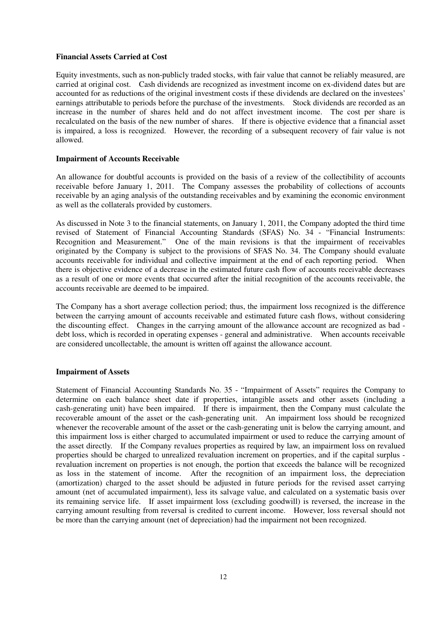### **Financial Assets Carried at Cost**

 Equity investments, such as non-publicly traded stocks, with fair value that cannot be reliably measured, are carried at original cost. Cash dividends are recognized as investment income on ex-dividend dates but are accounted for as reductions of the original investment costs if these dividends are declared on the investees' earnings attributable to periods before the purchase of the investments. Stock dividends are recorded as an increase in the number of shares held and do not affect investment income. The cost per share is recalculated on the basis of the new number of shares. If there is objective evidence that a financial asset is impaired, a loss is recognized. However, the recording of a subsequent recovery of fair value is not allowed.

### **Impairment of Accounts Receivable**

 An allowance for doubtful accounts is provided on the basis of a review of the collectibility of accounts receivable before January 1, 2011. The Company assesses the probability of collections of accounts receivable by an aging analysis of the outstanding receivables and by examining the economic environment as well as the collaterals provided by customers.

 As discussed in Note 3 to the financial statements, on January 1, 2011, the Company adopted the third time revised of Statement of Financial Accounting Standards (SFAS) No. 34 - "Financial Instruments: Recognition and Measurement." One of the main revisions is that the impairment of receivables originated by the Company is subject to the provisions of SFAS No. 34. The Company should evaluate accounts receivable for individual and collective impairment at the end of each reporting period. When there is objective evidence of a decrease in the estimated future cash flow of accounts receivable decreases as a result of one or more events that occurred after the initial recognition of the accounts receivable, the accounts receivable are deemed to be impaired.

accounts receivable are deemed to be impaired.<br>The Company has a short average collection period; thus, the impairment loss recognized is the difference between the carrying amount of accounts receivable and estimated future cash flows, without considering the discounting effect. Changes in the carrying amount of the allowance account are recognized as bad debt loss, which is recorded in operating expenses - general and administrative. When accounts receivable are considered uncollectable, the amount is written off against the allowance account.

### **Impairment of Assets**

 Statement of Financial Accounting Standards No. 35 - "Impairment of Assets" requires the Company to determine on each balance sheet date if properties, intangible assets and other assets (including a cash-generating unit) have been impaired. If there is impairment, then the Company must calculate the recoverable amount of the asset or the cash-generating unit. An impairment loss should be recognized whenever the recoverable amount of the asset or the cash-generating unit is below the carrying amount, and this impairment loss is either charged to accumulated impairment or used to reduce the carrying amount of the asset directly. If the Company revalues properties as required by law, an impairment loss on revalued properties should be charged to unrealized revaluation increment on properties, and if the capital surplus revaluation increment on properties is not enough, the portion that exceeds the balance will be recognized as loss in the statement of income. After the recognition of an impairment loss, the depreciation (amortization) charged to the asset should be adjusted in future periods for the revised asset carrying amount (net of accumulated impairment), less its salvage value, and calculated on a systematic basis over its remaining service life. If asset impairment loss (excluding goodwill) is reversed, the increase in the carrying amount resulting from reversal is credited to current income. However, loss reversal should not be more than the carrying amount (net of depreciation) had the impairment not been recognized.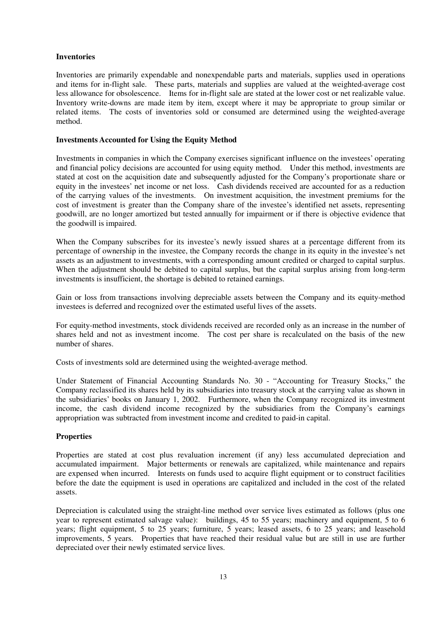### **Inventories**

 Inventories are primarily expendable and nonexpendable parts and materials, supplies used in operations and items for in-flight sale. These parts, materials and supplies are valued at the weighted-average cost less allowance for obsolescence. Items for in-flight sale are stated at the lower cost or net realizable value. Inventory write-downs are made item by item, except where it may be appropriate to group similar or related items. The costs of inventories sold or consumed are determined using the weighted-average method.

### **Investments Accounted for Using the Equity Method**

 Investments in companies in which the Company exercises significant influence on the investees' operating and financial policy decisions are accounted for using equity method. Under this method, investments are stated at cost on the acquisition date and subsequently adjusted for the Company's proportionate share or equity in the investees' net income or net loss. Cash dividends received are accounted for as a reduction of the carrying values of the investments. On investment acquisition, the investment premiums for the cost of investment is greater than the Company share of the investee's identified net assets, representing goodwill, are no longer amortized but tested annually for impairment or if there is objective evidence that the goodwill is impaired.

 When the Company subscribes for its investee's newly issued shares at a percentage different from its percentage of ownership in the investee, the Company records the change in its equity in the investee's net assets as an adjustment to investments, with a corresponding amount credited or charged to capital surplus. When the adjustment should be debited to capital surplus, but the capital surplus arising from long-term investments is insufficient, the shortage is debited to retained earnings.

 Gain or loss from transactions involving depreciable assets between the Company and its equity-method investees is deferred and recognized over the estimated useful lives of the assets.

 For equity-method investments, stock dividends received are recorded only as an increase in the number of shares held and not as investment income. The cost per share is recalculated on the basis of the new number of shares.

Costs of investments sold are determined using the weighted-average method.

 Under Statement of Financial Accounting Standards No. 30 - "Accounting for Treasury Stocks," the Company reclassified its shares held by its subsidiaries into treasury stock at the carrying value as shown in the subsidiaries' books on January 1, 2002. Furthermore, when the Company recognized its investment income, the cash dividend income recognized by the subsidiaries from the Company's earnings appropriation was subtracted from investment income and credited to paid-in capital.

### **Properties**

 Properties are stated at cost plus revaluation increment (if any) less accumulated depreciation and accumulated impairment. Major betterments or renewals are capitalized, while maintenance and repairs are expensed when incurred. Interests on funds used to acquire flight equipment or to construct facilities before the date the equipment is used in operations are capitalized and included in the cost of the related assets.

 Depreciation is calculated using the straight-line method over service lives estimated as follows (plus one year to represent estimated salvage value): buildings, 45 to 55 years; machinery and equipment, 5 to 6 years; flight equipment, 5 to 25 years; furniture, 5 years; leased assets, 6 to 25 years; and leasehold improvements, 5 years. Properties that have reached their residual value but are still in use are further depreciated over their newly estimated service lives.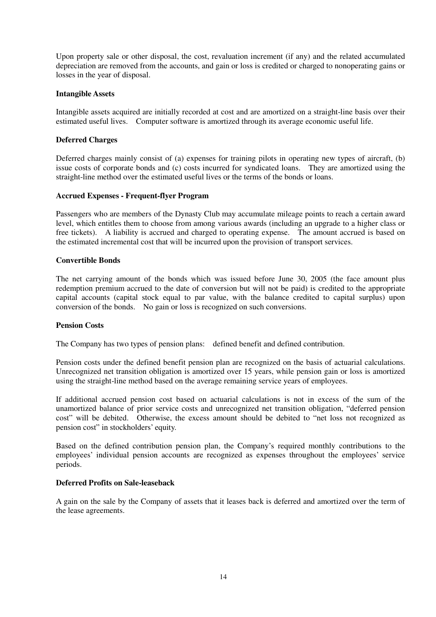Upon property sale or other disposal, the cost, revaluation increment (if any) and the related accumulated depreciation are removed from the accounts, and gain or loss is credited or charged to nonoperating gains or losses in the year of disposal.

### **Intangible Assets**

 Intangible assets acquired are initially recorded at cost and are amortized on a straight-line basis over their estimated useful lives. Computer software is amortized through its average economic useful life.

### **Deferred Charges**

 Deferred charges mainly consist of (a) expenses for training pilots in operating new types of aircraft, (b) issue costs of corporate bonds and (c) costs incurred for syndicated loans. They are amortized using the straight-line method over the estimated useful lives or the terms of the bonds or loans.

### **Accrued Expenses - Frequent-flyer Program**

 Passengers who are members of the Dynasty Club may accumulate mileage points to reach a certain award level, which entitles them to choose from among various awards (including an upgrade to a higher class or free tickets). A liability is accrued and charged to operating expense. The amount accrued is based on the estimated incremental cost that will be incurred upon the provision of transport services.

### **Convertible Bonds**

 The net carrying amount of the bonds which was issued before June 30, 2005 (the face amount plus redemption premium accrued to the date of conversion but will not be paid) is credited to the appropriate capital accounts (capital stock equal to par value, with the balance credited to capital surplus) upon conversion of the bonds. No gain or loss is recognized on such conversions.

### **Pension Costs**

The Company has two types of pension plans: defined benefit and defined contribution.

 Pension costs under the defined benefit pension plan are recognized on the basis of actuarial calculations. Unrecognized net transition obligation is amortized over 15 years, while pension gain or loss is amortized using the straight-line method based on the average remaining service years of employees.

 If additional accrued pension cost based on actuarial calculations is not in excess of the sum of the unamortized balance of prior service costs and unrecognized net transition obligation, "deferred pension cost" will be debited. Otherwise, the excess amount should be debited to "net loss not recognized as pension cost" in stockholders' equity.

 Based on the defined contribution pension plan, the Company's required monthly contributions to the employees' individual pension accounts are recognized as expenses throughout the employees' service periods.

### **Deferred Profits on Sale-leaseback**

 A gain on the sale by the Company of assets that it leases back is deferred and amortized over the term of the lease agreements.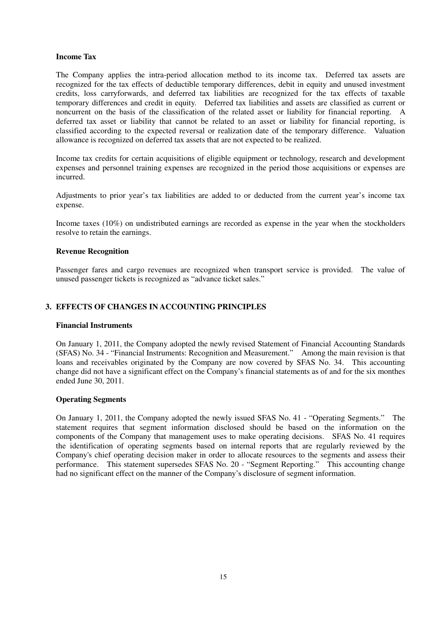### **Income Tax**

 The Company applies the intra-period allocation method to its income tax. Deferred tax assets are recognized for the tax effects of deductible temporary differences, debit in equity and unused investment credits, loss carryforwards, and deferred tax liabilities are recognized for the tax effects of taxable temporary differences and credit in equity. Deferred tax liabilities and assets are classified as current or noncurrent on the basis of the classification of the related asset or liability for financial reporting. A deferred tax asset or liability that cannot be related to an asset or liability for financial reporting, is classified according to the expected reversal or realization date of the temporary difference. Valuation allowance is recognized on deferred tax assets that are not expected to be realized.

 Income tax credits for certain acquisitions of eligible equipment or technology, research and development expenses and personnel training expenses are recognized in the period those acquisitions or expenses are incurred.

 Adjustments to prior year's tax liabilities are added to or deducted from the current year's income tax expense.

 Income taxes (10%) on undistributed earnings are recorded as expense in the year when the stockholders resolve to retain the earnings.

### **Revenue Recognition**

 Passenger fares and cargo revenues are recognized when transport service is provided. The value of unused passenger tickets is recognized as "advance ticket sales."

### **3. EFFECTS OF CHANGES IN ACCOUNTING PRINCIPLES**

### **Financial Instruments**

 On January 1, 2011, the Company adopted the newly revised Statement of Financial Accounting Standards (SFAS) No. 34 - "Financial Instruments: Recognition and Measurement." Among the main revision is that loans and receivables originated by the Company are now covered by SFAS No. 34. This accounting change did not have a significant effect on the Company's financial statements as of and for the six monthes ended June 30, 2011.

### **Operating Segments**

 On January 1, 2011, the Company adopted the newly issued SFAS No. 41 - "Operating Segments." The statement requires that segment information disclosed should be based on the information on the components of the Company that management uses to make operating decisions. SFAS No. 41 requires the identification of operating segments based on internal reports that are regularly reviewed by the Company's chief operating decision maker in order to allocate resources to the segments and assess their performance. This statement supersedes SFAS No. 20 - "Segment Reporting." This accounting change had no significant effect on the manner of the Company's disclosure of segment information.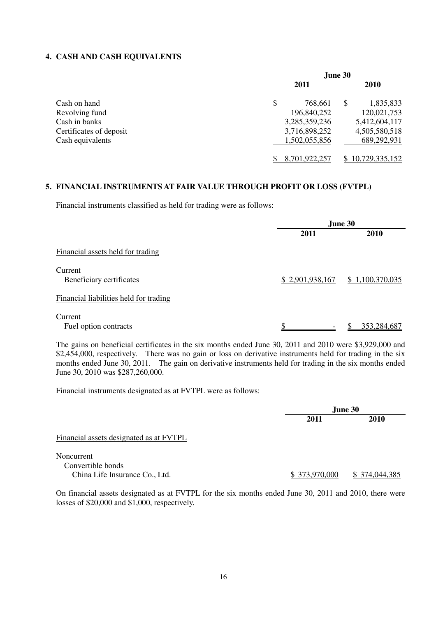### **4. CASH AND CASH EQUIVALENTS**

|                         |               | June 30 |                |
|-------------------------|---------------|---------|----------------|
|                         | 2011          |         | <b>2010</b>    |
| Cash on hand            | \$<br>768,661 | \$      | 1,835,833      |
| Revolving fund          | 196,840,252   |         | 120,021,753    |
| Cash in banks           | 3,285,359,236 |         | 5,412,604,117  |
| Certificates of deposit | 3,716,898,252 |         | 4,505,580,518  |
| Cash equivalents        | 1,502,055,856 |         | 689,292,931    |
|                         | 8,701,922,257 |         | 10,729,335,152 |

### **5. FINANCIAL INSTRUMENTS AT FAIR VALUE THROUGH PROFIT OR LOSS (FVTPL)**

Financial instruments classified as held for trading were as follows:

|                                        |                 | June 30         |  |  |  |
|----------------------------------------|-----------------|-----------------|--|--|--|
|                                        | 2011            | 2010            |  |  |  |
| Financial assets held for trading      |                 |                 |  |  |  |
| Current<br>Beneficiary certificates    | \$2,901,938,167 | \$1,100,370,035 |  |  |  |
| Financial liabilities held for trading |                 |                 |  |  |  |
| Current<br>Fuel option contracts       | ¢               | 353,284,687     |  |  |  |

 The gains on beneficial certificates in the six months ended June 30, 2011 and 2010 were \$3,929,000 and \$2,454,000, respectively. There was no gain or loss on derivative instruments held for trading in the six months ended June 30, 2011. The gain on derivative instruments held for trading in the six months ended June 30, 2010 was \$287,260,000.

Financial instruments designated as at FVTPL were as follows:

|                                                                   | June 30       |               |
|-------------------------------------------------------------------|---------------|---------------|
|                                                                   | 2011          | <b>2010</b>   |
| Financial assets designated as at FVTPL                           |               |               |
| Noncurrent<br>Convertible bonds<br>China Life Insurance Co., Ltd. | \$373,970,000 | \$374,044,385 |

 On financial assets designated as at FVTPL for the six months ended June 30, 2011 and 2010, there were losses of \$20,000 and \$1,000, respectively.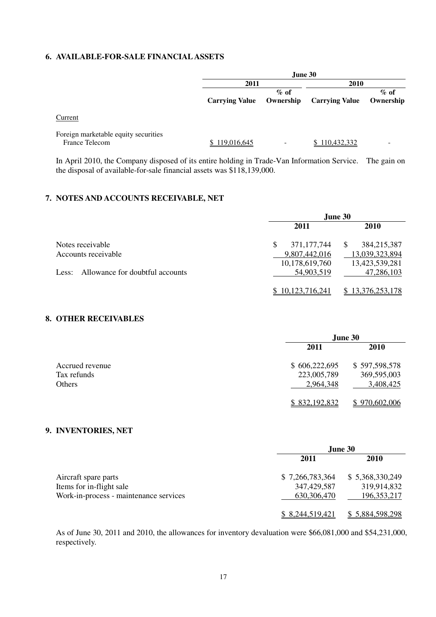### **6. AVAILABLE-FOR-SALE FINANCIAL ASSETS**

|                                                               |                       | June 30              |                       |                      |
|---------------------------------------------------------------|-----------------------|----------------------|-----------------------|----------------------|
|                                                               | 2011                  |                      | 2010                  |                      |
|                                                               | <b>Carrying Value</b> | $\%$ of<br>Ownership | <b>Carrying Value</b> | $\%$ of<br>Ownership |
| Current                                                       |                       |                      |                       |                      |
| Foreign marketable equity securities<br><b>France Telecom</b> | \$119,016,645         | -                    | \$110,432,332         |                      |

 In April 2010, the Company disposed of its entire holding in Trade-Van Information Service. The gain on the disposal of available-for-sale financial assets was \$118,139,000.

### **7. NOTES AND ACCOUNTS RECEIVABLE, NET**

|                                       | June 30          |                             |  |
|---------------------------------------|------------------|-----------------------------|--|
|                                       | 2011             | <b>2010</b>                 |  |
| Notes receivable                      | 371, 177, 744    | 384,215,387<br><sup>S</sup> |  |
| Accounts receivable                   | 9,807,442,016    | 13,039,323,894              |  |
|                                       | 10,178,619,760   | 13,423,539,281              |  |
| Less: Allowance for doubtful accounts | 54,903,519       | 47,286,103                  |  |
|                                       |                  |                             |  |
|                                       | \$10,123,716,241 | \$13,376,253,178            |  |

### **8. OTHER RECEIVABLES**

|                 | June 30       |               |  |
|-----------------|---------------|---------------|--|
|                 | 2011          | <b>2010</b>   |  |
| Accrued revenue | \$606,222,695 | \$597,598,578 |  |
| Tax refunds     | 223,005,789   | 369,595,003   |  |
| Others          | 2,964,348     | 3,408,425     |  |
|                 | \$832,192,832 | \$970,602,006 |  |

### **9. INVENTORIES, NET**

|                                        | June 30          |                 |  |
|----------------------------------------|------------------|-----------------|--|
|                                        | 2011             | 2010            |  |
| Aircraft spare parts                   | \$7,266,783,364  | \$5,368,330,249 |  |
| Items for in-flight sale               | 347, 429, 587    | 319,914,832     |  |
| Work-in-process - maintenance services | 630, 306, 470    | 196, 353, 217   |  |
|                                        | \$ 8,244,519,421 | \$5,884,598,298 |  |

 As of June 30, 2011 and 2010, the allowances for inventory devaluation were \$66,081,000 and \$54,231,000, respectively.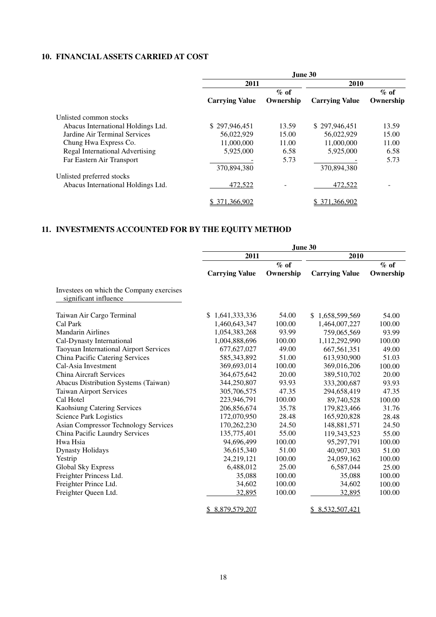### **10. FINANCIAL ASSETS CARRIED AT COST**

|                                    | June 30               |           |                       |           |  |  |
|------------------------------------|-----------------------|-----------|-----------------------|-----------|--|--|
|                                    | 2011                  |           | 2010                  |           |  |  |
|                                    |                       | $\%$ of   |                       | $\%$ of   |  |  |
|                                    | <b>Carrying Value</b> | Ownership | <b>Carrying Value</b> | Ownership |  |  |
| Unlisted common stocks             |                       |           |                       |           |  |  |
| Abacus International Holdings Ltd. | \$297,946,451         | 13.59     | \$297,946,451         | 13.59     |  |  |
| Jardine Air Terminal Services      | 56,022,929            | 15.00     | 56,022,929            | 15.00     |  |  |
| Chung Hwa Express Co.              | 11,000,000            | 11.00     | 11,000,000            | 11.00     |  |  |
| Regal International Advertising    | 5.925,000             | 6.58      | 5.925,000             | 6.58      |  |  |
| Far Eastern Air Transport          |                       | 5.73      |                       | 5.73      |  |  |
|                                    | 370,894,380           |           | 370,894,380           |           |  |  |
| Unlisted preferred stocks          |                       |           |                       |           |  |  |
| Abacus International Holdings Ltd. | 472,522               |           | 472,522               |           |  |  |
|                                    | 371,366,902           |           | 371,366,902           |           |  |  |

### **11. INVESTMENTS ACCOUNTED FOR BY THE EQUITY METHOD**

|                                                                   | June 30               |           |                       |           |  |  |
|-------------------------------------------------------------------|-----------------------|-----------|-----------------------|-----------|--|--|
|                                                                   | 2011                  |           | 2010                  |           |  |  |
|                                                                   |                       | $%$ of    |                       | $%$ of    |  |  |
|                                                                   | <b>Carrying Value</b> | Ownership | <b>Carrying Value</b> | Ownership |  |  |
| Investees on which the Company exercises<br>significant influence |                       |           |                       |           |  |  |
| Taiwan Air Cargo Terminal                                         | \$1,641,333,336       | 54.00     | \$1,658,599,569       | 54.00     |  |  |
| Cal Park                                                          | 1,460,643,347         | 100.00    | 1,464,007,227         | 100.00    |  |  |
| <b>Mandarin Airlines</b>                                          | 1,054,383,268         | 93.99     | 759,065,569           | 93.99     |  |  |
| Cal-Dynasty International                                         | 1,004,888,696         | 100.00    | 1,112,292,990         | 100.00    |  |  |
| Taoyuan International Airport Services                            | 677, 627, 027         | 49.00     | 667, 561, 351         | 49.00     |  |  |
| China Pacific Catering Services                                   | 585,343,892           | 51.00     | 613,930,900           | 51.03     |  |  |
| Cal-Asia Investment                                               | 369,693,014           | 100.00    | 369,016,206           | 100.00    |  |  |
| China Aircraft Services                                           | 364, 675, 642         | 20.00     | 389,510,702           | 20.00     |  |  |
| Abacus Distribution Systems (Taiwan)                              | 344,250,807           | 93.93     | 333,200,687           | 93.93     |  |  |
| <b>Taiwan Airport Services</b>                                    | 305,706,575           | 47.35     | 294,658,419           | 47.35     |  |  |
| Cal Hotel                                                         | 223,946,791           | 100.00    | 89,740,528            | 100.00    |  |  |
| <b>Kaohsiung Catering Services</b>                                | 206,856,674           | 35.78     | 179,823,466           | 31.76     |  |  |
| <b>Science Park Logistics</b>                                     | 172,070,950           | 28.48     | 165,920,828           | 28.48     |  |  |
| <b>Asian Compressor Technology Services</b>                       | 170,262,230           | 24.50     | 148,881,571           | 24.50     |  |  |
| China Pacific Laundry Services                                    | 135,775,401           | 55.00     | 119,343,523           | 55.00     |  |  |
| Hwa Hsia                                                          | 94,696,499            | 100.00    | 95,297,791            | 100.00    |  |  |
| <b>Dynasty Holidays</b>                                           | 36,615,340            | 51.00     | 40,907,303            | 51.00     |  |  |
| Yestrip                                                           | 24,219,121            | 100.00    | 24,059,162            | 100.00    |  |  |
| Global Sky Express                                                | 6,488,012             | 25.00     | 6,587,044             | 25.00     |  |  |
| Freighter Princess Ltd.                                           | 35,088                | 100.00    | 35,088                | 100.00    |  |  |
| Freighter Prince Ltd.                                             | 34,602                | 100.00    | 34,602                | 100.00    |  |  |
| Freighter Queen Ltd.                                              | 32,895                | 100.00    | 32,895                | 100.00    |  |  |
|                                                                   | \$8,879,579,207       |           | \$8,532,507,421       |           |  |  |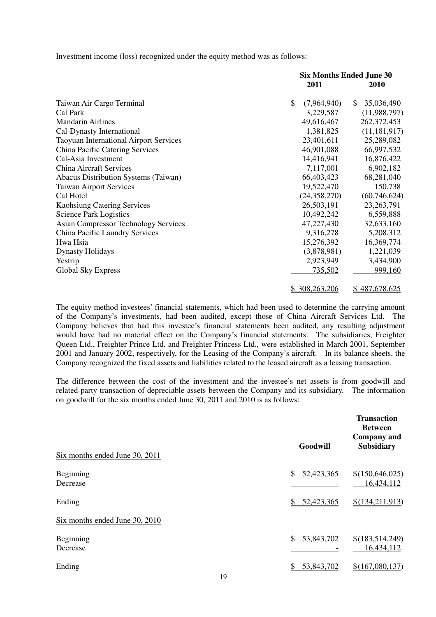Investment income (loss) recognized under the equity method was as follows:

|                                               | <b>Six Months Ended June 30</b> |                  |  |
|-----------------------------------------------|---------------------------------|------------------|--|
|                                               | 2011                            | 2010             |  |
| Taiwan Air Cargo Terminal                     | \$<br>(7,964,940)               | 35,036,490<br>\$ |  |
| Cal Park                                      | 3,229,587                       | (11,988,797)     |  |
| <b>Mandarin Airlines</b>                      | 49,616,467                      | 262, 372, 453    |  |
| Cal-Dynasty International                     | 1,381,825                       | (11, 181, 917)   |  |
| <b>Taoyuan International Airport Services</b> | 23,401,611                      | 25,289,082       |  |
| China Pacific Catering Services               | 46,901,088                      | 66,997,532       |  |
| Cal-Asia Investment                           | 14,416,941                      | 16,876,422       |  |
| <b>China Aircraft Services</b>                | 7,117,001                       | 6,902,182        |  |
| Abacus Distribution Systems (Taiwan)          | 66,403,423                      | 68,281,040       |  |
| <b>Taiwan Airport Services</b>                | 19,522,470                      | 150,738          |  |
| Cal Hotel                                     | (24, 358, 270)                  | (60, 746, 624)   |  |
| <b>Kaohsiung Catering Services</b>            | 26,503,191                      | 23, 263, 791     |  |
| <b>Science Park Logistics</b>                 | 10,492,242                      | 6,559,888        |  |
| <b>Asian Compressor Technology Services</b>   | 47,227,430                      | 32,633,160       |  |
| China Pacific Laundry Services                | 9,316,278                       | 5,208,312        |  |
| Hwa Hsia                                      | 15,276,392                      | 16,369,774       |  |
| <b>Dynasty Holidays</b>                       | (3,878,981)                     | 1,221,039        |  |
| Yestrip                                       | 2,923,949                       | 3,434,900        |  |
| Global Sky Express                            | <u>735,502</u>                  | 999,160          |  |
|                                               | \$ 308,263,206                  | \$487,678,625    |  |

 The equity-method investees' financial statements, which had been used to determine the carrying amount of the Company's investments, had been audited, except those of China Aircraft Services Ltd. The Company believes that had this investee's financial statements been audited, any resulting adjustment would have had no material effect on the Company's financial statements. The subsidiaries, Freighter Queen Ltd., Freighter Prince Ltd. and Freighter Princess Ltd., were established in March 2001, September 2001 and January 2002, respectively, for the Leasing of the Company's aircraft. In its balance sheets, the Company recognized the fixed assets and liabilities related to the leased aircraft as a leasing transaction.

 The difference between the cost of the investment and the investee's net assets is from goodwill and related-party transaction of depreciable assets between the Company and its subsidiary. The information on goodwill for the six months ended June 30, 2011 and 2010 is as follows:

| Goodwill         | <b>Transaction</b><br><b>Between</b><br><b>Company</b> and<br><b>Subsidiary</b> |
|------------------|---------------------------------------------------------------------------------|
| \$<br>52,423,365 | \$(150, 646, 025)<br>16,434,112                                                 |
| 52,423,365<br>\$ | \$(134,211,913)                                                                 |
|                  |                                                                                 |
| 53,843,702<br>\$ | \$(183,514,249)<br>16,434,112                                                   |
| 53,843,702<br>S  | \$(167,080,137)                                                                 |
|                  |                                                                                 |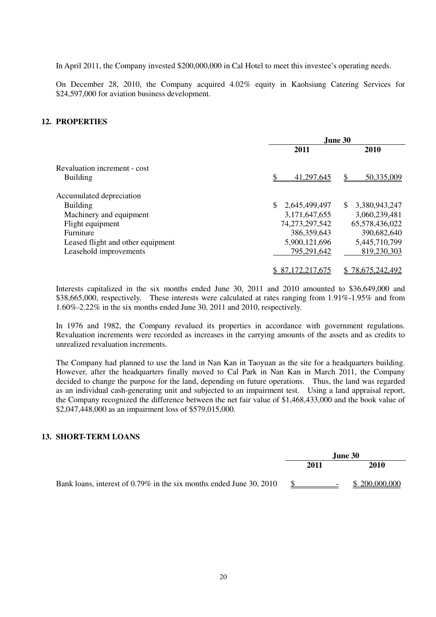In April 2011, the Company invested \$200,000,000 in Cal Hotel to meet this investee's operating needs.

 On December 28, 2010, the Company acquired 4.02% equity in Kaohsiung Catering Services for \$24,597,000 for aviation business development.

### **12. PROPERTIES**

|                                   | June 30          |                      |  |
|-----------------------------------|------------------|----------------------|--|
|                                   | 2011             | 2010                 |  |
| Revaluation increment - cost      |                  |                      |  |
| <b>Building</b>                   | 41,297,645       | 50,335,009<br>S      |  |
| Accumulated depreciation          |                  |                      |  |
| <b>Building</b>                   | 2,645,499,497    | 3,380,943,247<br>\$  |  |
| Machinery and equipment           | 3,171,647,655    | 3,060,239,481        |  |
| Flight equipment                  | 74,273,297,542   | 65,578,436,022       |  |
| Furniture                         | 386,359,643      | 390,682,640          |  |
| Leased flight and other equipment | 5,900,121,696    | 5,445,710,799        |  |
| Leasehold improvements            | 795,291,642      | 819,230,303          |  |
|                                   | \$87,172,217,675 | 78,675,242,492<br>S. |  |

 Interests capitalized in the six months ended June 30, 2011 and 2010 amounted to \$36,649,000 and \$38,665,000, respectively. These interests were calculated at rates ranging from 1.91%-1.95% and from 1.60%-2.22% in the six months ended June 30, 2011 and 2010, respectively.

 In 1976 and 1982, the Company revalued its properties in accordance with government regulations. Revaluation increments were recorded as increases in the carrying amounts of the assets and as credits to unrealized revaluation increments.

 The Company had planned to use the land in Nan Kan in Taoyuan as the site for a headquarters building. However, after the headquarters finally moved to Cal Park in Nan Kan in March 2011, the Company decided to change the purpose for the land, depending on future operations. Thus, the land was regarded as an individual cash-generating unit and subjected to an impairment test. Using a land appraisal report, the Company recognized the difference between the net fair value of \$1,468,433,000 and the book value of \$2,047,448,000 as an impairment loss of \$579,015,000.

### **13. SHORT-TERM LOANS**

|                                                                     | <b>June 30</b> |      |                          |               |
|---------------------------------------------------------------------|----------------|------|--------------------------|---------------|
|                                                                     |                | 2011 |                          | 2010          |
| Bank loans, interest of 0.79% in the six months ended June 30, 2010 |                |      | $\overline{\phantom{0}}$ | \$200,000,000 |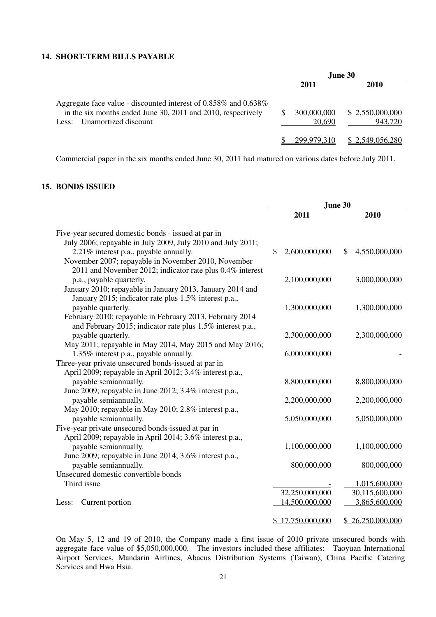### **14. SHORT-TERM BILLS PAYABLE**

|                                                                                                                                                                        |                       | <b>June 30</b>             |
|------------------------------------------------------------------------------------------------------------------------------------------------------------------------|-----------------------|----------------------------|
|                                                                                                                                                                        | 2011                  | 2010                       |
| Aggregate face value - discounted interest of $0.858\%$ and $0.638\%$<br>in the six months ended June 30, 2011 and 2010, respectively<br>Unamortized discount<br>Less: | 300,000,000<br>20.690 | \$2,550,000,000<br>943,720 |
|                                                                                                                                                                        | 299 979 310           | \$2,549,056,280            |

Commercial paper in the six months ended June 30, 2011 had matured on various dates before July 2011.

### **15. BONDS ISSUED**

|                                                                                                                                                            | June 30 |                                    |    |                                   |
|------------------------------------------------------------------------------------------------------------------------------------------------------------|---------|------------------------------------|----|-----------------------------------|
|                                                                                                                                                            |         | 2011                               |    | 2010                              |
| Five-year secured domestic bonds - issued at par in<br>July 2006; repayable in July 2009, July 2010 and July 2011;                                         |         |                                    |    |                                   |
| 2.21% interest p.a., payable annually.<br>November 2007; repayable in November 2010, November<br>2011 and November 2012; indicator rate plus 0.4% interest | \$      | 2,600,000,000                      | \$ | 4,550,000,000                     |
| p.a., payable quarterly.<br>January 2010; repayable in January 2013, January 2014 and<br>January 2015; indicator rate plus 1.5% interest p.a.,             |         | 2,100,000,000                      |    | 3,000,000,000                     |
| payable quarterly.<br>February 2010; repayable in February 2013, February 2014<br>and February 2015; indicator rate plus 1.5% interest p.a.,               |         | 1,300,000,000                      |    | 1,300,000,000                     |
| payable quarterly.<br>May 2011; repayable in May 2014, May 2015 and May 2016;                                                                              |         | 2,300,000,000                      |    | 2,300,000,000                     |
| 1.35% interest p.a., payable annually.<br>Three-year private unsecured bonds-issued at par in<br>April 2009; repayable in April 2012; 3.4% interest p.a.,  |         | 6,000,000,000                      |    |                                   |
| payable semiannually.<br>June 2009; repayable in June 2012; 3.4% interest p.a.,                                                                            |         | 8,800,000,000                      |    | 8,800,000,000                     |
| payable semiannually.<br>May 2010; repayable in May 2010; 2.8% interest p.a.,                                                                              |         | 2,200,000,000                      |    | 2,200,000,000                     |
| payable semiannually.<br>Five-year private unsecured bonds-issued at par in<br>April 2009; repayable in April 2014; 3.6% interest p.a.,                    |         | 5,050,000,000                      |    | 5,050,000,000                     |
| payable semiannually.<br>June 2009; repayable in June 2014; 3.6% interest p.a.,                                                                            |         | 1,100,000,000                      |    | 1,100,000,000                     |
| payable semiannually.<br>Unsecured domestic convertible bonds                                                                                              |         | 800,000,000                        |    | 800,000,000                       |
| Third issue                                                                                                                                                |         |                                    |    | 1,015,600,000                     |
|                                                                                                                                                            |         | 32,250,000,000                     |    | 30,115,600,000                    |
| Current portion<br>Less:                                                                                                                                   |         | 14,500,000,000<br>\$17,750,000,000 |    | 3,865,600,000<br>\$26,250,000,000 |
|                                                                                                                                                            |         |                                    |    |                                   |

 On May 5, 12 and 19 of 2010, the Company made a first issue of 2010 private unsecured bonds with aggregate face value of \$5,050,000,000. The investors included these affiliates: Taoyuan International Airport Services, Mandarin Airlines, Abacus Distribution Systems (Taiwan), China Pacific Catering Services and Hwa Hsia.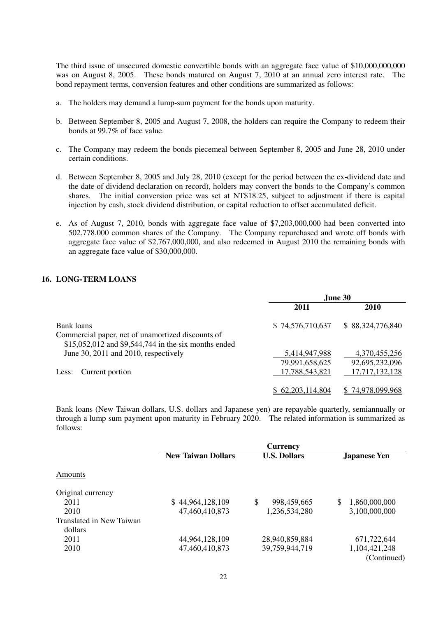The third issue of unsecured domestic convertible bonds with an aggregate face value of \$10,000,000,000 was on August 8, 2005. These bonds matured on August 7, 2010 at an annual zero interest rate. The bond repayment terms, conversion features and other conditions are summarized as follows:

- a. The holders may demand a lump-sum payment for the bonds upon maturity.
- b. Between September 8, 2005 and August 7, 2008, the holders can require the Company to redeem their bonds at 99.7% of face value.
- c. The Company may redeem the bonds piecemeal between September 8, 2005 and June 28, 2010 under certain conditions.
- d. Between September 8, 2005 and July 28, 2010 (except for the period between the ex-dividend date and the date of dividend declaration on record), holders may convert the bonds to the Company's common shares. The initial conversion price was set at NT\$18.25, subject to adjustment if there is capital injection by cash, stock dividend distribution, or capital reduction to offset accumulated deficit.
- e. As of August 7, 2010, bonds with aggregate face value of \$7,203,000,000 had been converted into 502,778,000 common shares of the Company. The Company repurchased and wrote off bonds with aggregate face value of \$2,767,000,000, and also redeemed in August 2010 the remaining bonds with an aggregate face value of \$30,000,000.

### **16. LONG-TERM LOANS**

|                                                      | June 30          |                  |  |
|------------------------------------------------------|------------------|------------------|--|
|                                                      | 2011             | <b>2010</b>      |  |
| Bank loans                                           | \$74,576,710,637 | \$88,324,776,840 |  |
| Commercial paper, net of unamortized discounts of    |                  |                  |  |
| \$15,052,012 and \$9,544,744 in the six months ended |                  |                  |  |
| June 30, 2011 and 2010, respectively                 | 5,414,947,988    | 4,370,455,256    |  |
|                                                      | 79,991,658,625   | 92,695,232,096   |  |
| Current portion<br>Less:                             | 17,788,543,821   | 17,717,132,128   |  |
|                                                      |                  |                  |  |
|                                                      | \$62,203,114,804 | \$74,978,099,968 |  |

 Bank loans (New Taiwan dollars, U.S. dollars and Japanese yen) are repayable quarterly, semiannually or through a lump sum payment upon maturity in February 2020. The related information is summarized as follows:

|                          | <b>Currency</b>           |                     |                     |  |  |
|--------------------------|---------------------------|---------------------|---------------------|--|--|
| <b>Amounts</b>           | <b>New Taiwan Dollars</b> | <b>U.S. Dollars</b> | <b>Japanese Yen</b> |  |  |
|                          |                           |                     |                     |  |  |
| Original currency        |                           |                     |                     |  |  |
| 2011                     | \$44,964,128,109          | \$<br>998,459,665   | \$<br>1,860,000,000 |  |  |
| 2010                     | 47,460,410,873            | 1,236,534,280       | 3,100,000,000       |  |  |
| Translated in New Taiwan |                           |                     |                     |  |  |
| dollars                  |                           |                     |                     |  |  |
| 2011                     | 44,964,128,109            | 28,940,859,884      | 671,722,644         |  |  |
| 2010                     | 47,460,410,873            | 39,759,944,719      | 1,104,421,248       |  |  |
|                          |                           |                     | (Continued)         |  |  |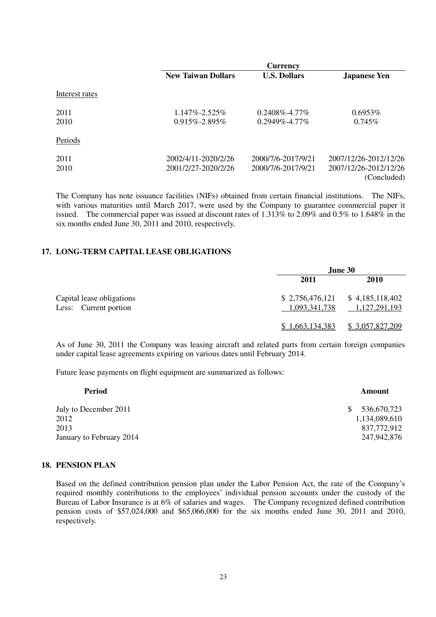|                |                                            | <b>Currency</b>                            |                                                               |
|----------------|--------------------------------------------|--------------------------------------------|---------------------------------------------------------------|
|                | <b>New Taiwan Dollars</b>                  | <b>U.S. Dollars</b>                        | <b>Japanese Yen</b>                                           |
| Interest rates |                                            |                                            |                                                               |
| 2011<br>2010   | $1.147\% - 2.525\%$<br>$0.915\% - 2.895\%$ | $0.2408\% - 4.77\%$<br>$0.2949\% - 4.77\%$ | $0.6953\%$<br>$0.745\%$                                       |
| Periods        |                                            |                                            |                                                               |
| 2011<br>2010   | 2002/4/11-2020/2/26<br>2001/2/27-2020/2/26 | 2000/7/6-2017/9/21<br>2000/7/6-2017/9/21   | 2007/12/26-2012/12/26<br>2007/12/26-2012/12/26<br>(Concluded) |

 The Company has note issuance facilities (NIFs) obtained from certain financial institutions. The NIFs, with various maturities until March 2017, were used by the Company to guarantee commercial paper it issued. The commercial paper was issued at discount rates of 1.313% to 2.09% and 0.5% to 1.648% in the six months ended June 30, 2011 and 2010, respectively.

| 17. LONG-TERM CAPITAL LEASE OBLIGATIONS            |                 |                                                    |
|----------------------------------------------------|-----------------|----------------------------------------------------|
|                                                    |                 | June 30                                            |
|                                                    | 2011            | 2010                                               |
| Capital lease obligations<br>Less: Current portion | 1,093,341,738   | $$2,756,476,121$ $$4,185,118,402$<br>1,127,291,193 |
|                                                    | \$1,663,134,383 | \$3,057,827,209                                    |

 As of June 30, 2011 the Company was leasing aircraft and related parts from certain foreign companies under capital lease agreements expiring on various dates until February 2014.

Future lease payments on flight equipment are summarized as follows:

| Amount            |
|-------------------|
| 536,670,723<br>S. |
| 1,134,089,610     |
| 837,772,912       |
| 247,942,876       |
|                   |

### **18. PENSION PLAN**

 Based on the defined contribution pension plan under the Labor Pension Act, the rate of the Company's required monthly contributions to the employees' individual pension accounts under the custody of the Bureau of Labor Insurance is at 6% of salaries and wages. The Company recognized defined contribution pension costs of \$57,024,000 and \$65,066,000 for the six months ended June 30, 2011 and 2010, respectively.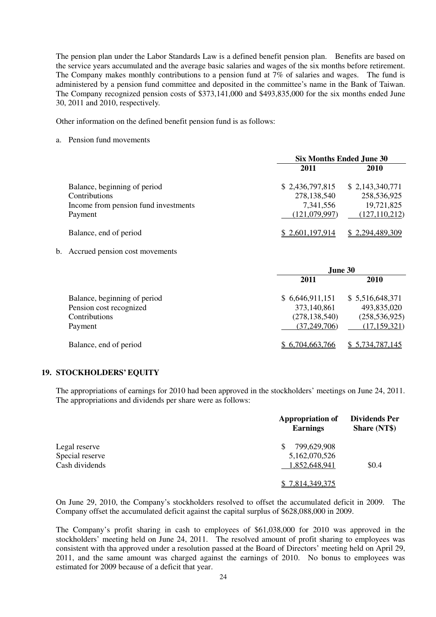The pension plan under the Labor Standards Law is a defined benefit pension plan. Benefits are based on the service years accumulated and the average basic salaries and wages of the six months before retirement. The Company makes monthly contributions to a pension fund at 7% of salaries and wages. The fund is administered by a pension fund committee and deposited in the committee's name in the Bank of Taiwan. The Company recognized pension costs of \$373,141,000 and \$493,835,000 for the six months ended June 30, 2011 and 2010, respectively.

30, 2011 and 2010, respectively. Other information on the defined benefit pension fund is as follows:

a. Pension fund movements

|                                      | <b>Six Months Ended June 30</b> |                 |  |
|--------------------------------------|---------------------------------|-----------------|--|
|                                      | 2011                            | 2010            |  |
| Balance, beginning of period         | \$2,436,797,815                 | \$2,143,340,771 |  |
| Contributions                        | 278,138,540                     | 258,536,925     |  |
| Income from pension fund investments | 7,341,556                       | 19,721,825      |  |
| Payment                              | (121,079,997)                   | (127, 110, 212) |  |
| Balance, end of period               | \$2,601,197,914                 | \$2,294,489,309 |  |

b. Accrued pension cost movements

|                              | June 30         |                 |  |  |
|------------------------------|-----------------|-----------------|--|--|
|                              | 2011            | 2010            |  |  |
| Balance, beginning of period | \$6,646,911,151 | \$5,516,648,371 |  |  |
| Pension cost recognized      | 373,140,861     | 493,835,020     |  |  |
| Contributions                | (278, 138, 540) | (258, 536, 925) |  |  |
| Payment                      | (37, 249, 706)  | (17, 159, 321)  |  |  |
| Balance, end of period       | \$6,704,663,766 | \$5,734,787,145 |  |  |

### **19. STOCKHOLDERS' EQUITY**

 The appropriations of earnings for 2010 had been approved in the stockholders' meetings on June 24, 2011. The appropriations and dividends per share were as follows:

|                 | <b>Appropriation of</b><br><b>Earnings</b> | <b>Dividends Per</b><br><b>Share (NT\$)</b> |
|-----------------|--------------------------------------------|---------------------------------------------|
| Legal reserve   | 799,629,908                                |                                             |
| Special reserve | 5,162,070,526                              |                                             |
| Cash dividends  | 1,852,648,941                              | \$0.4                                       |
|                 | \$7,814,349,375                            |                                             |

 On June 29, 2010, the Company's stockholders resolved to offset the accumulated deficit in 2009. The Company offset the accumulated deficit against the capital surplus of \$628,088,000 in 2009.

 The Company's profit sharing in cash to employees of \$61,038,000 for 2010 was approved in the stockholders' meeting held on June 24, 2011. The resolved amount of profit sharing to employees was consistent with tha approved under a resolution passed at the Board of Directors' meeting held on April 29, 2011, and the same amount was charged against the earnings of 2010. No bonus to employees was estimated for 2009 because of a deficit that year.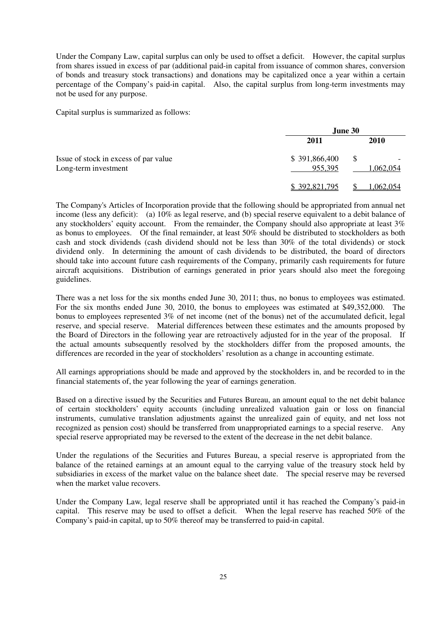Under the Company Law, capital surplus can only be used to offset a deficit. However, the capital surplus from shares issued in excess of par (additional paid-in capital from issuance of common shares, conversion of bonds and treasury stock transactions) and donations may be capitalized once a year within a certain percentage of the Company's paid-in capital. Also, the capital surplus from long-term investments may not be used for any purpose.

not be used for any purpose. Capital surplus is summarized as follows:

|                                                               | June 30                  |                  |  |
|---------------------------------------------------------------|--------------------------|------------------|--|
|                                                               | 2011                     | <b>2010</b>      |  |
| Issue of stock in excess of par value<br>Long-term investment | \$391,866,400<br>955,395 | S<br>1,062,054   |  |
|                                                               | \$392,821,795            | <u>1,062,054</u> |  |

 The Company's Articles of Incorporation provide that the following should be appropriated from annual net income (less any deficit): (a) 10% as legal reserve, and (b) special reserve equivalent to a debit balance of any stockholders' equity account. From the remainder, the Company should also appropriate at least 3% as bonus to employees. Of the final remainder, at least 50% should be distributed to stockholders as both cash and stock dividends (cash dividend should not be less than 30% of the total dividends) or stock dividend only. In determining the amount of cash dividends to be distributed, the board of directors should take into account future cash requirements of the Company, primarily cash requirements for future aircraft acquisitions. Distribution of earnings generated in prior years should also meet the foregoing guidelines.

 There was a net loss for the six months ended June 30, 2011; thus, no bonus to employees was estimated. For the six months ended June 30, 2010, the bonus to employees was estimated at \$49,352,000. The bonus to employees represented 3% of net income (net of the bonus) net of the accumulated deficit, legal reserve, and special reserve. Material differences between these estimates and the amounts proposed by the Board of Directors in the following year are retroactively adjusted for in the year of the proposal. If the actual amounts subsequently resolved by the stockholders differ from the proposed amounts, the differences are recorded in the year of stockholders' resolution as a change in accounting estimate.

 All earnings appropriations should be made and approved by the stockholders in, and be recorded to in the financial statements of, the year following the year of earnings generation.

 Based on a directive issued by the Securities and Futures Bureau, an amount equal to the net debit balance of certain stockholders' equity accounts (including unrealized valuation gain or loss on financial instruments, cumulative translation adjustments against the unrealized gain of equity, and net loss not recognized as pension cost) should be transferred from unappropriated earnings to a special reserve. Any special reserve appropriated may be reversed to the extent of the decrease in the net debit balance.

 Under the regulations of the Securities and Futures Bureau, a special reserve is appropriated from the balance of the retained earnings at an amount equal to the carrying value of the treasury stock held by subsidiaries in excess of the market value on the balance sheet date. The special reserve may be reversed when the market value recovers.

 Under the Company Law, legal reserve shall be appropriated until it has reached the Company's paid-in capital. This reserve may be used to offset a deficit. When the legal reserve has reached 50% of the Company's paid-in capital, up to 50% thereof may be transferred to paid-in capital.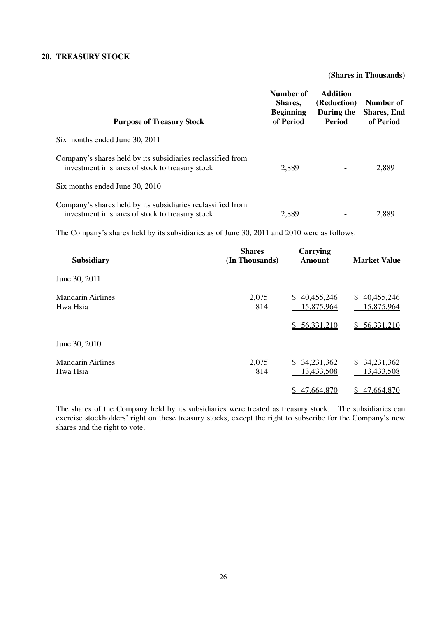### **20. TREASURY STOCK**

### **(Shares in Thousands)**

| <b>Purpose of Treasury Stock</b>                                                                               | Number of<br>Shares,<br><b>Beginning</b><br>of Period | <b>Addition</b><br>(Reduction)<br>During the<br><b>Period</b> | Number of<br><b>Shares, End</b><br>of Period |
|----------------------------------------------------------------------------------------------------------------|-------------------------------------------------------|---------------------------------------------------------------|----------------------------------------------|
| Six months ended June 30, 2011                                                                                 |                                                       |                                                               |                                              |
| Company's shares held by its subsidiaries reclassified from<br>investment in shares of stock to treasury stock | 2,889                                                 |                                                               | 2,889                                        |
| Six months ended June 30, 2010                                                                                 |                                                       |                                                               |                                              |
| Company's shares held by its subsidiaries reclassified from<br>investment in shares of stock to treasury stock | 2,889                                                 |                                                               | 2,889                                        |

The Company's shares held by its subsidiaries as of June 30, 2011 and 2010 were as follows:

| <b>Subsidiary</b>                    | <b>Shares</b><br>(In Thousands) | Carrying<br><b>Amount</b>  | <b>Market Value</b>            |
|--------------------------------------|---------------------------------|----------------------------|--------------------------------|
| June 30, 2011                        |                                 |                            |                                |
| <b>Mandarin Airlines</b><br>Hwa Hsia | 2,075<br>814                    | \$40,455,246<br>15,875,964 | \$40,455,246<br>15,875,964     |
|                                      |                                 | \$56,331,210               | \$56,331,210                   |
| June 30, 2010                        |                                 |                            |                                |
| <b>Mandarin Airlines</b><br>Hwa Hsia | 2,075<br>814                    | \$34,231,362<br>13,433,508 | 34,231,362<br>S.<br>13,433,508 |
|                                      |                                 | 47,664,870<br>\$           | 47,664,870<br>\$               |

 The shares of the Company held by its subsidiaries were treated as treasury stock. The subsidiaries can exercise stockholders' right on these treasury stocks, except the right to subscribe for the Company's new shares and the right to vote.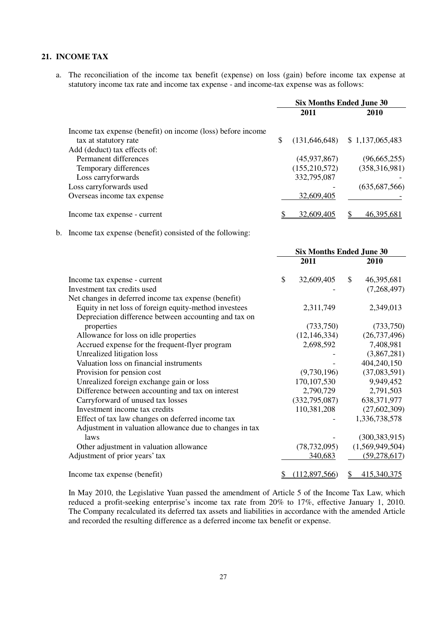### **21. INCOME TAX**

a. The reconciliation of the income tax benefit (expense) on loss (gain) before income tax expense at statutory income tax rate and income tax expense - and income-tax expense was as follows:

|                                                             | <b>Six Months Ended June 30</b> |               |                                  |
|-------------------------------------------------------------|---------------------------------|---------------|----------------------------------|
|                                                             |                                 | 2011          | <b>2010</b>                      |
| Income tax expense (benefit) on income (loss) before income |                                 |               |                                  |
| tax at statutory rate                                       | S                               |               | $(131,646,648)$ \$ 1,137,065,483 |
| Add (deduct) tax effects of:                                |                                 |               |                                  |
| Permanent differences                                       |                                 | (45,937,867)  | (96,665,255)                     |
| Temporary differences                                       |                                 | (155,210,572) | (358, 316, 981)                  |
| Loss carryforwards                                          |                                 | 332,795,087   |                                  |
| Loss carryforwards used                                     |                                 |               | (635, 687, 566)                  |
| Overseas income tax expense                                 |                                 | 32,609,405    |                                  |
| Income tax expense - current                                |                                 | 32,609,405    | 46,395,681                       |

b. Income tax expense (benefit) consisted of the following:

|                                                         | <b>Six Months Ended June 30</b> |                |    |                 |
|---------------------------------------------------------|---------------------------------|----------------|----|-----------------|
|                                                         |                                 | 2011           |    | 2010            |
| Income tax expense - current                            | \$                              | 32,609,405     | \$ | 46,395,681      |
| Investment tax credits used                             |                                 |                |    | (7,268,497)     |
| Net changes in deferred income tax expense (benefit)    |                                 |                |    |                 |
| Equity in net loss of foreign equity-method investees   |                                 | 2,311,749      |    | 2,349,013       |
| Depreciation difference between accounting and tax on   |                                 |                |    |                 |
| properties                                              |                                 | (733,750)      |    | (733,750)       |
| Allowance for loss on idle properties                   |                                 | (12, 146, 334) |    | (26, 737, 496)  |
| Accrued expense for the frequent-flyer program          |                                 | 2,698,592      |    | 7,408,981       |
| Unrealized litigation loss                              |                                 |                |    | (3,867,281)     |
| Valuation loss on financial instruments                 |                                 |                |    | 404,240,150     |
| Provision for pension cost                              |                                 | (9,730,196)    |    | (37,083,591)    |
| Unrealized foreign exchange gain or loss                |                                 | 170, 107, 530  |    | 9,949,452       |
| Difference between accounting and tax on interest       |                                 | 2,790,729      |    | 2,791,503       |
| Carryforward of unused tax losses                       |                                 | (332,795,087)  |    | 638, 371, 977   |
| Investment income tax credits                           |                                 | 110,381,208    |    | (27,602,309)    |
| Effect of tax law changes on deferred income tax        |                                 |                |    | 1,336,738,578   |
| Adjustment in valuation allowance due to changes in tax |                                 |                |    |                 |
| laws                                                    |                                 |                |    | (300, 383, 915) |
| Other adjustment in valuation allowance                 |                                 | (78, 732, 095) |    | (1,569,949,504) |
| Adjustment of prior years' tax                          |                                 | 340,683        |    | (59, 278, 617)  |
| Income tax expense (benefit)                            |                                 | (112,897,566)  | \$ | 415,340,375     |

 In May 2010, the Legislative Yuan passed the amendment of Article 5 of the Income Tax Law, which reduced a profit-seeking enterprise's income tax rate from 20% to 17%, effective January 1, 2010. The Company recalculated its deferred tax assets and liabilities in accordance with the amended Article and recorded the resulting difference as a deferred income tax benefit or expense.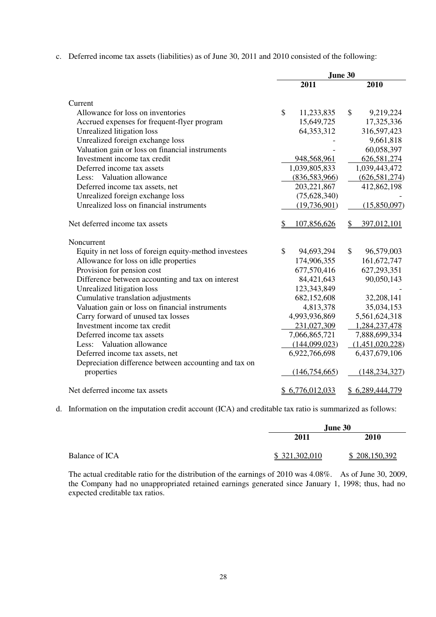c. Deferred income tax assets (liabilities) as of June 30, 2011 and 2010 consisted of the following:

|                                                       | June 30 |                 |    |                 |
|-------------------------------------------------------|---------|-----------------|----|-----------------|
|                                                       |         | 2011            |    | 2010            |
| Current                                               |         |                 |    |                 |
| Allowance for loss on inventories                     | \$      | 11,233,835      | \$ | 9,219,224       |
| Accrued expenses for frequent-flyer program           |         | 15,649,725      |    | 17,325,336      |
| Unrealized litigation loss                            |         | 64, 353, 312    |    | 316,597,423     |
| Unrealized foreign exchange loss                      |         |                 |    | 9,661,818       |
| Valuation gain or loss on financial instruments       |         |                 |    | 60,058,397      |
| Investment income tax credit                          |         | 948,568,961     |    | 626,581,274     |
| Deferred income tax assets                            |         | 1,039,805,833   |    | 1,039,443,472   |
| Less: Valuation allowance                             |         | (836,583,966)   |    | (626, 581, 274) |
| Deferred income tax assets, net                       |         | 203, 221, 867   |    | 412,862,198     |
| Unrealized foreign exchange loss                      |         | (75,628,340)    |    |                 |
| Unrealized loss on financial instruments              |         | (19, 736, 901)  |    | (15,850,097)    |
| Net deferred income tax assets                        |         | 107,856,626     | S  | 397,012,101     |
| Noncurrent                                            |         |                 |    |                 |
| Equity in net loss of foreign equity-method investees | \$      | 94,693,294      | \$ | 96,579,003      |
| Allowance for loss on idle properties                 |         | 174,906,355     |    | 161,672,747     |
| Provision for pension cost                            |         | 677,570,416     |    | 627,293,351     |
| Difference between accounting and tax on interest     |         | 84,421,643      |    | 90,050,143      |
| Unrealized litigation loss                            |         | 123,343,849     |    |                 |
| Cumulative translation adjustments                    |         | 682,152,608     |    | 32,208,141      |
| Valuation gain or loss on financial instruments       |         | 4,813,378       |    | 35,034,153      |
| Carry forward of unused tax losses                    |         | 4,993,936,869   |    | 5,561,624,318   |
| Investment income tax credit                          |         | 231,027,309     |    | 1,284,237,478   |
| Deferred income tax assets                            |         | 7,066,865,721   |    | 7,888,699,334   |
| Valuation allowance<br>Less:                          |         | (144,099,023)   |    | (1,451,020,228) |
| Deferred income tax assets, net                       |         | 6,922,766,698   |    | 6,437,679,106   |
| Depreciation difference between accounting and tax on |         |                 |    |                 |
| properties                                            |         | (146,754,665)   |    | (148, 234, 327) |
| Net deferred income tax assets                        |         | \$6,776,012,033 |    | \$6,289,444,779 |

d. Information on the imputation credit account (ICA) and creditable tax ratio is summarized as follows:

|                |               | June 30       |
|----------------|---------------|---------------|
|                | 2011          | 2010          |
| Balance of ICA | \$321,302,010 | \$208,150,392 |

 The actual creditable ratio for the distribution of the earnings of 2010 was 4.08%. As of June 30, 2009, the Company had no unappropriated retained earnings generated since January 1, 1998; thus, had no expected creditable tax ratios.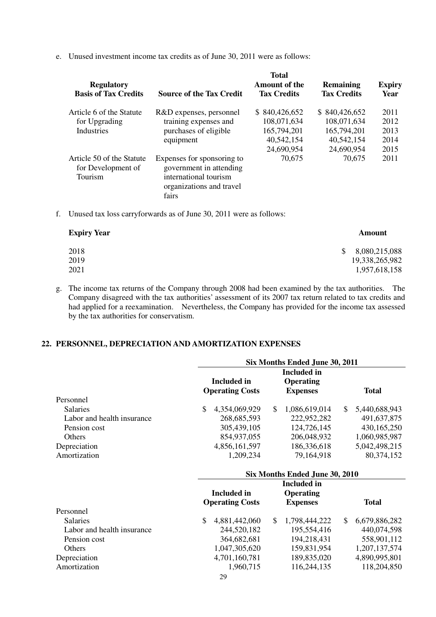e. Unused investment income tax credits as of June 30, 2011 were as follows:

|    | <b>Regulatory</b><br><b>Basis of Tax Credits</b>           | <b>Source of the Tax Credit</b>                                                                                     | <b>Total</b><br><b>Amount of the</b><br><b>Tax Credits</b>              | Remaining<br><b>Tax Credits</b>                                         | <b>Expiry</b><br>Year                |
|----|------------------------------------------------------------|---------------------------------------------------------------------------------------------------------------------|-------------------------------------------------------------------------|-------------------------------------------------------------------------|--------------------------------------|
|    | Article 6 of the Statute<br>for Upgrading<br>Industries    | R&D expenses, personnel<br>training expenses and<br>purchases of eligible<br>equipment                              | \$840,426,652<br>108,071,634<br>165,794,201<br>40,542,154<br>24,690,954 | \$840,426,652<br>108,071,634<br>165,794,201<br>40,542,154<br>24,690,954 | 2011<br>2012<br>2013<br>2014<br>2015 |
|    | Article 50 of the Statute<br>for Development of<br>Tourism | Expenses for sponsoring to<br>government in attending<br>international tourism<br>organizations and travel<br>fairs | 70,675                                                                  | 70,675                                                                  | 2011                                 |
| f. |                                                            | Unused tax loss carryforwards as of June 30, 2011 were as follows:                                                  |                                                                         |                                                                         |                                      |

| <b>Expiry Year</b> | Amount              |
|--------------------|---------------------|
| 2018               | 8,080,215,088<br>S. |
| 2019               | 19,338,265,982      |
| 2021               | 1,957,618,158       |

g. The income tax returns of the Company through 2008 had been examined by the tax authorities. The Company disagreed with the tax authorities' assessment of its 2007 tax return related to tax credits and had applied for a reexamination. Nevertheless, the Company has provided for the income tax assessed by the tax authorities for conservatism.

### **22. PERSONNEL, DEPRECIATION AND AMORTIZATION EXPENSES**

|                            | Six Months Ended June 30, 2011               |                                                           |                     |  |  |  |  |
|----------------------------|----------------------------------------------|-----------------------------------------------------------|---------------------|--|--|--|--|
|                            | <b>Included</b> in<br><b>Operating Costs</b> | <b>Included</b> in<br><b>Operating</b><br><b>Expenses</b> | <b>Total</b>        |  |  |  |  |
| Personnel                  |                                              |                                                           |                     |  |  |  |  |
| <b>Salaries</b>            | $\mathcal{S}$<br>4,354,069,929               | $\mathbb{S}$<br>1,086,619,014                             | \$<br>5,440,688,943 |  |  |  |  |
| Labor and health insurance | 268, 685, 593                                | 222,952,282                                               | 491,637,875         |  |  |  |  |
| Pension cost               | 305,439,105                                  | 124,726,145                                               | 430,165,250         |  |  |  |  |
| Others                     | 854,937,055                                  | 206,048,932                                               | 1,060,985,987       |  |  |  |  |
| Depreciation               | 4,856,161,597                                | 186,336,618                                               | 5,042,498,215       |  |  |  |  |
| Amortization               | 1,209,234                                    | 79,164,918                                                | 80,374,152          |  |  |  |  |
|                            |                                              | Six Months Ended June 30, 2010                            |                     |  |  |  |  |
|                            |                                              | <b>Included</b> in                                        |                     |  |  |  |  |
|                            | <b>Included</b> in                           | <b>Operating</b>                                          |                     |  |  |  |  |
|                            | <b>Operating Costs</b>                       | <b>Expenses</b>                                           | <b>Total</b>        |  |  |  |  |
| Personnel                  |                                              |                                                           |                     |  |  |  |  |
| <b>Salaries</b>            | \$<br>4,881,442,060                          | \$<br>1,798,444,222                                       | \$<br>6,679,886,282 |  |  |  |  |
| Labor and health insurance | 244,520,182                                  | 195,554,416                                               | 440,074,598         |  |  |  |  |
| Pension cost               | 364,682,681                                  | 194,218,431                                               | 558,901,112         |  |  |  |  |
| Others                     | 1,047,305,620                                | 159,831,954                                               | 1,207,137,574       |  |  |  |  |
| Depreciation               | 4,701,160,781                                | 189,835,020                                               | 4,890,995,801       |  |  |  |  |
| Amortization               | 1,960,715                                    | 116,244,135                                               | 118,204,850         |  |  |  |  |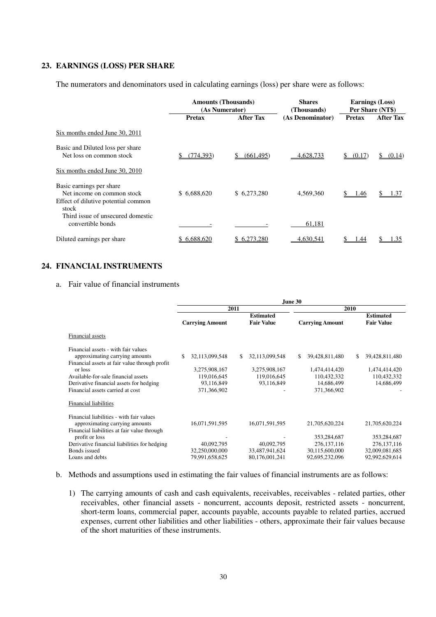### **23. EARNINGS (LOSS) PER SHARE**

The numerators and denominators used in calculating earnings (loss) per share were as follows:

|                                                                                                        | <b>Amounts (Thousands)</b><br>(As Numerator) |                  | <b>Shares</b><br>(Thousands) | <b>Earnings (Loss)</b><br>Per Share (NT\$) |                  |  |
|--------------------------------------------------------------------------------------------------------|----------------------------------------------|------------------|------------------------------|--------------------------------------------|------------------|--|
|                                                                                                        | <b>Pretax</b>                                | <b>After Tax</b> | (As Denominator)             | <b>Pretax</b>                              | <b>After Tax</b> |  |
| Six months ended June 30, 2011                                                                         |                                              |                  |                              |                                            |                  |  |
| Basic and Diluted loss per share<br>Net loss on common stock                                           | (774, 393)                                   | (661, 495)       | 4,628,733                    | (0.17)<br>S.                               | (0.14)           |  |
| Six months ended June 30, 2010                                                                         |                                              |                  |                              |                                            |                  |  |
| Basic earnings per share<br>Net income on common stock<br>Effect of dilutive potential common<br>stock | \$6,688,620                                  | \$6,273,280      | 4,569,360                    | 1.46                                       | 1.37             |  |
| Third issue of unsecured domestic<br>convertible bonds                                                 |                                              |                  | 61,181                       |                                            |                  |  |
| Diluted earnings per share                                                                             | \$6.688,620                                  | 6.273.280        | 4.630.541                    | .44                                        | L.35             |  |

### **24. FINANCIAL INSTRUMENTS**

a. Fair value of financial instruments

|                                                                                                                                                                                                                                                         | June 30                                                                           |                                                                    |                                                                                   |                                                                    |  |  |  |
|---------------------------------------------------------------------------------------------------------------------------------------------------------------------------------------------------------------------------------------------------------|-----------------------------------------------------------------------------------|--------------------------------------------------------------------|-----------------------------------------------------------------------------------|--------------------------------------------------------------------|--|--|--|
|                                                                                                                                                                                                                                                         |                                                                                   | 2011                                                               | 2010                                                                              |                                                                    |  |  |  |
|                                                                                                                                                                                                                                                         | <b>Carrying Amount</b>                                                            | <b>Estimated</b><br><b>Fair Value</b>                              | <b>Carrying Amount</b>                                                            | <b>Estimated</b><br><b>Fair Value</b>                              |  |  |  |
| Financial assets                                                                                                                                                                                                                                        |                                                                                   |                                                                    |                                                                                   |                                                                    |  |  |  |
| Financial assets - with fair values<br>approximating carrying amounts<br>Financial assets at fair value through profit<br>or loss<br>Available-for-sale financial assets<br>Derivative financial assets for hedging<br>Financial assets carried at cost | 32,113,099,548<br>\$<br>3,275,908,167<br>119,016,645<br>93,116,849<br>371,366,902 | 32,113,099,548<br>\$<br>3,275,908,167<br>119,016,645<br>93,116,849 | S.<br>39,428,811,480<br>1,474,414,420<br>110,432,332<br>14,686,499<br>371,366,902 | \$<br>39,428,811,480<br>1,474,414,420<br>110,432,332<br>14,686,499 |  |  |  |
| <b>Financial liabilities</b>                                                                                                                                                                                                                            |                                                                                   |                                                                    |                                                                                   |                                                                    |  |  |  |
| Financial liabilities - with fair values<br>approximating carrying amounts<br>Financial liabilities at fair value through                                                                                                                               | 16,071,591,595                                                                    | 16,071,591,595                                                     | 21,705,620,224                                                                    | 21,705,620,224                                                     |  |  |  |
| profit or loss<br>Derivative financial liabilities for hedging<br>Bonds issued<br>Loans and debts                                                                                                                                                       | 40,092,795<br>32,250,000,000<br>79,991,658,625                                    | 40,092,795<br>33,487,941,624<br>80,176,001,241                     | 353,284,687<br>276, 137, 116<br>30,115,600,000<br>92,695,232,096                  | 353,284,687<br>276, 137, 116<br>32,009,081,685<br>92,992,629,614   |  |  |  |

- b. Methods and assumptions used in estimating the fair values of financial instruments are as follows:
	- 1) The carrying amounts of cash and cash equivalents, receivables, receivables related parties, other receivables, other financial assets - noncurrent, accounts deposit, restricted assets - noncurrent, short-term loans, commercial paper, accounts payable, accounts payable to related parties, accrued expenses, current other liabilities and other liabilities - others, approximate their fair values because of the short maturities of these instruments.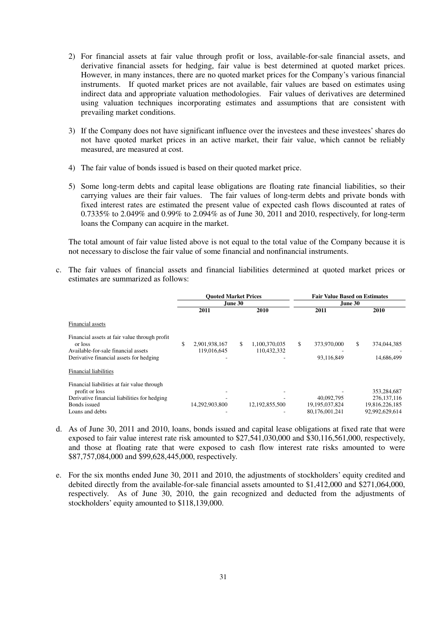- 2) For financial assets at fair value through profit or loss, available-for-sale financial assets, and derivative financial assets for hedging, fair value is best determined at quoted market prices. However, in many instances, there are no quoted market prices for the Company's various financial instruments. If quoted market prices are not available, fair values are based on estimates using indirect data and appropriate valuation methodologies. Fair values of derivatives are determined using valuation techniques incorporating estimates and assumptions that are consistent with prevailing market conditions.
- 3) If the Company does not have significant influence over the investees and these investees' shares do not have quoted market prices in an active market, their fair value, which cannot be reliably measured, are measured at cost.
- 4) The fair value of bonds issued is based on their quoted market price.
- 5) Some long-term debts and capital lease obligations are floating rate financial liabilities, so their carrying values are their fair values. The fair values of long-term debts and private bonds with fixed interest rates are estimated the present value of expected cash flows discounted at rates of 0.7335% to 2.049% and 0.99% to 2.094% as of June 30, 2011 and 2010, respectively, for long-term loans the Company can acquire in the market.

 The total amount of fair value listed above is not equal to the total value of the Company because it is not necessary to disclose the fair value of some financial and nonfinancial instruments.

 c. The fair values of financial assets and financial liabilities determined at quoted market prices or estimates are summarized as follows:

|                                                                                                                                                  |                                    | <b>Ouoted Market Prices</b>        | <b>Fair Value Based on Estimates</b><br>June 30   |                                                                  |  |
|--------------------------------------------------------------------------------------------------------------------------------------------------|------------------------------------|------------------------------------|---------------------------------------------------|------------------------------------------------------------------|--|
|                                                                                                                                                  |                                    | <b>June 30</b>                     |                                                   |                                                                  |  |
|                                                                                                                                                  | 2011                               | 2010                               | 2011                                              | 2010                                                             |  |
| Financial assets                                                                                                                                 |                                    |                                    |                                                   |                                                                  |  |
| Financial assets at fair value through profit<br>or loss<br>Available-for-sale financial assets<br>Derivative financial assets for hedging       | \$<br>2,901,938,167<br>119,016,645 | \$<br>1,100,370,035<br>110.432.332 | \$<br>373,970,000<br>93,116,849                   | \$<br>374,044,385<br>14,686,499                                  |  |
| Financial liabilities                                                                                                                            |                                    |                                    |                                                   |                                                                  |  |
| Financial liabilities at fair value through<br>profit or loss<br>Derivative financial liabilities for hedging<br>Bonds issued<br>Loans and debts | 14,292,903,800                     | 12, 192, 855, 500                  | 40,092,795<br>19, 195, 037, 824<br>80,176,001,241 | 353,284,687<br>276, 137, 116<br>19,816,226,185<br>92,992,629,614 |  |

- d. As of June 30, 2011 and 2010, loans, bonds issued and capital lease obligations at fixed rate that were exposed to fair value interest rate risk amounted to \$27,541,030,000 and \$30,116,561,000, respectively, and those at floating rate that were exposed to cash flow interest rate risks amounted to were \$87,757,084,000 and \$99,628,445,000, respectively.
- e. For the six months ended June 30, 2011 and 2010, the adjustments of stockholders' equity credited and debited directly from the available-for-sale financial assets amounted to \$1,412,000 and \$271,064,000, respectively. As of June 30, 2010, the gain recognized and deducted from the adjustments of stockholders' equity amounted to \$118,139,000.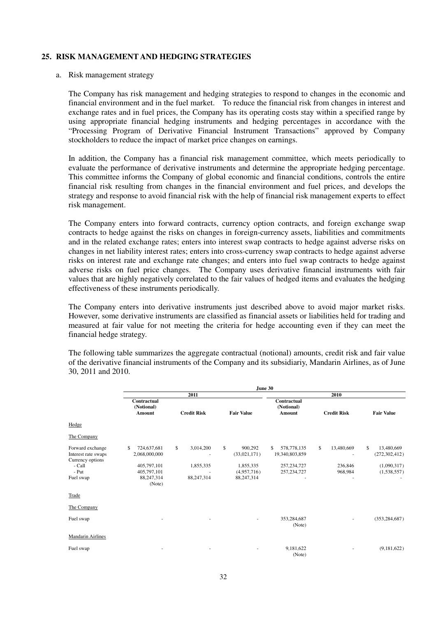### **25. RISK MANAGEMENT AND HEDGING STRATEGIES**

### a. Risk management strategy

 The Company has risk management and hedging strategies to respond to changes in the economic and financial environment and in the fuel market. To reduce the financial risk from changes in interest and exchange rates and in fuel prices, the Company has its operating costs stay within a specified range by using appropriate financial hedging instruments and hedging percentages in accordance with the "Processing Program of Derivative Financial Instrument Transactions" approved by Company stockholders to reduce the impact of market price changes on earnings.

 In addition, the Company has a financial risk management committee, which meets periodically to evaluate the performance of derivative instruments and determine the appropriate hedging percentage. This committee informs the Company of global economic and financial conditions, controls the entire financial risk resulting from changes in the financial environment and fuel prices, and develops the strategy and response to avoid financial risk with the help of financial risk management experts to effect risk management.

 The Company enters into forward contracts, currency option contracts, and foreign exchange swap contracts to hedge against the risks on changes in foreign-currency assets, liabilities and commitments and in the related exchange rates; enters into interest swap contracts to hedge against adverse risks on changes in net liability interest rates; enters into cross-currency swap contracts to hedge against adverse risks on interest rate and exchange rate changes; and enters into fuel swap contracts to hedge against adverse risks on fuel price changes. The Company uses derivative financial instruments with fair values that are highly negatively correlated to the fair values of hedged items and evaluates the hedging effectiveness of these instruments periodically.

 The Company enters into derivative instruments just described above to avoid major market risks. However, some derivative instruments are classified as financial assets or liabilities held for trading and measured at fair value for not meeting the criteria for hedge accounting even if they can meet the financial hedge strategy.

 The following table summarizes the aggregate contractual (notional) amounts, credit risk and fair value of the derivative financial instruments of the Company and its subsidiariy, Mandarin Airlines, as of June 30, 2011 and 2010.

|                                                             | June 30                                    |                    |                                         |                                     |                    |                                     |  |
|-------------------------------------------------------------|--------------------------------------------|--------------------|-----------------------------------------|-------------------------------------|--------------------|-------------------------------------|--|
|                                                             |                                            | 2011               |                                         |                                     | 2010               |                                     |  |
|                                                             | <b>Contractual</b><br>(Notional)<br>Amount | <b>Credit Risk</b> | <b>Fair Value</b>                       | Contractual<br>(Notional)<br>Amount | <b>Credit Risk</b> | <b>Fair Value</b>                   |  |
| Hedge                                                       |                                            |                    |                                         |                                     |                    |                                     |  |
| The Company                                                 |                                            |                    |                                         |                                     |                    |                                     |  |
| Forward exchange<br>Interest rate swaps<br>Currency options | \$<br>724,637,681<br>2,068,000,000         | \$<br>3,014,200    | $\mathbb{S}$<br>900,292<br>(33,021,171) | \$<br>578,778,135<br>19,340,803,859 | \$<br>13,480,669   | \$<br>13,480,669<br>(272, 302, 412) |  |
| - Call<br>- Put                                             | 405,797,101<br>405,797,101                 | 1,855,335          | 1,855,335<br>(4,957,716)                | 257, 234, 727<br>257, 234, 727      | 236,846<br>968,984 | (1,090,317)<br>(1,538,557)          |  |
| Fuel swap                                                   | 88,247,314<br>(Note)                       | 88,247,314         | 88,247,314                              |                                     |                    |                                     |  |
| Trade                                                       |                                            |                    |                                         |                                     |                    |                                     |  |
| The Company                                                 |                                            |                    |                                         |                                     |                    |                                     |  |
| Fuel swap                                                   |                                            |                    |                                         | 353,284,687<br>(Note)               |                    | (353, 284, 687)                     |  |
| <b>Mandarin Airlines</b>                                    |                                            |                    |                                         |                                     |                    |                                     |  |
| Fuel swap                                                   |                                            |                    |                                         | 9,181,622<br>(Note)                 |                    | (9,181,622)                         |  |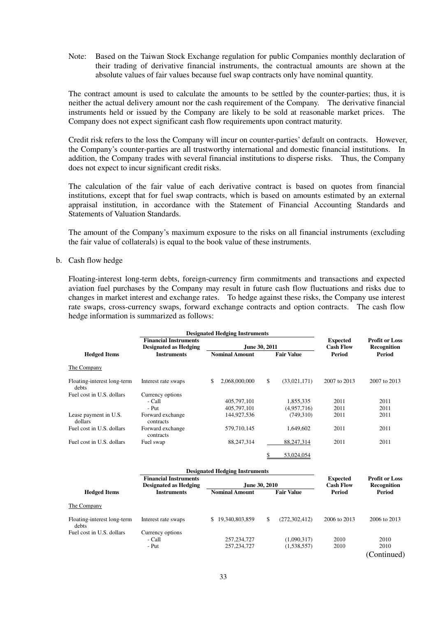Note: their trading of derivative financial instruments, the contractual amounts are shown at the absolute values of fair values because fuel swap contracts only have nominal quantity. Based on the Taiwan Stock Exchange regulation for public Companies monthly declaration of

 The contract amount is used to calculate the amounts to be settled by the counter-parties; thus, it is neither the actual delivery amount nor the cash requirement of the Company. The derivative financial instruments held or issued by the Company are likely to be sold at reasonable market prices. The Company does not expect significant cash flow requirements upon contract maturity.

 Credit risk refers to the loss the Company will incur on counter-parties' default on contracts. However, the Company's counter-parties are all trustworthy international and domestic financial institutions. In addition, the Company trades with several financial institutions to disperse risks. Thus, the Company does not expect to incur significant credit risks.

 The calculation of the fair value of each derivative contract is based on quotes from financial institutions, except that for fuel swap contracts, which is based on amounts estimated by an external appraisal institution, in accordance with the Statement of Financial Accounting Standards and Statements of Valuation Standards.

 The amount of the Company's maximum exposure to the risks on all financial instruments (excluding the fair value of collaterals) is equal to the book value of these instruments.

b. Cash flow hedge

 Floating-interest long-term debts, foreign-currency firm commitments and transactions and expected aviation fuel purchases by the Company may result in future cash flow fluctuations and risks due to changes in market interest and exchange rates. To hedge against these risks, the Company use interest rate swaps, cross-currency swaps, forward exchange contracts and option contracts. The cash flow hedge information is summarized as follows:

|                                      | <b>Designated Hedging Instruments</b>                        |                                       |                       |                                     |                                      |
|--------------------------------------|--------------------------------------------------------------|---------------------------------------|-----------------------|-------------------------------------|--------------------------------------|
|                                      | <b>Financial Instruments</b><br><b>Designated as Hedging</b> |                                       | June 30, 2011         | <b>Expected</b><br><b>Cash Flow</b> | <b>Profit or Loss</b><br>Recognition |
| <b>Hedged Items</b>                  | <b>Instruments</b>                                           | <b>Nominal Amount</b>                 | <b>Fair Value</b>     | <b>Period</b>                       | <b>Period</b>                        |
| The Company                          |                                                              |                                       |                       |                                     |                                      |
| Floating-interest long-term<br>debts | Interest rate swaps                                          | 2,068,000,000<br>\$                   | \$<br>(33,021,171)    | 2007 to 2013                        | 2007 to 2013                         |
| Fuel cost in U.S. dollars            | Currency options                                             |                                       |                       |                                     |                                      |
|                                      | - Call                                                       | 405,797,101                           | 1,855,335             | 2011                                | 2011                                 |
|                                      | - Put                                                        | 405,797,101                           | (4,957,716)           | 2011                                | 2011                                 |
| Lease payment in U.S.<br>dollars     | Forward exchange<br>contracts                                | 144,927,536                           | (749,310)             | 2011                                | 2011                                 |
| Fuel cost in U.S. dollars            | Forward exchange<br>contracts                                | 579,710,145                           | 1,649,602             | 2011                                | 2011                                 |
| Fuel cost in U.S. dollars            | Fuel swap                                                    | 88,247,314                            | 88,247,314            | 2011                                | 2011                                 |
|                                      |                                                              |                                       | \$<br>53,024,054      |                                     |                                      |
|                                      |                                                              | <b>Designated Hedging Instruments</b> |                       |                                     |                                      |
|                                      | <b>Financial Instruments</b>                                 |                                       |                       | <b>Expected</b>                     | <b>Profit or Loss</b>                |
|                                      | <b>Designated as Hedging</b>                                 |                                       | June 30, 2010         | <b>Cash Flow</b>                    | Recognition                          |
| <b>Hedged Items</b>                  | <b>Instruments</b>                                           | <b>Nominal Amount</b>                 | <b>Fair Value</b>     | Period                              | Period                               |
| The Company                          |                                                              |                                       |                       |                                     |                                      |
| Floating-interest long-term<br>debts | Interest rate swaps                                          | 19,340,803,859<br>\$.                 | \$<br>(272, 302, 412) | 2006 to 2013                        | 2006 to 2013                         |
| Fuel cost in U.S. dollars            | Currency options                                             |                                       |                       |                                     |                                      |
|                                      | - Call                                                       | 257, 234, 727                         | (1,090,317)           | 2010                                | 2010                                 |
|                                      | - Put                                                        | 257, 234, 727                         | (1,538,557)           | 2010                                | 2010<br>(Continued)                  |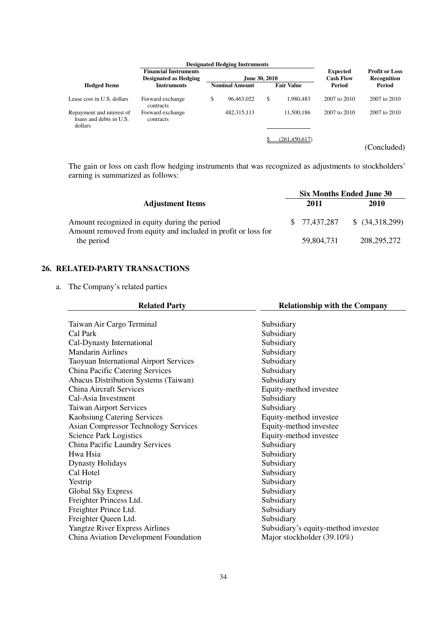| <b>Designated Hedging Instruments</b>                           |                                                       |    |                       |               |                   |                                     |                                      |
|-----------------------------------------------------------------|-------------------------------------------------------|----|-----------------------|---------------|-------------------|-------------------------------------|--------------------------------------|
|                                                                 | <b>Financial Instruments</b><br>Designated as Hedging |    |                       | June 30, 2010 |                   | <b>Expected</b><br><b>Cash Flow</b> | <b>Profit or Loss</b><br>Recognition |
| <b>Hedged Items</b>                                             | <b>Instruments</b>                                    |    | <b>Nominal Amount</b> |               | <b>Fair Value</b> | Period                              | Period                               |
| Lease cost in U.S. dollars                                      | Forward exchange<br>contracts                         | \$ | 96,463,022            | \$            | 1.980.483         | 2007 to 2010                        | 2007 to 2010                         |
| Repayment and interest of<br>loans and debts in U.S.<br>dollars | Forward exchange<br>contracts                         |    | 482, 315, 113         |               | 11,500,186        | 2007 to 2010                        | 2007 to 2010                         |
|                                                                 |                                                       |    |                       |               | (261, 450, 617)   |                                     |                                      |
|                                                                 |                                                       |    |                       |               |                   |                                     | (Concluded)                          |

 The gain or loss on cash flow hedging instruments that was recognized as adjustments to stockholders' earning is summarized as follows:

|                                                                                                                | <b>Six Months Ended June 30</b> |              |                 |  |
|----------------------------------------------------------------------------------------------------------------|---------------------------------|--------------|-----------------|--|
| <b>Adjustment Items</b>                                                                                        |                                 | 2011         | 2010            |  |
| Amount recognized in equity during the period<br>Amount removed from equity and included in profit or loss for |                                 | \$77,437,287 | \$ (34,318,299) |  |
| the period                                                                                                     |                                 | 59,804,731   | 208, 295, 272   |  |

### **26. RELATED-PARTY TRANSACTIONS**

a. The Company's related parties

| <b>Related Party</b>                        | <b>Relationship with the Company</b> |
|---------------------------------------------|--------------------------------------|
|                                             |                                      |
| Taiwan Air Cargo Terminal                   | Subsidiary                           |
| Cal Park                                    | Subsidiary                           |
| Cal-Dynasty International                   | Subsidiary                           |
| <b>Mandarin Airlines</b>                    | Subsidiary                           |
| Taoyuan International Airport Services      | Subsidiary                           |
| China Pacific Catering Services             | Subsidiary                           |
| Abacus Distribution Systems (Taiwan)        | Subsidiary                           |
| China Aircraft Services                     | Equity-method investee               |
| Cal-Asia Investment                         | Subsidiary                           |
| <b>Taiwan Airport Services</b>              | Subsidiary                           |
| <b>Kaohsiung Catering Services</b>          | Equity-method investee               |
| <b>Asian Compressor Technology Services</b> | Equity-method investee               |
| <b>Science Park Logistics</b>               | Equity-method investee               |
| China Pacific Laundry Services              | Subsidiary                           |
| Hwa Hsia                                    | Subsidiary                           |
| <b>Dynasty Holidays</b>                     | Subsidiary                           |
| Cal Hotel                                   | Subsidiary                           |
| Yestrip                                     | Subsidiary                           |
| Global Sky Express                          | Subsidiary                           |
| Freighter Princess Ltd.                     | Subsidiary                           |
| Freighter Prince Ltd.                       | Subsidiary                           |
| Freighter Queen Ltd.                        | Subsidiary                           |
| Yangtze River Express Airlines              | Subsidiary's equity-method investee  |
| China Aviation Development Foundation       | Major stockholder (39.10%)           |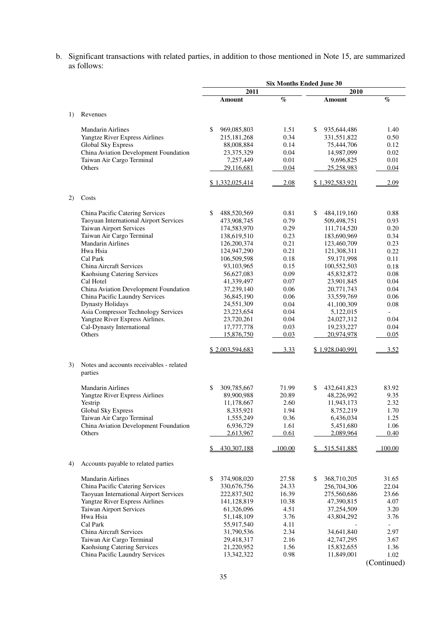b. Significant transactions with related parties, in addition to those mentioned in Note 15, are summarized as follows:

|    |                                                     |                   |                       | <b>Six Months Ended June 30</b> |               |
|----|-----------------------------------------------------|-------------------|-----------------------|---------------------------------|---------------|
|    |                                                     | 2011              |                       | 2010                            |               |
|    |                                                     | Amount            | $\emph{v}_{\emph{0}}$ | Amount                          | $\%$          |
| 1) | Revenues                                            |                   |                       |                                 |               |
|    |                                                     |                   |                       |                                 |               |
|    | <b>Mandarin Airlines</b>                            | \$<br>969,085,803 | 1.51                  | \$<br>935, 644, 486             | 1.40          |
|    | Yangtze River Express Airlines                      | 215, 181, 268     | 0.34                  | 331,551,822                     | 0.50          |
|    | Global Sky Express                                  | 88,008,884        | 0.14                  | 75,444,706                      | 0.12          |
|    | China Aviation Development Foundation               | 23,375,329        | 0.04                  | 14,987,099                      | 0.02          |
|    | Taiwan Air Cargo Terminal<br>Others                 | 7,257,449         | 0.01<br>0.04          | 9,696,825                       | 0.01<br>0.04  |
|    |                                                     | 29,116,681        |                       | 25,258,983                      |               |
|    |                                                     | \$1,332,025,414   | 2.08                  | \$1,392,583,921                 | 2.09          |
| 2) | Costs                                               |                   |                       |                                 |               |
|    | China Pacific Catering Services                     | \$<br>488,520,569 | 0.81                  | \$<br>484,119,160               | 0.88          |
|    | Taoyuan International Airport Services              | 473,908,745       | 0.79                  | 509,498,751                     | 0.93          |
|    | <b>Taiwan Airport Services</b>                      | 174,583,970       | 0.29                  | 111,714,520                     | 0.20          |
|    | Taiwan Air Cargo Terminal                           | 138,619,510       | 0.23                  | 183,690,969                     | 0.34          |
|    | <b>Mandarin Airlines</b>                            | 126,200,374       | 0.21                  | 123,460,709                     | 0.23          |
|    | Hwa Hsia                                            | 124,947,290       | 0.21                  | 121,308,311                     | 0.22          |
|    | Cal Park                                            | 106,509,598       | 0.18                  | 59,171,998                      | 0.11          |
|    | China Aircraft Services                             | 93,103,965        | 0.15                  | 100,552,503                     | 0.18          |
|    | Kaohsiung Catering Services                         | 56,627,083        | 0.09                  | 45,832,872                      | 0.08          |
|    | Cal Hotel                                           | 41,339,497        | 0.07                  | 23,901,845                      | 0.04          |
|    | China Aviation Development Foundation               | 37,239,140        | 0.06                  | 20,771,743                      | 0.04          |
|    | China Pacific Laundry Services                      | 36,845,190        | 0.06                  | 33,559,769                      | 0.06          |
|    | <b>Dynasty Holidays</b>                             | 24,551,309        | 0.04                  | 41,100,309                      | 0.08          |
|    | Asia Compressor Technology Services                 | 23, 223, 654      | 0.04                  | 5,122,015                       | $\mathcal{L}$ |
|    | Yangtze River Express Airlines.                     | 23,720,261        | 0.04                  | 24,027,312                      | 0.04          |
|    | Cal-Dynasty International                           | 17,777,778        | 0.03                  | 19,233,227                      | 0.04          |
|    | Others                                              | 15,876,750        | 0.03                  | 20,974,978                      | 0.05          |
|    |                                                     | \$2,003,594,683   | 3.33                  | \$1,928,040,991                 | 3.52          |
| 3) | Notes and accounts receivables - related<br>parties |                   |                       |                                 |               |
|    | <b>Mandarin Airlines</b>                            | \$<br>309,785,667 | 71.99                 | \$<br>432,641,823               | 83.92         |
|    | Yangtze River Express Airlines                      | 89,900,988        | 20.89                 | 48,226,992                      | 9.35          |
|    | Yestrip                                             | 11,178,667        | 2.60                  | 11,943,173                      | 2.32          |
|    | Global Sky Express                                  | 8,335,921         | 1.94                  | 8,752,219                       | 1.70          |
|    | Taiwan Air Cargo Terminal                           | 1,555,249         | 0.36                  | 6,436,034                       | 1.25          |
|    | China Aviation Development Foundation               | 6,936,729         | 1.61                  | 5,451,680                       | 1.06          |
|    | Others                                              | 2,613,967         | 0.61                  | 2,089,964                       | 0.40          |
|    |                                                     | 430,307,188       | 100.00                | 515,541,885                     | 100.00        |
| 4) | Accounts payable to related parties                 |                   |                       |                                 |               |
|    | <b>Mandarin Airlines</b>                            | \$<br>374,908,020 | 27.58                 | \$<br>368,710,205               | 31.65         |
|    | China Pacific Catering Services                     | 330, 676, 756     | 24.33                 | 256,704,306                     | 22.04         |
|    | Taoyuan International Airport Services              | 222,837,502       | 16.39                 | 275,560,686                     | 23.66         |
|    | Yangtze River Express Airlines                      | 141,128,819       | 10.38                 | 47,390,815                      | 4.07          |
|    | Taiwan Airport Services                             | 61,326,096        | 4.51                  | 37,254,509                      | 3.20          |
|    | Hwa Hsia                                            | 51,148,109        | 3.76                  | 43,804,292                      | 3.76          |
|    | Cal Park                                            | 55,917,540        | 4.11                  |                                 | $\sim$        |
|    | China Aircraft Services                             | 31,790,536        | 2.34                  | 34,641,840                      | 2.97          |
|    | Taiwan Air Cargo Terminal                           | 29,418,317        | 2.16                  | 42,747,295                      | 3.67          |
|    | Kaohsiung Catering Services                         | 21,220,952        | 1.56                  | 15,832,655                      | 1.36          |
|    | China Pacific Laundry Services                      | 13,342,322        | 0.98                  | 11,849,001                      | 1.02          |
|    |                                                     |                   |                       |                                 | (Continued)   |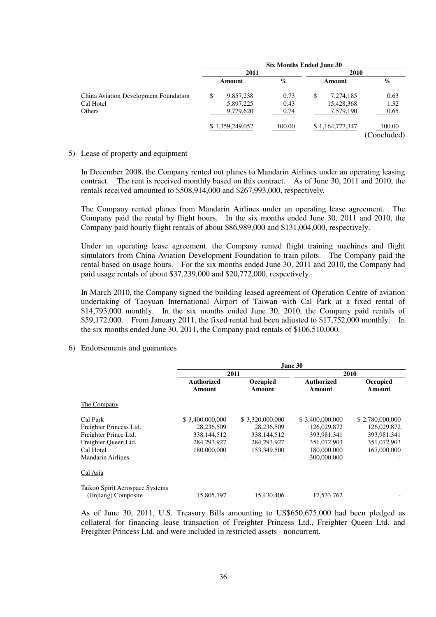|                                       |                 | <b>Six Months Ended June 30</b> |                 |                       |
|---------------------------------------|-----------------|---------------------------------|-----------------|-----------------------|
|                                       | 2011            |                                 | 2010            |                       |
|                                       | Amount          | $\%$                            | Amount          | $\%$                  |
| China Aviation Development Foundation | \$<br>9,857,238 | 0.73                            | \$<br>7,274,185 | 0.63                  |
| Cal Hotel                             | 5,897,225       | 0.43                            | 15,428,368      | 1.32                  |
| Others                                | 9,779,620       | 0.74                            | 7,579,190       | 0.65                  |
|                                       | \$1,359,249,052 | 100.00                          | \$1,164,777,347 | 100.00<br>(Concluded) |

### 5) Lease of property and equipment

 In December 2008, the Company rented out planes to Mandarin Airlines under an operating leasing contract. The rent is received monthly based on this contract. As of June 30, 2011 and 2010, the rentals received amounted to \$508,914,000 and \$267,993,000, respectively.

 The Company rented planes from Mandarin Airlines under an operating lease agreement. The Company paid the rental by flight hours. In the six months ended June 30, 2011 and 2010, the Company paid hourly flight rentals of about \$86,989,000 and \$131,004,000, respectively.

 Under an operating lease agreement, the Company rented flight training machines and flight simulators from China Aviation Development Foundation to train pilots. The Company paid the rental based on usage hours. For the six months ended June 30, 2011 and 2010, the Company had paid usage rentals of about \$37,239,000 and \$20,772,000, respectively.

 In March 2010, the Company signed the building leased agreement of Operation Centre of aviation undertaking of Taoyuan International Airport of Taiwan with Cal Park at a fixed rental of \$14,793,000 monthly. In the six months ended June 30, 2010, the Company paid rentals of \$59,172,000. From January 2011, the fixed rental had been adjusted to \$17,752,000 monthly. In the six months ended June 30, 2011, the Company paid rentals of \$106,510,000.

6) Endorsements and guarantees

|                                                         |                             |                    | June 30              |                           |
|---------------------------------------------------------|-----------------------------|--------------------|----------------------|---------------------------|
|                                                         |                             | 2011               |                      | 2010                      |
|                                                         | <b>Authorized</b><br>Amount | Occupied<br>Amount | Authorized<br>Amount | <b>Occupied</b><br>Amount |
| The Company                                             |                             |                    |                      |                           |
| Cal Park                                                | \$ 3,400,000,000            | \$ 3,320,000,000   | \$ 3,400,000,000     | \$2,780,000,000           |
| Freighter Princess Ltd.                                 | 28,236,509                  | 28.236.509         | 126,029,872          | 126,029,872               |
| Freighter Prince Ltd.                                   | 338.144.512                 | 338.144.512        | 393.981.341          | 393.981.341               |
| Freighter Oueen Ltd.                                    | 284,293,927                 | 284,293,927        | 351,072,903          | 351,072,903               |
| Cal Hotel                                               | 180,000,000                 | 153,349,500        | 180,000,000          | 167,000,000               |
| Mandarin Airlines                                       | -                           |                    | 300,000,000          |                           |
| Cal Asia                                                |                             |                    |                      |                           |
| Taikoo Spirit Aerospace Systems<br>(Jinjiang) Composite | 15,805,797                  | 15.430.406         | 17.533.762           |                           |

 As of June 30, 2011, U.S. Treasury Bills amounting to US\$650,675,000 had been pledged as collateral for financing lease transaction of Freighter Princess Ltd., Freighter Queen Ltd. and Freighter Princess Ltd. and were included in restricted assets - noncurrent.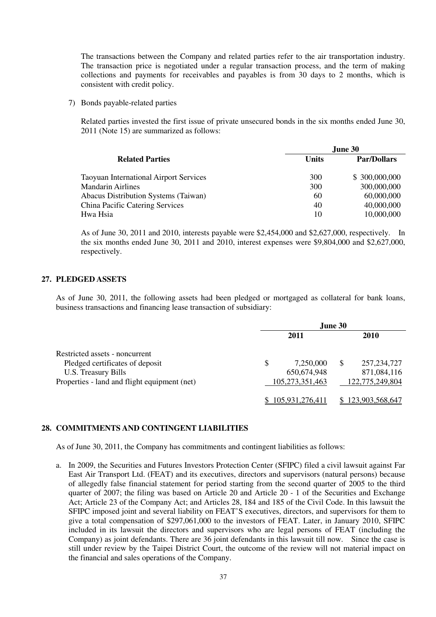The transactions between the Company and related parties refer to the air transportation industry. The transaction price is negotiated under a regular transaction process, and the term of making collections and payments for receivables and payables is from 30 days to 2 months, which is consistent with credit policy.

7) Bonds payable-related parties

 Related parties invested the first issue of private unsecured bonds in the six months ended June 30, 2011 (Note 15) are summarized as follows:

|                                               |       | June 30            |
|-----------------------------------------------|-------|--------------------|
| <b>Related Parties</b>                        | Units | <b>Par/Dollars</b> |
| <b>Taoyuan International Airport Services</b> | 300   | \$300,000,000      |
| <b>Mandarin Airlines</b>                      | 300   | 300,000,000        |
| <b>Abacus Distribution Systems (Taiwan)</b>   | 60    | 60,000,000         |
| <b>China Pacific Catering Services</b>        | 40    | 40,000,000         |
| Hwa Hsia                                      | 10    | 10,000,000         |

 As of June 30, 2011 and 2010, interests payable were \$2,454,000 and \$2,627,000, respectively. In the six months ended June 30, 2011 and 2010, interest expenses were \$9,804,000 and \$2,627,000, respectively.

### **27. PLEDGED ASSETS**

 As of June 30, 2011, the following assets had been pledged or mortgaged as collateral for bank loans, business transactions and financing lease transaction of subsidiary:

|                                              |                 | June 30 |                   |
|----------------------------------------------|-----------------|---------|-------------------|
|                                              | 2011            |         | 2010              |
| Restricted assets - noncurrent               |                 |         |                   |
| Pledged certificates of deposit              | \$<br>7,250,000 | \$.     | 257, 234, 727     |
| U.S. Treasury Bills                          | 650, 674, 948   |         | 871,084,116       |
| Properties - land and flight equipment (net) | 105,273,351,463 |         | 122,775,249,804   |
|                                              | 105,931,276,411 |         | \$123,903,568,647 |

### **28. COMMITMENTS AND CONTINGENT LIABILITIES**

As of June 30, 2011, the Company has commitments and contingent liabilities as follows:

a. In 2009, the Securities and Futures Investors Protection Center (SFIPC) filed a civil lawsuit against Far East Air Transport Ltd. (FEAT) and its executives, directors and supervisors (natural persons) because of allegedly false financial statement for period starting from the second quarter of 2005 to the third quarter of 2007; the filing was based on Article 20 and Article 20 - 1 of the Securities and Exchange Act; Article 23 of the Company Act; and Articles 28, 184 and 185 of the Civil Code. In this lawsuit the SFIPC imposed joint and several liability on FEAT'S executives, directors, and supervisors for them to give a total compensation of \$297,061,000 to the investors of FEAT. Later, in January 2010, SFIPC included in its lawsuit the directors and supervisors who are legal persons of FEAT (including the Company) as joint defendants. There are 36 joint defendants in this lawsuit till now. Since the case is still under review by the Taipei District Court, the outcome of the review will not material impact on the financial and sales operations of the Company.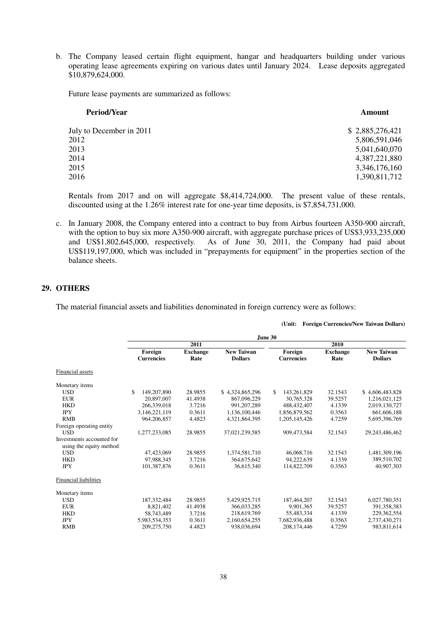b. The Company leased certain flight equipment, hangar and headquarters building under various operating lease agreements expiring on various dates until January 2024. Lease deposits aggregated \$10,879,624,000.

Future lease payments are summarized as follows:

| <b>Period/Year</b>       | Amount          |
|--------------------------|-----------------|
| July to December in 2011 | \$2,885,276,421 |
| 2012                     | 5,806,591,046   |
| 2013                     | 5,041,640,070   |
| 2014                     | 4,387,221,880   |
| 2015                     | 3,346,176,160   |
| 2016                     | 1,390,811,712   |

 Rentals from 2017 and on will aggregate \$8,414,724,000. The present value of these rentals, discounted using at the 1.26% interest rate for one-year time deposits, is \$7,854,731,000.

c. In January 2008, the Company entered into a contract to buy from Airbus fourteen A350-900 aircraft, and US\$1,802,645,000, respectively. As of June 30, 2011, the Company had paid about US\$119,197,000, which was included in "prepayments for equipment" in the properties section of the balance sheets. with the option to buy six more A350-900 aircraft, with aggregate purchase prices of US\$3,933,235,000

 **(Unit: Foreign Currencies/New Taiwan Dollars)** 

### **29. OTHERS**

The material financial assets and liabilities denominated in foreign currency were as follows:

|                              |                   |                 |                   | June 30           |                 |                   |
|------------------------------|-------------------|-----------------|-------------------|-------------------|-----------------|-------------------|
|                              |                   | 2011            |                   |                   | 2010            |                   |
|                              | Foreign           | <b>Exchange</b> | <b>New Taiwan</b> | Foreign           | <b>Exchange</b> | <b>New Taiwan</b> |
|                              | <b>Currencies</b> | Rate            | <b>Dollars</b>    | <b>Currencies</b> | Rate            | <b>Dollars</b>    |
| Financial assets             |                   |                 |                   |                   |                 |                   |
| Monetary items               |                   |                 |                   |                   |                 |                   |
| <b>USD</b>                   | \$<br>149,207,890 | 28.9855         | \$4.324,865,296   | 143.261.829<br>\$ | 32.1543         | \$4,606,483,828   |
| <b>EUR</b>                   | 20,897,007        | 41.4938         | 867,096,229       | 30,765,328        | 39.5257         | 1,216,021,125     |
| <b>HKD</b>                   | 266,339,018       | 3.7216          | 991, 207, 289     | 488, 432, 407     | 4.1339          | 2,019,130,727     |
| <b>JPY</b>                   | 3,146,221,119     | 0.3611          | 1,136,100,446     | 1,856,879,562     | 0.3563          | 661,606,188       |
| <b>RMB</b>                   | 964.206.857       | 4.4823          | 4.321.864.395     | 1.205.145.426     | 4.7259          | 5.695.396.769     |
| Foreign operating entity     |                   |                 |                   |                   |                 |                   |
| <b>USD</b>                   | 1,277,233,085     | 28.9855         | 37,021,239,585    | 909,473,584       | 32.1543         | 29,243,486,462    |
| Investments accounted for    |                   |                 |                   |                   |                 |                   |
| using the equity method      |                   |                 |                   |                   |                 |                   |
| <b>USD</b>                   | 47,423,069        | 28.9855         | 1,374,581,710     | 46,068,716        | 32.1543         | 1,481,309,196     |
| <b>HKD</b>                   | 97,988,345        | 3.7216          | 364,675,642       | 94,222,639        | 4.1339          | 389,510,702       |
| <b>JPY</b>                   | 101,387,876       | 0.3611          | 36.615.340        | 114,822,709       | 0.3563          | 40,907,303        |
| <b>Financial liabilities</b> |                   |                 |                   |                   |                 |                   |
| Monetary items               |                   |                 |                   |                   |                 |                   |
| <b>USD</b>                   | 187, 332, 484     | 28.9855         | 5,429,925,715     | 187,464,207       | 32.1543         | 6,027,780,351     |
| <b>EUR</b>                   | 8,821,402         | 41.4938         | 366,033,285       | 9,901,365         | 39.5257         | 391, 358, 383     |
| <b>HKD</b>                   | 58,743,489        | 3.7216          | 218,619,769       | 55,483,334        | 4.1339          | 229,362,554       |
| <b>JPY</b>                   | 5,983,534,353     | 0.3611          | 2,160,654,255     | 7,682,936,488     | 0.3563          | 2,737,430,271     |
| <b>RMB</b>                   | 209,275,750       | 4.4823          | 938,036,694       | 208,174,446       | 4.7259          | 983,811,614       |

38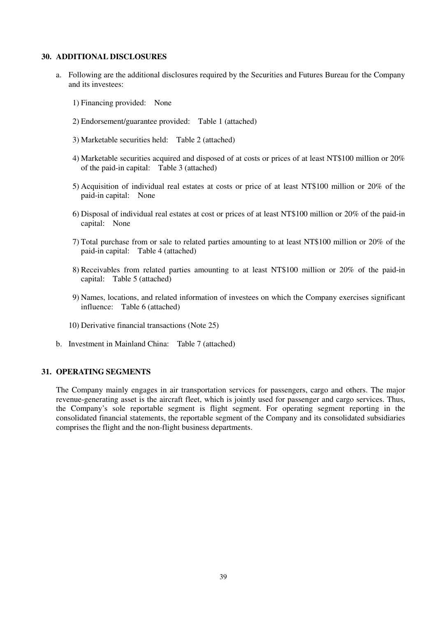### **30. ADDITIONAL DISCLOSURES**

- a. Following are the additional disclosures required by the Securities and Futures Bureau for the Company and its investees:
	- 1) Financing provided: None
	- 2) Endorsement/guarantee provided: Table 1 (attached)
	- 3) Marketable securities held: Table 2 (attached)
	- of the paid-in capital: Table 3 (attached) 4) Marketable securities acquired and disposed of at costs or prices of at least NT\$100 million or 20%
	- paid-in capital: None 5) Acquisition of individual real estates at costs or price of at least NT\$100 million or 20% of the
	- capital: None 6) Disposal of individual real estates at cost or prices of at least NT\$100 million or 20% of the paid-in
	- paid-in capital: Table 4 (attached) 7) Total purchase from or sale to related parties amounting to at least NT\$100 million or 20% of the
	- capital: Table 5 (attached) 8) Receivables from related parties amounting to at least NT\$100 million or 20% of the paid-in
	- influence: Table 6 (attached) 9) Names, locations, and related information of investees on which the Company exercises significant
	- 10) Derivative financial transactions (Note 25)
- b. Investment in Mainland China: Table 7 (attached)

### **31. OPERATING SEGMENTS**

 The Company mainly engages in air transportation services for passengers, cargo and others. The major revenue-generating asset is the aircraft fleet, which is jointly used for passenger and cargo services. Thus, the Company's sole reportable segment is flight segment. For operating segment reporting in the consolidated financial statements, the reportable segment of the Company and its consolidated subsidiaries comprises the flight and the non-flight business departments.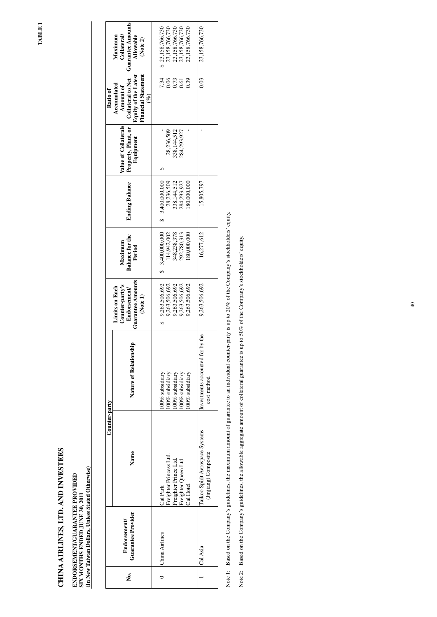# **CHINA AIRLINES, LTD. AND INVESTEES**  CHINA AIRLINES, LTD. AND INVEST

## ENDORSEMENT/GUARANTEE PROVIDED<br>SIX MONTHS ENDED JUNE 30, 2011<br>(In New Taiwan Dollars, Unless Stated Otherwise) **(In New Taiwan Dollars, Unless Stated Otherwise) ENDORSEMENT/GUARANTEE PROVIDED SIX MONTHS ENDED JUNE 30, 2011**

Note 1: Based on the Company's guidelines, the maximum amount of guarantee to an individual counter-party is up to 20% of the Company's stockholders' equity. Note 1: Based on the Company's guidelines, the maximum amount of guarantee to an individual counter-party is up to 20% of the Company's stockholders' equity.

**TABLE 1 TABLE 1** 

|               | <b>Guarantee Amounts</b><br><b>Collateral</b><br>Maximum<br>Allowable<br>(Note 2)                                           | \$ 23,158,766,730  |                            | 23,158,766,730<br>23,158,766,730<br>23,158,766,730 |                                      | 23,158,766,730                                           | 23,158,766,730                                          |
|---------------|-----------------------------------------------------------------------------------------------------------------------------|--------------------|----------------------------|----------------------------------------------------|--------------------------------------|----------------------------------------------------------|---------------------------------------------------------|
| Ratio of      | <b>Financial Statement</b><br><b>Equity of the Latest</b><br><b>Collateral to Net</b><br>Accumulated<br>Amount of<br>$(\%)$ | 7.34               | 0.06                       | 0.73                                               |                                      | 0.39                                                     | 0.03                                                    |
|               | Value of Collaterals<br>Property, Plant, or<br>Equipment                                                                    |                    | 28,236,509                 | 338,144,512                                        | 284,293,927                          |                                                          |                                                         |
|               | <b>Ending Balance</b>                                                                                                       | 3,400,000,000<br>S | 28,236,509                 | 338,144,512                                        | 284,293,927                          | 180,000,000                                              | 15,805,797                                              |
|               | for the<br>Maximum<br>ड<br>Peri<br><b>Balance</b>                                                                           | 3,400,000,000      |                            |                                                    |                                      | 114,942,002<br>348,238,378<br>292,780,313<br>180,000,000 | 16,277,612                                              |
|               | <b>Guarantee Amounts</b><br>Counter-party's<br><b>Limits</b> on Each<br>Endorsement<br>(Note 1)                             | 9,263,506,692      | 9,263,506,692              | 9,263,506,692                                      | 9,263,506,692                        | 9,263,506,692                                            | 9,263,506,692                                           |
|               | Nature of Relationship                                                                                                      | 100% subsidiary    | 100% subsidiary            | 100% subsidiary                                    | 100% subsidiary                      | 100% subsidiary                                          | nvestments accounted for by the<br>cost method          |
| Counter-party | Name                                                                                                                        | Cal Park           | Princess Ltd.<br>Freighter | Prince Ltd.                                        | Queen Ltd.<br>Freighter<br>Freighter | Cal Hotel                                                | Taikoo Spirit Aerospace Systems<br>(Jinjiang) Composite |
|               | Guarantee Provider<br><b>Endorsement</b>                                                                                    | China Airlines     |                            |                                                    |                                      |                                                          | Cal Asia                                                |
|               | ,<br>Ž                                                                                                                      |                    |                            |                                                    |                                      |                                                          |                                                         |

Note 2: Based on the Company's guidelines, the allowable aggregate amount of collateral guarantee is up to 50% of the Company's stockholders' equity. Note 2: Based on the Company's guidelines, the allowable aggregate amount of collateral guarantee is up to 50% of the Company's stockholders' equity.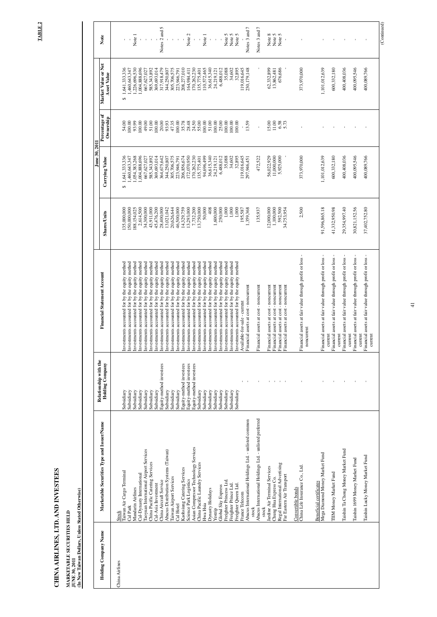TABLE 2 **TABLE 2** 

# CHINA AIRLINES, LTD. AND INVESTEES **CHINA AIRLINES, LTD. AND INVESTEES**

## **MARKETABLE SECURITIES HELD JUNE 30, 2011**

MARKETABLE SECURITIES HELD<br>JUNE 30, 2011<br>(In New Taiwan Dollars, Unless Stated Otherwise) **(In New Taiwan Dollars, Unless Stated Otherwise)** 

|                      |                                                               | Relationship with the    |                                                                                                  |                          | June 30, 2011                 |                            |                                           |                  |
|----------------------|---------------------------------------------------------------|--------------------------|--------------------------------------------------------------------------------------------------|--------------------------|-------------------------------|----------------------------|-------------------------------------------|------------------|
| Holding Company Name | Marketable Securities Type and Issuer/Name                    | <b>Holding Company</b>   | <b>Financial Statement Account</b>                                                               | <b>Shares/Units</b>      | Carrying Value                | Percentage of<br>Ownership | Market Value or Net<br><b>Asset Value</b> | Note             |
| China Airlines       | Stock                                                         |                          |                                                                                                  |                          |                               |                            |                                           |                  |
|                      | Taiwan Air Cargo Terminal                                     | Subsidiary               | Investments accounted for by the equity method                                                   | 35,000,000               | 1,641,333,336<br>↮            | 54.00                      | 1,641,333,336<br>$\Theta$                 |                  |
|                      | Mandarin Airlines<br>Cal Park                                 | Subsidiary<br>Subsidiary | Investments accounted for by the equity method<br>Investments accounted for by the equity method | 50,000,000<br>88,154,025 | 1,054,383,268<br>,460,643,347 | 100.00<br>93.99            | .226,696,530<br>,460,643,347              | Note 1           |
|                      | Cal-Dynasty International                                     | Subsidiary               | Investments accounted for by the equity method                                                   | 2,614,500                | 1,004,888,696                 | 100.00                     | ,004,888,696                              | $\mathbf I$      |
|                      | Taoyuan International Airport Services                        | Subsidiary               | Investments accounted for by the equity method                                                   | 34,300,000               | 667,627,027                   | 49.00                      | 667,627,027                               |                  |
|                      | China Pacific Catering Services                               | Subsidiary               | Investments accounted for by the equity method                                                   | 43,911,000               | 585,343,892                   | 51.00                      | 585,343,892                               |                  |
|                      | Cal-Asia Investment                                           | Subsidiary               | Investments accounted for by the equity method                                                   | 45,476,200               | 369,693,014                   | 100.00                     | 369,693,014                               |                  |
|                      | China Aircraft Service                                        | Equity-method investees  | Investments accounted for by the equity method                                                   | 28,400,000               | 364,675,642                   | 20.00                      | 317,918,479                               | Notes 2 and 5    |
|                      | Abacus Distribution Systems (Taiwan)                          | Subsidiary               | Investments accounted for by the equity method                                                   | 13,021,042               | 344,250,807                   | 93.93                      | 344,250,807                               |                  |
|                      | Taiwan Airport Services<br>Cal Hotel                          | Subsidiary<br>Subsidiary | Investments accounted for by the equity method<br>Investments accounted for by the equity method | 20,626,644<br>46,500,000 | 305,706,575<br>223,946,791    | 47.35<br>100.00            | 305,706,575<br>223,946,791                | $\mathbf{I}$     |
|                      | Kaohsiung Catering Services                                   | Equity-method investees  | Investments accounted for by the equity method                                                   | 14,329,759               | 206,856,674                   | 35.78                      | 208,277,010                               |                  |
|                      | Science Park Logistics                                        | Equity-method investees  | Investments accounted for by the equity method                                                   | 13,293,000               | 172,070,950                   | 28.48                      | 164,984,411                               | Note 2           |
|                      | Asian Compressor Technology Services                          | Equity-method investees  | Investments accounted for by the equity method                                                   | 7,732,200                | 170,262,230                   | 24.50                      | 170,262,230                               |                  |
|                      | China Pacific Laundry Services                                | Subsidiary               | Investments accounted for by the equity method                                                   | 13,750,000               | 135,775,401                   | 55.00                      | 135,775,401                               |                  |
|                      | Dynasty Holidays<br>Hwa Hsia                                  | Subsidiary<br>Subsidiary | Investments accounted for by the equity method<br>Investments accounted for by the equity method | 50,000<br>408            | 94,696,499<br>36,615,340      | 51.00<br>100.00            | 36,615,340<br>110,572,465                 | Note 1           |
|                      | Yestrip                                                       | Subsidiary               | Investments accounted for by the equity method                                                   | 1,600,000                | 24,219,121                    | 100.00                     | 24,219,121                                | $\mathbf I$      |
|                      | Global Sky Express                                            | Subsidiary               | Investments accounted for by the equity method                                                   | 250,000                  | 6,488,012                     | 25.00                      | 6,488,012                                 |                  |
|                      | Ltd.<br>Freighter Princess                                    | Subsidiary               | Investments accounted for by the equity method                                                   | 1,000                    | 35,088                        | 100.00                     | 35,088                                    | Note 5           |
|                      | Freighter Prince Ltd.                                         | Subsidiary               | Investments accounted for by the equity method                                                   | $1,000$                  | 34,602                        | 100.00                     | 34,602                                    | Note 5           |
|                      | Freighter Queen Ltd.                                          | Subsidiary               | Investments accounted for by the equity method                                                   | $1,000$                  | 32,895                        | 100.00                     | 32,895                                    | Note 5           |
|                      | France Telecom                                                |                          | Available-for-sale - current                                                                     | 1,359,368<br>195,587     | 119,016,645                   | 13.59                      | 119,016,645                               |                  |
|                      | Abacus International Holdings Ltd. - unlisted common<br>stock |                          | Financial assets at cost - noncurrent                                                            |                          | 297,946,451                   |                            | 230, 179, 148                             | Notes 3 and 7    |
|                      | Abacus International Holdings Ltd. - unlisted preferred       |                          | Financial assets at cost - noncurrent                                                            | 135,937                  | 472,522                       | $\mathbf{I}$               |                                           | Notes 3 and 7    |
|                      | stock                                                         |                          |                                                                                                  |                          |                               |                            |                                           |                  |
|                      | Jardine Air Terminal Services                                 |                          | Financial assets at cost - noncurrent                                                            | 12,000,000               | 56,022,929                    | 15.00                      | 62,332,899                                | Note 8           |
|                      | Chung Hua Express Co.                                         |                          | Financial assets at cost - noncurrent                                                            | 1,100,000                | 11,000,000                    | 11.00                      | 13,862,481                                | Note 5<br>Note 5 |
|                      | Advertising<br>Regal International                            | $\mathbf{L}_{\rm{c}}$    | Financial assets at cost - noncurrent                                                            | 592,500                  | 5,925,000                     | 6.58                       | 676,686                                   |                  |
|                      | Far Eastern Air Transport                                     |                          | Financial assets at cost - noncurrent                                                            | 34,753,954               |                               | 5.73                       |                                           |                  |
|                      | Convertible bonds                                             |                          |                                                                                                  |                          |                               |                            |                                           |                  |
|                      | China Life Insurance Co., Ltd.                                |                          | Financial assets at fair value through profit or loss -<br>noncurrent                            | 2,500                    | 373,970,000                   |                            | 373,970,000                               |                  |
|                      | <b>Beneficial certificates</b>                                |                          |                                                                                                  |                          |                               |                            |                                           |                  |
|                      | Mega Diamond Money Market Fund                                |                          | Financial assets at fair value through profit or loss<br>current                                 | 91,596,865.18            | 1,101,012,639                 |                            | 1,101,012,639                             |                  |
|                      | TIM Money Market Fund                                         |                          | Financial assets at fair value through profit or loss                                            | 41,332,950.98            | 600,332,180                   |                            | 600,332,180                               |                  |
|                      |                                                               |                          | current                                                                                          |                          |                               |                            |                                           |                  |
|                      | Taishin Ta Chong Money Market Fund                            |                          | Financial assets at fair value through profit or loss -<br>current                               | 29,354,997.40            | 400,408,036                   |                            | 400,408,036                               |                  |
|                      | Taishin 1699 Money Market Fund                                |                          | Financial assets at fair value through profit or loss                                            | 30,821,152.56            | 400,095,546                   |                            | 400,095,546                               |                  |
|                      |                                                               |                          | current                                                                                          |                          |                               |                            |                                           |                  |
|                      | Taishin Lucky Money Market Fund                               |                          | Financial assets at fair value through profit or loss -<br>current                               | 37,402,752.80            | 400,089,766                   |                            | 400,089,766                               |                  |
|                      |                                                               |                          |                                                                                                  |                          |                               |                            |                                           |                  |
|                      |                                                               |                          |                                                                                                  |                          |                               |                            |                                           | (Continued)      |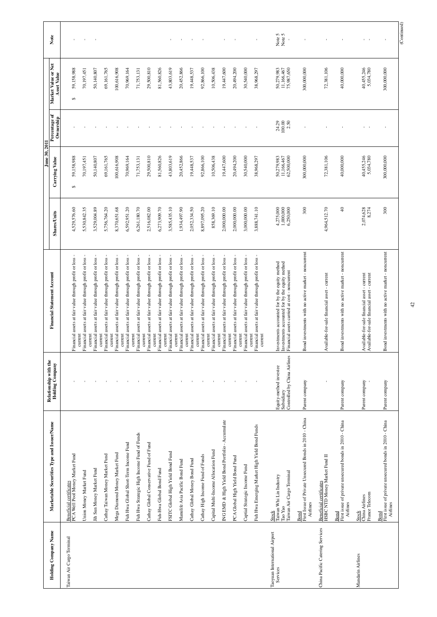|                                           |                                                                                       |                                                                      |                                                                                                                                                   |                                     | June 30, 2011                          |                            |                                           |                  |
|-------------------------------------------|---------------------------------------------------------------------------------------|----------------------------------------------------------------------|---------------------------------------------------------------------------------------------------------------------------------------------------|-------------------------------------|----------------------------------------|----------------------------|-------------------------------------------|------------------|
| Holding Company Name                      | Marketable Securities Type and Issuer/Name                                            | Relationship with the<br><b>Holding Company</b>                      | <b>Financial Statement Account</b>                                                                                                                | <b>Shares/Units</b>                 | Carrying Value                         | Percentage of<br>Ownership | Market Value or Net<br><b>Asset Value</b> | Note             |
| Taiwan Air Cargo Terminal                 | Beneficial certificates<br>PCA Well Pool Money Market Fund                            |                                                                      | Financial assets at fair value through profit or loss                                                                                             | 4,529,576.60                        | 59,158,988<br>$\Theta$                 |                            | 59,158,988<br>$\Theta$                    |                  |
|                                           | Union Money Market Fund                                                               |                                                                      | Financial assets at fair value through profit or loss<br>current                                                                                  | 5,530,842.35                        | 70,197,451                             |                            | 70,197,451                                |                  |
|                                           | Jih Sun Money Market Fund                                                             |                                                                      | Financial assets at fair value through profit or loss<br>current                                                                                  | 3,529,004.89                        | 50,140,807                             |                            | 50,140,807                                | $\sim$ 1         |
|                                           | Cathay Taiwan Money Market Fund                                                       |                                                                      | Financial assets at fair value through profit or loss<br>current                                                                                  | 5,756,764.20                        | 69,161,765                             |                            | 69,161,765                                |                  |
|                                           | Mega Diamond Money Market Fund                                                        |                                                                      | Financial assets at fair value through profit or loss<br>current                                                                                  | 8,370,651.68                        | 100,616,908                            |                            | 100,616,908                               |                  |
|                                           | Fuh Hwa Global Short-Term Income Fund                                                 |                                                                      | Financial assets at fair value through profit or loss<br>current                                                                                  | 6,592,951.20                        | 70,969,164                             |                            | 70,969,164                                |                  |
|                                           | High Income Fund of Funds<br>Fuh Hwa Strategic                                        |                                                                      | assets at fair value through profit or loss<br>Financial<br>current                                                                               | 6,261,180.70                        | 71,753,131                             |                            | 71,753,131                                |                  |
|                                           | Cathay Global Conservative Fund of Fund                                               |                                                                      | Financial assets at fair value through profit or loss<br>current                                                                                  | 2,516,082.00                        | 29,500,810                             |                            | 29,500,810                                |                  |
|                                           | Fuh-Hwa Global Bond Fund                                                              |                                                                      | Financial assets at fair value through profit or loss<br>current                                                                                  | 6,273,909.70                        | 81,560,826                             |                            | 81,560,826                                |                  |
|                                           | FSITC Global High Yield Bond Fund                                                     |                                                                      | Financial assets at fair value through profit or loss<br>current                                                                                  | 3,585,435.10                        | 43,803,619                             |                            | 43,803,619                                |                  |
|                                           | Manulife Asia Pacific Bond Fund                                                       |                                                                      | Financial assets at fair value through profit or loss<br>current                                                                                  | 1,934,497.90                        | 20,452,866                             |                            | 20,452,866                                |                  |
|                                           | Cathay Global Money Bond Fund                                                         |                                                                      | Financial assets at fair value through profit or loss<br>current                                                                                  | 2,052,334.50                        | 19,448,537                             |                            | 19,448,537                                |                  |
|                                           | Cathay High Income Fund of Funds                                                      |                                                                      | Financial assets at fair value through profit or loss<br>current                                                                                  | 8,897,095.20                        | 92,866,100                             |                            | 92,866,100                                |                  |
|                                           | Capital Multi-Income Allocation Fund                                                  |                                                                      | Financial assets at fair value through profit or loss<br>current                                                                                  | 858,369.10                          | 10,506,438                             |                            | 10,506,438                                |                  |
|                                           | Yield Bond Portfolio - Accumulate<br>ING EMD & High                                   |                                                                      | Financial assets at fair value through profit or loss<br>current                                                                                  | 2,000,000.00                        | 19,447,600                             |                            | 19,447,600                                |                  |
|                                           | PCA Global High Yield Bond Fund                                                       |                                                                      | Financial assets at fair value through profit or loss<br>current                                                                                  | 2,000,000.00                        | 20,494,200                             |                            | 20,494,200                                |                  |
|                                           | Captial Strategic Income Fund                                                         |                                                                      | Financial assets at fair value through profit or loss<br>current                                                                                  | 3,000,000.00                        | 30,540,000                             |                            | 30,540,000                                |                  |
|                                           | Fuh Hwa Emerging Market High Yield Bond Funds                                         |                                                                      | Financial assets at fair value through profit or loss<br>current<br>current                                                                       | 3,888,741.10                        | 38,968,297                             | $\mathbf{I}$               | 38,968,297                                |                  |
| Taoyuan International Airport<br>Services | erminal<br>Taiwan Whi Lin Industry<br>Taiwan Air Cargo 1<br>Tao Yao<br>Stock          | Controlled by China Airlines<br>Equity-method investee<br>Subsidiary | Investments accounted for by the equity method<br>Investments accounted for by the equity method<br>Financial assets carried at cost - noncurrent | 4,275,000<br>1,000,000<br>6,250,000 | 50,279,983<br>11,166,467<br>62,500,000 | 100.00<br>2.50<br>24.29    | 50,279,983<br>11,166,467<br>75,987,650    | Note 5<br>Note 5 |
|                                           | te Unsecured Bonds in 2010 - China<br>First Issue of Priva<br>Airlines<br>Bond        | Parent company                                                       | Bond investments with no active market - noncurrent                                                                                               | 300                                 | 300,000,000                            |                            | 300,000,000                               |                  |
| China Pacific Catering Services           | Beneficial certificates<br>HSBC NTD Money Market Fund II                              | $\blacksquare$                                                       | Available-for-sale financial asset - current                                                                                                      | 4,964,512.70                        | 72,381,106                             |                            | 72,381,106                                |                  |
|                                           | e unsecured bonds in 2010 - China<br>First issue of privat<br>Airlines<br><b>Bond</b> | Parent company                                                       | Bond investments with no active market - noncurrent                                                                                               | $\overline{4}$                      | 40,000,000                             |                            | 40,000,000                                |                  |
| Mandarin Airlines                         | China Airlines<br>France Telecom<br><b>Stock</b>                                      | Parent company                                                       | $\frac{1}{2}$ - current<br>Available-for-sale financial asset<br>Available-for-sale financial asset                                               | 2,074,628<br>8,274                  | 40,455,246<br>5,034,780                | $1 - 1$                    | 40,455,246<br>5,034,780                   | $\Gamma = -1$    |
|                                           | e unsecured bonds in 2010 - China<br>First issue of privat<br>Airlines<br><b>Bond</b> | Parent company                                                       | Bond investments with no active market - noncurren                                                                                                | 300                                 | 300,000,000                            |                            | 300,000,000                               |                  |
|                                           |                                                                                       |                                                                      |                                                                                                                                                   |                                     |                                        |                            |                                           | (Continued)      |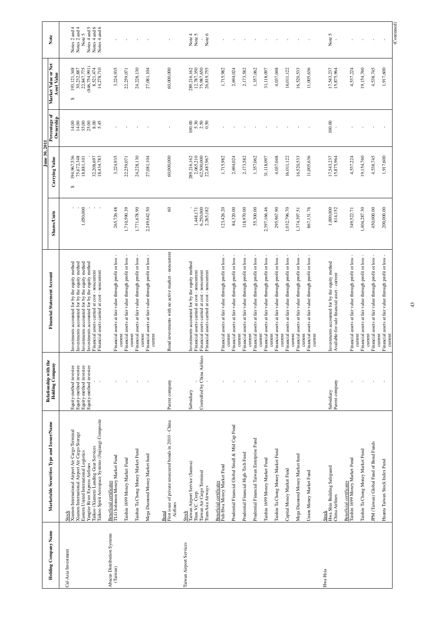|                             |                                                                                                            |                                                  |                                                                                                                                                 |                                     | June 30, 2011                         |                            |                                                  |                                                        |
|-----------------------------|------------------------------------------------------------------------------------------------------------|--------------------------------------------------|-------------------------------------------------------------------------------------------------------------------------------------------------|-------------------------------------|---------------------------------------|----------------------------|--------------------------------------------------|--------------------------------------------------------|
| Holding Company Name        | ecurities Type and Issuer/Name<br>Marketable S                                                             | Relationship with the<br><b>Holding Company</b>  | <b>Financial Statement Account</b>                                                                                                              | <b>Shares/Units</b>                 | Carrying Value                        | Percentage of<br>Ownership | Market Value or Net<br><b>Asset Value</b>        | Note                                                   |
| Cal-Asia Investment         |                                                                                                            |                                                  |                                                                                                                                                 |                                     |                                       |                            |                                                  |                                                        |
|                             | Stock<br>Xiamen International Airport Air Cargo Terminal<br>Xiamen International Airport Air Cargo Storage | Equity-method investee<br>Equity-method investee | Investments accounted for by the equity method<br>Investments accounted for by the equity method                                                |                                     | 194,967,536<br>75,672,348<br>↮        | 14.00<br>14.00             | 193, 121, 348<br>30,232,887<br>$\leftrightarrow$ | 4<br>4<br>Notes 2 and $\angle$<br>Notes 2 and $\angle$ |
|                             |                                                                                                            | Equity-method investee                           | Investments accounted for by the equity method                                                                                                  | 1,050,000                           | 18,881,101                            | 35.00                      | 22,847,775                                       | Note 5                                                 |
|                             | Taikoo (Xiamen) Landing Gear Services<br>Yangtze River Express Airlines                                    | Equity-method investee                           | Investments accounted for by the equity method<br>Financial assets carried at cost - noncurrent                                                 | $\mathbf{I}$                        | 32,208,697                            | 8.00                       | $(846,754,991)$<br>$8,521,474$                   | 5<br>Notes 4 and                                       |
|                             | Taikoo Spirit Aerospace Systems (Jinjiang) Composite                                                       |                                                  | Financial assets carried at cost - noncurrent                                                                                                   |                                     | 18,434,783                            | 5.45                       | 14,278,710                                       | Notes 4 and 6<br>Notes 4 and 6                         |
| Abacus Distribution Systems | <b>Beneficial certificates</b>                                                                             |                                                  |                                                                                                                                                 |                                     |                                       |                            |                                                  |                                                        |
| (Taiwan)                    | TLG Solomon Money Market Fund                                                                              |                                                  | Financial assets at fair value through profit or loss<br>current                                                                                | 265,726.48                          | 3,224,935                             |                            | 3,224,935                                        |                                                        |
|                             | Taishin 1699 Money Market Fund                                                                             |                                                  | Financial assets at fair value through profit or loss                                                                                           | 1,710,590.39                        | 22,259,071                            |                            | 22,259,071                                       |                                                        |
|                             | Taishin Ta Chong Money Market Fund                                                                         |                                                  | Financial assets at fair value through profit or loss<br>current                                                                                | 1,771,678.90                        | 24,228,130                            |                            | 24,228,130                                       |                                                        |
|                             | Mega Diamond Money Market fund                                                                             |                                                  | Financial assets at fair value through profit or loss<br>current<br>current                                                                     | 2,249,642.50                        | 27,081,104                            |                            | 27,081,104                                       |                                                        |
|                             | First issue of private unsecured bonds in 2010 - China<br>Airlines<br><b>Bond</b>                          | Parent company                                   | Bond investments with no active market - noncurrent                                                                                             | $\delta$                            | 60,000,000                            |                            | 60,000,000                                       |                                                        |
| Taiwan Airport Services     | Taiwan Airport Service (Samoa)<br>Stock                                                                    | Subsidiary                                       | Investments accounted for by the equity method                                                                                                  |                                     | 289,216,162                           | 100.00                     | 289,216,162                                      | Note 4<br>$\sim$                                       |
|                             | Taiwan Air Cargo Terminal<br>TransAsia Airways<br>Titan V.C. Corp.                                         | Controlled by China Airlines                     | Financial assets carried at cost - noncurrent<br>Financial assets carried at cost - noncurrent<br>Financial assets carried at cost - noncurrent | 6,250,000<br>2,265,182<br>1,448,171 | 2,065,210<br>62,500,000<br>22,487,967 | $5.30$<br>$2.50$<br>0.50   | 12,787,350<br>75,987,650<br>26,819,755           | Note 6<br>Note.                                        |
|                             | Fuh-Hwa Money Market Fund<br><b>Beneficial certificates</b>                                                |                                                  | Financial assets at fair value through profit or loss                                                                                           | 123,426.20                          | 1,715,982                             |                            | 1,715,982                                        |                                                        |
|                             | Prudential Financial Global Small & Mid Cap Fund                                                           |                                                  | Financial assets at fair value through profit or loss<br>current                                                                                | 84,320.00                           | 2,694,024                             |                            | 2,694,024                                        |                                                        |
|                             | Prudential Financial High-Tech Fund                                                                        | $\mathbf{I}$                                     | Financial assets at fair value through profit or loss<br>current                                                                                | 118,970.00                          | 2,173,582                             |                            | 2,173,582                                        |                                                        |
|                             | Prudential Financial Taiwan Enterprise Fund                                                                | $\mathbf{I}$                                     | Financial assets at fair value through profit or loss<br>current                                                                                | 55,300.00                           | 1,357,062                             |                            | 1,357,062                                        |                                                        |
|                             | Taishin 1699 Money Market Fund                                                                             |                                                  | Financial assets at fair value through profit or loss<br>current                                                                                | 2,397,166.46                        | 31,118,097                            |                            | 31,118,097                                       |                                                        |
|                             | Taishin Ta Chong Money Market Fund                                                                         |                                                  | Financial assets at fair value through profit or loss<br>current                                                                                | 295,967.90                          | 4,037,048                             |                            | 4,037,048                                        |                                                        |
|                             | ket Fund<br>Capital Money Mar                                                                              |                                                  | Financial assets at fair value through profit or loss<br>current                                                                                | ,032,796.70                         | 16,011,122                            |                            | 16,011,122                                       |                                                        |
|                             | Mega Diamond Money Market fund                                                                             |                                                  | Financial assets at fair value through profit or loss<br>current                                                                                | 1,374,397.51                        | 16,520,533                            | $\mathbf{I}$               | 16,520,533                                       | $\mathbf{I}$                                           |
|                             | Union Money Market Fund                                                                                    |                                                  | Financial assets at fair value through profit or loss<br>current<br>current                                                                     | 867,131.76                          | 11,005,636                            | $\mathbf{I}$               | 11,005,636                                       | $\overline{\phantom{a}}$                               |
| Hwa Hsia                    | Safeguard<br>Hwa Shin Building<br>China Airlines<br><b>Stock</b>                                           | Parent company<br>Subsidiary                     | Investments accounted for by the equity method<br>Available-for-sale financial asset - current                                                  | 1,000,000<br>814,152                | 17,543,237<br>15,875,964              | 100.00                     | 17,543,237<br>15,875,964                         | Note 5                                                 |
|                             | Taishin 1699 Money Market Fund<br><b>Beneficial certificates</b>                                           |                                                  | Financial assets at fair value through profit or loss                                                                                           | 349,522.71                          | 4,537,224                             |                            | 4,537,224                                        |                                                        |
|                             | Taishin Ta Chong Money Market Fund                                                                         |                                                  | Financial assets at fair value through profit or loss<br>current                                                                                | 1,404,287.30                        | 19,154,760                            |                            | 19,154,760                                       |                                                        |
|                             | al Fund of Bond Funds<br>JPM (Taiwan) Glob                                                                 |                                                  | Financial assets at fair value through profit or loss<br>current                                                                                | 450,000.00                          | 4,538,745                             |                            | 4,538,745                                        |                                                        |
|                             | Huanta Taiwan Stock Index Fund                                                                             | $\mathbf{I}$                                     | Financial assets at fair value through profit or loss<br>current<br>current                                                                     | 200,000.00                          | 1,917,600                             |                            | 1,917,600                                        |                                                        |
|                             |                                                                                                            |                                                  |                                                                                                                                                 |                                     |                                       |                            |                                                  | (Continued)                                            |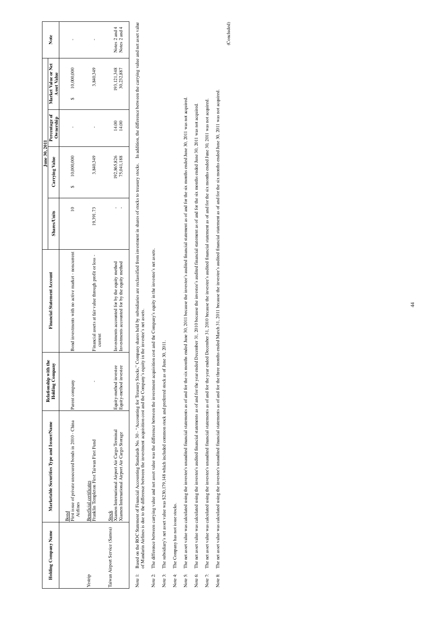|                                                         |                                                                                                                                                                                                                                                                                                                                                                                |                                                  |                                                                                                                                                                                                               |                     | June 30, 2011             |                            |                                           |                                   |
|---------------------------------------------------------|--------------------------------------------------------------------------------------------------------------------------------------------------------------------------------------------------------------------------------------------------------------------------------------------------------------------------------------------------------------------------------|--------------------------------------------------|---------------------------------------------------------------------------------------------------------------------------------------------------------------------------------------------------------------|---------------------|---------------------------|----------------------------|-------------------------------------------|-----------------------------------|
| Holding Company Name                                    | Marketable Securities Type and Issuer/Name                                                                                                                                                                                                                                                                                                                                     | Relationship with the<br><b>Holding Company</b>  | <b>Financial Statement Account</b>                                                                                                                                                                            | <b>Shares/Units</b> | Carrying Value            | Percentage of<br>Ownership | Market Value or Net<br><b>Asset Value</b> | Note                              |
|                                                         | First issue of private unsecured bonds in 2010 - China<br>Airlines<br><b>Bond</b>                                                                                                                                                                                                                                                                                              | Parent company                                   | Bond investments with no active market - noncurrent                                                                                                                                                           | $\approx$           | 10,000,000<br>↔           |                            | 10,000,000<br>↔                           |                                   |
| Yestrip                                                 | First Taiwan First Fund<br><b>Beneficial certificates</b><br>Franklin Templeton                                                                                                                                                                                                                                                                                                |                                                  | Financial assets at fair value through profit or loss -<br>current                                                                                                                                            | 19,391.73           | 3,840,349                 |                            | 3,840,349                                 |                                   |
| Taiwan Airport Service (Samoa)                          | Xiamen International Airport Air Cargo Terminal<br>Xiamen International Airport Air Cargo Storage<br>Stock                                                                                                                                                                                                                                                                     | Equity-method investee<br>Equity-method investee | Investments accounted for by the equity method<br>Investments accounted for by the equity method                                                                                                              | f,                  | 192,865,826<br>75,041,188 | 14.00<br>14.00             | 193,121,348<br>30,232,887                 | Notes 2 and 4<br>4<br>Notes 2 and |
| Note 1:                                                 | Based on the ROC Statement of Financial Accounting Standards No. 30 - "Accounting for Treasury shocks," Company shares held by subsidiaries are reclassified from investment in shares of stocks to treasury stocks. In additi<br>of Mandarin Airlines is due to the difference between the investment acquisition cost and the Company's equity in the investee's net assets. |                                                  |                                                                                                                                                                                                               |                     |                           |                            |                                           |                                   |
| Note 2:                                                 | The difference between carrying value and net asset value was the difference between the investment acquisition cost and the Company's equity in the investee's net assets.                                                                                                                                                                                                    |                                                  |                                                                                                                                                                                                               |                     |                           |                            |                                           |                                   |
| Note 3:                                                 | The subsidiary's net asset value was \$230,179,148 which included common stock and preferred stock as of June 30, 2011.                                                                                                                                                                                                                                                        |                                                  |                                                                                                                                                                                                               |                     |                           |                            |                                           |                                   |
| The Company has not issue stocks.<br>Note 4:            |                                                                                                                                                                                                                                                                                                                                                                                |                                                  |                                                                                                                                                                                                               |                     |                           |                            |                                           |                                   |
| Note 5:                                                 | The net asset value was calculated using the investee's unaudited financial statements as of and for the six months ended June 30, 2011 because the investee's audited financial statement as of and for the six months ended                                                                                                                                                  |                                                  |                                                                                                                                                                                                               |                     |                           |                            |                                           |                                   |
| The net asset value was calculated using the<br>Note 6: |                                                                                                                                                                                                                                                                                                                                                                                |                                                  | investee's audited financial statements as of and for the year ended December 31, 2010 because the investee's audited financial statement as of and for the six months ended June 30, 2011 was not acquired.  |                     |                           |                            |                                           |                                   |
| The net asset value was calculated using the<br>Note 7: |                                                                                                                                                                                                                                                                                                                                                                                |                                                  | investee's unaudited financial statements as of and for the year ended December 31, 2010 because the investee's audited financial statement as of and for the six months ended June 30, 2011 was not acquired |                     |                           |                            |                                           |                                   |

|         |                                   |                                                                                                                                                                                                                                   |                                                  |                                                                                                  |                     | June 30, 2011                   |                                        |                   |
|---------|-----------------------------------|-----------------------------------------------------------------------------------------------------------------------------------------------------------------------------------------------------------------------------------|--------------------------------------------------|--------------------------------------------------------------------------------------------------|---------------------|---------------------------------|----------------------------------------|-------------------|
|         | <b>Holding Company Name</b>       | Marketable Securities Type and Issuer/Name                                                                                                                                                                                        | Relationship with the<br><b>Holding Company</b>  | <b>Financial Statement Account</b>                                                               | <b>Shares/Units</b> | Carrying Value                  | Percentage of<br>Ownership             | ÅSS<br>Market     |
|         |                                   | First issue of private unsecured bonds in 2010 - China<br>Airlines<br>Bond                                                                                                                                                        | Parent company                                   | Bond investments with no active market - noncurrent                                              | $\overline{10}$     | 10,000,000<br>$\leftrightarrow$ |                                        | $\leftrightarrow$ |
| Yestrip |                                   | Franklin Templeton First Taiwan First Fund<br><b>Beneficial certificates</b>                                                                                                                                                      |                                                  | at fair value through profit or loss -<br>Financial assets<br>current                            | 19,391.73           | 3,840,349                       |                                        |                   |
|         | Taiwan Airport Service (Samoa)    | Xiamen International Airport Air Cargo Terminal<br>Xiamen International Airport Air Cargo Storage<br><b>Stock</b>                                                                                                                 | Equity-method investee<br>Equity-method investee | Investments accounted for by the equity method<br>Investments accounted for by the equity method | $\Gamma = -1$       | 192,865,826<br>75,041,188       | 14.00<br>14.00                         |                   |
| Note 1: |                                   | Based on the ROC Statement of Financial Accounting Standards No. 30 - "Accounting for Treasury Stocks," Company shares held by subsidiaries are reclassified from investment in shares of stocks to treasury stocks.<br>of Mandar |                                                  |                                                                                                  |                     |                                 | In addition, the difference between th |                   |
| Note 2: |                                   | The difference between carrying value and net asset value was the difference between the investment acquisition cost and the Company's equity in the investee's net assets.                                                       |                                                  |                                                                                                  |                     |                                 |                                        |                   |
| Note 3: |                                   | The subsidiary's net asset value was \$230,179,148 which included common stock and preferred stock as of June 30, 2011.                                                                                                           |                                                  |                                                                                                  |                     |                                 |                                        |                   |
| Note 4: | The Company has not issue stocks. |                                                                                                                                                                                                                                   |                                                  |                                                                                                  |                     |                                 |                                        |                   |
| Note 5: | The net                           | asset value was calculated using the investee's unaudited financial statements as of and for the six months ended June 30, 2011 because the investee's audited financial statement as of and for the six months ended June 30,    |                                                  |                                                                                                  |                     |                                 |                                        |                   |
| Note 6: | The net                           | asset value was calculated using the investee's audited financial statements as of and for the year ended December 31, 2010 because the investee's audited financial statement as of and for the six months ended June 30, 201    |                                                  |                                                                                                  |                     |                                 |                                        |                   |
| Note 7: | The net                           | asset value was calculated using the investee's unaudited financial statements as of and for the year ended December 31, 2010 because the investee's audited financial statement as of and for the six months ended June 30, 2    |                                                  |                                                                                                  |                     |                                 |                                        |                   |
| Note 8: | The net                           | asset value was calculated using the investee's unaudited financial statements as of and for the three months ended March 31, 2011 because the investee's audited financial statement as of and for the six months ended June     |                                                  |                                                                                                  |                     |                                 |                                        |                   |
|         |                                   |                                                                                                                                                                                                                                   |                                                  |                                                                                                  |                     |                                 |                                        |                   |
|         |                                   |                                                                                                                                                                                                                                   |                                                  |                                                                                                  |                     |                                 |                                        |                   |

(Concluded) (Concluded)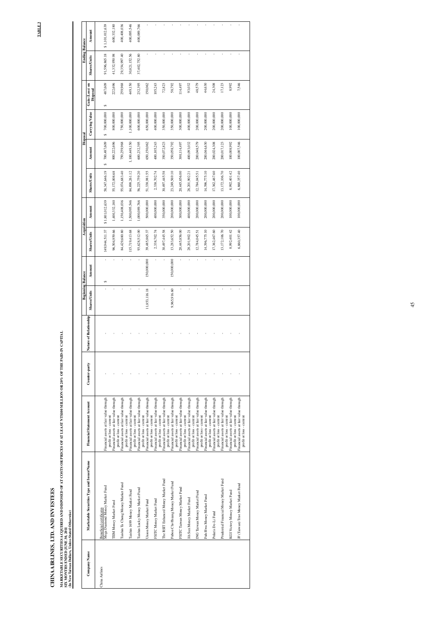TABLE 3 **TABLE 3** 

# CHINA AIRLINES, LTD. AND INVESTEES **CHINA AIRLINES, LTD. AND INVESTEES**

MARKETABLE SECURITIES ACQUIRED AND DISPOSED OF AT COSTS OR PR<br>SIX MONTHS ENDED JUNE 30, 2011<br>(In New Taiwan Dollars, Unless Stated Otherwise) **(In New Taiwan Dollars, Unless Stated Otherwise) SIX MONTHS ENDED JUNE 30, 2011** 

| i                                                                                                                                                                                                                              |
|--------------------------------------------------------------------------------------------------------------------------------------------------------------------------------------------------------------------------------|
|                                                                                                                                                                                                                                |
|                                                                                                                                                                                                                                |
|                                                                                                                                                                                                                                |
| ֚֚֬                                                                                                                                                                                                                            |
|                                                                                                                                                                                                                                |
|                                                                                                                                                                                                                                |
|                                                                                                                                                                                                                                |
|                                                                                                                                                                                                                                |
|                                                                                                                                                                                                                                |
|                                                                                                                                                                                                                                |
| l                                                                                                                                                                                                                              |
|                                                                                                                                                                                                                                |
| <br> <br> <br> <br>                                                                                                                                                                                                            |
| ׇ֚֘֡                                                                                                                                                                                                                           |
|                                                                                                                                                                                                                                |
| l                                                                                                                                                                                                                              |
|                                                                                                                                                                                                                                |
| ֖֖֖֧ׅׅ֧ׅ֧ׅ֖֧֧֚֚֚֚֚֚֚֚֚֚֚֚֚֚֚֚֚֚֚֚֚֚֚֚֚֚֚֚֚֚֡֝֝֬֝֬֓֬֝֬֝֓֬֝֓֬֝֬֝֬                                                                                                                                                                |
|                                                                                                                                                                                                                                |
| ֕                                                                                                                                                                                                                              |
|                                                                                                                                                                                                                                |
|                                                                                                                                                                                                                                |
|                                                                                                                                                                                                                                |
|                                                                                                                                                                                                                                |
|                                                                                                                                                                                                                                |
|                                                                                                                                                                                                                                |
|                                                                                                                                                                                                                                |
|                                                                                                                                                                                                                                |
|                                                                                                                                                                                                                                |
| l                                                                                                                                                                                                                              |
|                                                                                                                                                                                                                                |
| i<br>i                                                                                                                                                                                                                         |
| i                                                                                                                                                                                                                              |
|                                                                                                                                                                                                                                |
|                                                                                                                                                                                                                                |
|                                                                                                                                                                                                                                |
|                                                                                                                                                                                                                                |
| ֘֒                                                                                                                                                                                                                             |
|                                                                                                                                                                                                                                |
|                                                                                                                                                                                                                                |
|                                                                                                                                                                                                                                |
|                                                                                                                                                                                                                                |
|                                                                                                                                                                                                                                |
|                                                                                                                                                                                                                                |
|                                                                                                                                                                                                                                |
|                                                                                                                                                                                                                                |
|                                                                                                                                                                                                                                |
|                                                                                                                                                                                                                                |
|                                                                                                                                                                                                                                |
|                                                                                                                                                                                                                                |
|                                                                                                                                                                                                                                |
|                                                                                                                                                                                                                                |
| l                                                                                                                                                                                                                              |
| ׇ֘֒                                                                                                                                                                                                                            |
| ١                                                                                                                                                                                                                              |
|                                                                                                                                                                                                                                |
|                                                                                                                                                                                                                                |
|                                                                                                                                                                                                                                |
|                                                                                                                                                                                                                                |
|                                                                                                                                                                                                                                |
|                                                                                                                                                                                                                                |
|                                                                                                                                                                                                                                |
|                                                                                                                                                                                                                                |
|                                                                                                                                                                                                                                |
|                                                                                                                                                                                                                                |
| j<br>١                                                                                                                                                                                                                         |
|                                                                                                                                                                                                                                |
|                                                                                                                                                                                                                                |
|                                                                                                                                                                                                                                |
| l                                                                                                                                                                                                                              |
|                                                                                                                                                                                                                                |
| l                                                                                                                                                                                                                              |
| and the contract of the contract of the contract of the contract of the contract of the contract of the contract of the contract of the contract of the contract of the contract of the contract of the contract of the contra |
|                                                                                                                                                                                                                                |
|                                                                                                                                                                                                                                |
|                                                                                                                                                                                                                                |
|                                                                                                                                                                                                                                |
|                                                                                                                                                                                                                                |
|                                                                                                                                                                                                                                |
| l                                                                                                                                                                                                                              |
|                                                                                                                                                                                                                                |
|                                                                                                                                                                                                                                |
|                                                                                                                                                                                                                                |
|                                                                                                                                                                                                                                |
| ֖֖֖֖֢ׅ֪֪֪ׅ֪֪֪֦֚֚֚֚֚֚֚֚֚֚֚֚֚֚֚֬֝֘֝֓֡֡֡֓֡֬֓֡                                                                                                                                                                                     |
| ֚֚֚֚֬                                                                                                                                                                                                                          |
|                                                                                                                                                                                                                                |
|                                                                                                                                                                                                                                |
|                                                                                                                                                                                                                                |
|                                                                                                                                                                                                                                |
|                                                                                                                                                                                                                                |
|                                                                                                                                                                                                                                |
|                                                                                                                                                                                                                                |
|                                                                                                                                                                                                                                |
|                                                                                                                                                                                                                                |
| ׅ֘                                                                                                                                                                                                                             |
| ֕                                                                                                                                                                                                                              |
|                                                                                                                                                                                                                                |
| ׇ֚֘֝֬                                                                                                                                                                                                                          |
| ֖֖֖֖֧ׅ֖֧֖֧֧֪֧֪֧֚֚֚֚֚֚֚֚֚֚֚֚֚֚֚֚֚֚֚֚֚֚֚֚֚֚֚֚֚֚֡֝֝֓֞֝֓֞֝֬֝֬֝֬                                                                                                                                                                    |
|                                                                                                                                                                                                                                |
|                                                                                                                                                                                                                                |
|                                                                                                                                                                                                                                |
| <br> <br>                                                                                                                                                                                                                      |
| ť                                                                                                                                                                                                                              |
| .<br> <br>$\ddot{\phantom{a}}$                                                                                                                                                                                                 |

| Company Name   | Marketable Securities Type and Issuer/N                   |
|----------------|-----------------------------------------------------------|
| China Airlines | Mega Diamond Money Market Fund<br>Beneficial certificates |
|                | TIM Money Market Fund                                     |
|                | Taishin Ta Chong Money Market Fund                        |
|                | Taishin 1699 Money Market Fund                            |
|                | Taishin Lucky Money Market Fund                           |
|                | Union Money Market Fund                                   |
|                | FSITC Money Market Fund                                   |
|                | The RSIT Enhanced Money Market Fund                       |
|                | Fubon Chi-Hsiang Money Market Fund                        |
|                | FSITC Taiwan Money Market Fund                            |
|                | Jih Sun Money Market Fund                                 |
|                | ING Taiwan Money Market Fund                              |
|                | Fuh-Hwa Money Market Fund                                 |
|                | Polaris De-Li Fund                                        |
|                | Prudential Financial Money Market Fund                    |
|                | KGI Victory Money Market Fund                             |
|                | JF (Taiwan) Trist Money Market Fund                       |
|                |                                                           |

|              |                                            |                                                                    |               |                        | <b>Beginning Balance</b> |             | Acquisition         |                 |                     | Disposal         |                  |                            | <b>Ending Balance</b> |                 |
|--------------|--------------------------------------------|--------------------------------------------------------------------|---------------|------------------------|--------------------------|-------------|---------------------|-----------------|---------------------|------------------|------------------|----------------------------|-----------------------|-----------------|
| Company Name | Marketable Securities Type and Issuer/Name | Financial Statement Account                                        | Counter-party | Nature of Relationship | <b>Shares/Units</b>      | Amount      | <b>Shares/Units</b> | Amount          | <b>Shares/Units</b> | Amount           | Carrying Value   | Gain (Loss) on<br>Disposal | <b>Shares/Units</b>   | Amount          |
| dirlines     | Beneficial certificates                    |                                                                    |               |                        |                          |             |                     |                 |                     |                  |                  |                            |                       |                 |
|              | Mega Diamond Money Market Fund             | Financial assets at fair value through                             |               |                        |                          | S           | 149,944,511.37      | \$1,801,012,639 | 58,347,646.19       | 700,487,609<br>s | 700,000,000<br>Ģ | 487,609<br>↮               | 91,596,865.18         | \$1,101,012,639 |
|              | TIIM Money Market Fund                     | Financial assets at fair value through<br>profit or loss - current |               |                        |                          |             | 96,504,959.66       | 1,400,332,180   | 55,172,008.68       | 800,222,696      | 800,000,000      | 222,696                    | 41,332,950.98         | 600,332,180     |
|              | Taishin Ta Chong Money Market Fund         | Financial assets at fair value through<br>profit or loss - current |               |                        |                          |             | 84,429,680.80       | 1,150,408,036   | 55,074,683.40       | 750,259,968      | 750,000,000      | 259,968                    | 29,354,997.40         | 400,408,036     |
|              |                                            | profit or loss - current                                           |               |                        |                          |             |                     |                 |                     |                  |                  |                            |                       |                 |
|              | Taishin 1699 Money Market Fund             | Financial assets at fair value through<br>profit or loss - current |               |                        |                          |             | 115,719,413.68      | 1,500,095,546   | 84,898,261.12       | 1,100,449,150    | 1,100,000,000    | 449,150                    | 30,821,152.56         | 400,095,546     |
|              | Taishin Lucky Money Market Fund            | Financial assets at fair value through                             |               |                        |                          |             | 93,628,512.00       | 1,000,089,766   | 56,225,759.20       | 600,232,395      | 600,000,000      | 232,395                    | 37,402,752.80         | 400,089,766     |
|              | Union Money Market Fund                    | Financial assets at fair value through<br>profit or loss - current |               |                        | 11,853,116.18            | 150,000,000 | 39,485,865.37       | 500,000,000     | 51,338,981.55       | 650,150,062      | 650,000,000      | 150,062                    |                       |                 |
|              |                                            | profit or loss - current                                           |               |                        |                          |             |                     |                 |                     |                  |                  |                            |                       |                 |
|              | FSITC Money Market Fund                    | Financial assets at fair value through<br>profit or loss - current |               |                        |                          |             | 2,338,702.74        | 400,000,000     | 2,338,702.74        | 400,105,243      | 400,000,000      | 105,243                    |                       |                 |
|              | The RSIT Enhanced Money Market Fund        | Financial assets at fair value through                             |               |                        | ï                        |             | 30,497,445.58       | 350,000,000     | 30,497,445.58       | 350,072,823      | 350,000,000      | 72,823                     |                       |                 |
|              | Fubon Chi-Hsiang Money Market Fund         | Financial assets at fair value through<br>profit or loss - current |               |                        | 9,965,916.60             | 150,000,000 | 13,283,652.50       | 200,000,000     | 23,249,569.10       | 350,058,792      | 350,000,000      | 58,792                     |                       |                 |
|              | FSITC Taiwan Money Market Fund             | Financial assets at fair value through<br>profit or loss - current |               |                        |                          |             | 20,445,856.00       | 300,000,000     | 20,445,856.00       | 300,114,497      | 300,000,000      | 114,497                    |                       |                 |
|              |                                            | profit or loss - current                                           |               |                        |                          |             |                     |                 |                     |                  |                  |                            |                       |                 |
|              | Jih Sun Money Market Fund                  | Financial assets at fair value through                             |               |                        |                          |             | 28,201,902.21       | 400,000,000     | 28,201,902.21       | 400,093,032      | 400,000,000      | 93,032                     |                       |                 |
|              | ING Taiwan Money Market Fund               | Financial assets at fair value through<br>profit or loss - current |               |                        |                          |             | 12,784,045.51       | 200,000,000     | 12,784,045.51       | 200,048,579      | 200,000,000      | 48,579                     |                       |                 |
|              | Fuh-Hwa Money Market Fund                  | Financial assets at fair value through<br>profit or loss - current |               |                        |                          |             | 14,396,775.10       | 200,000,000     | 14,396,775.10       | 200,044,630      | 200,000,000      | 44,630                     |                       |                 |
|              | Polaris De-Li Fund                         | Financial assets at fair value through<br>profit or loss - current |               |                        |                          |             | 17,362,467.60       | 200,000,000     | 17,362,467.60       | 200,024,308      | 200,000,000      | 24,308                     |                       |                 |
|              |                                            | profit or loss - current                                           |               |                        |                          |             |                     |                 |                     |                  |                  |                            |                       |                 |
|              | Prudential Financial Money Market Fund     | Financial assets at fair value through                             |               |                        |                          |             | 13,172,106.70       | 200,000,000     | 13,172,106.70       | 200,017,123      | 200,000,000      | 17,123                     |                       |                 |
|              | KGI Victory Money Market Fund              | Financial assets at fair value through<br>profit or loss - current |               |                        |                          |             | 8,992,401.42        | 100,000,000     | 8,992,401.42        | 100,008,992      | 100,000,000      | 8,992                      |                       |                 |
|              |                                            | profit or loss - current                                           |               |                        |                          |             |                     |                 |                     |                  |                  |                            |                       |                 |
|              | JF (Taiwan) Trist Money Market Fund        | Financial assets at fair value through<br>profit or loss - current |               |                        |                          |             | 6,860,357.40        | 100,000,000     | 6,860,357.40        | 100,007,546      | 100,000,000      | 7,546                      |                       |                 |
|              |                                            |                                                                    |               |                        |                          |             |                     |                 |                     |                  |                  |                            |                       |                 |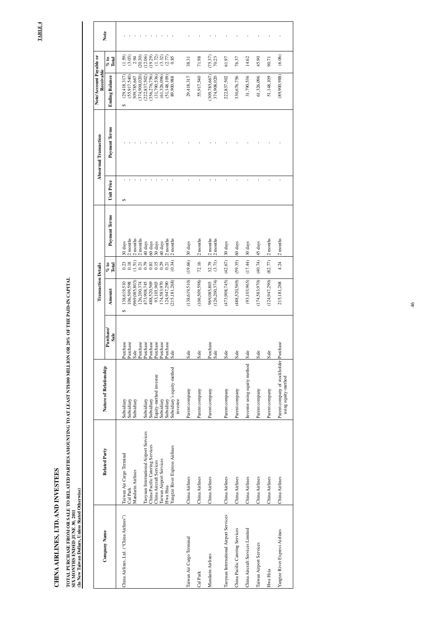TABLE 4 **TABLE 4** 

# CHINA AIRLINES, LTD. AND INVESTEES **CHINA AIRLINES, LTD. AND INVESTEES**

# TOTAL PURCHASE FROM OR SALE TO RELATED PARTIES AMOUNTING TO AT LEAST NT\$100 MILLION OR 20% OF THE PAID-IN CAPITAL<br>SIX MONTHS ENDED JUNE 30, 2011<br>(In New Taiwan Dollars, Unless Stated Otherwise) **(In New Taiwan Dollars, Unless Stated Otherwise) SIX MONTHS ENDED JUNE 30, 2011**

**TOTAL PURCHASE FROM OR SALE TO RELATED PARTIES AMOUNTING TO AT LEAST NT\$100 MILLION OR 20% OF THE PAID-IN CAPITAL** 

|                                         |                                            |                                                               |                  | <b>Transaction Details</b>     |                                                                      |                  |            | <b>Abnormal Transaction</b> | Note/Account Payable or<br>Receivable |                           |      |
|-----------------------------------------|--------------------------------------------|---------------------------------------------------------------|------------------|--------------------------------|----------------------------------------------------------------------|------------------|------------|-----------------------------|---------------------------------------|---------------------------|------|
| <b>Company Name</b>                     | <b>Related Party</b>                       | Nature of Relationship                                        | Purchase<br>Sale | Amount                         | $\frac{6}{2}$ to<br>Total                                            | Payment Terms    | Unit Price | Payment Terms               | <b>Ending Balance</b>                 | $\frac{6}{5}$ to<br>Total | Note |
| China Airlines, Ltd. ("China Airlines") | Taiwan Air Cargo Terminal                  | Subsidiary                                                    | Purchase         | 138,619,510<br>$\Theta$        |                                                                      | 30 days          | ↮          |                             | (29, 418, 317)<br>$\Theta$            | (1.59)                    |      |
|                                         | Cal Park                                   | Subsidiary                                                    | Purchase         | 106,509,598                    | $\frac{0.23}{0.18}$                                                  | 2 months         |            |                             | (55, 917, 540)                        | (3.03)                    |      |
|                                         | Mandarin Airlines                          | Subsidiary                                                    | Sale             | (969,085,803)                  |                                                                      | 2 months         |            |                             | 309,785,667                           | 2.94                      |      |
|                                         |                                            |                                                               | Purchase         | 126,200,374                    | $(1.51)$<br>$0.21$<br>$0.81$<br>$0.81$<br>$0.23$<br>$0.21$<br>$0.21$ | 2 months         |            |                             | 374,908,020                           | (20.30)                   |      |
|                                         | International Airport Services<br>Taoyuan  | Subsidiary                                                    | Purchase         | 473,908,745                    |                                                                      | 40 days          |            |                             | (222, 837, 502)                       | (12.06)                   |      |
|                                         | China Pacific Catering Services            | Subsidiary                                                    | Purchase         | 488,520,569                    |                                                                      | 60 days          |            |                             | 356,276,756                           | (19.29)                   |      |
|                                         | China Aircraft Services                    | Equity-method investee                                        | Purchase         | 93,103,965                     |                                                                      | 30 days          |            |                             | (31,790,536)                          | (1.72)                    |      |
|                                         | Taiwan Airport Services                    | Subsidiary                                                    | Purchase         | 174,583,970                    |                                                                      | 40 days          |            |                             | (61,326,096)                          | $(3.32)$<br>$(2.77)$      |      |
|                                         | Hwa Hsia                                   | Subsidiary                                                    | Purchase         | 124,947,290                    |                                                                      | 2 months         |            |                             | (51, 148, 109)                        |                           |      |
|                                         | <b>River Express Airlines</b><br>Yangtze I | Subsidiary's equity-method<br>investee                        | Sale             | (215, 181, 268)                | $\overline{c}$<br>(0.34)                                             | months           |            |                             | 89,900,988                            | 0.85                      |      |
| Taiwan Air Cargo Terminal               | China Airlines                             | Parent company                                                | Sale             | (138, 619, 510)                | (19.66)                                                              | 30 days          |            |                             | 29,418,317                            | 38.31                     |      |
| Cal Park                                | China Airlines                             | Parent company                                                | Sale             | (106, 509, 598)                | $\overline{C}$<br>72.16                                              | months           |            |                             | 55,917,540                            | 71.98                     |      |
| Mandarin Airlines                       | China Airlines                             | Parent company                                                | Purchase<br>Sale | (126, 200, 374)<br>969,085,803 | $\overline{c}$<br>$\overline{c}$<br>(3.71)<br>32.79                  | months<br>months |            |                             | (309, 785, 667)<br>374,908,020        | (75.37)<br>70.23          |      |
| Taoyuan International Airport Services  | China Airlines                             | Parent company                                                | Sale             | (473,908,745)                  | (42.67)                                                              | 30 days          |            |                             | 222,837,502                           | 61.97                     |      |
| China Pacific Catering Services         | China Airlines                             | Parent company                                                | Sale             | (488,520,569)                  | (59.35)                                                              | 60 days          |            |                             | 330,676,756                           | 76.37                     |      |
| China Aircraft Services Limited         | China Airlines                             | Investor using equity method                                  | Sale             | (93, 103, 965)                 | (17.44)                                                              | 30 days          |            |                             | 31,790,536                            | 14.62                     |      |
| Taiwan Airport Services                 | China Airlines                             | Parent company                                                | Sale             | (174, 583, 970)                | (40.74)                                                              | 45 days          |            |                             | 61,326,096                            | 45.90                     |      |
| Hwa Hsia                                | China Airlines                             | Parent company                                                | Sale             | (124, 947, 290)                | (82.77)                                                              | 2 months         |            |                             | 51,148,109                            | 90.71                     |      |
| Yangtze River Express Airlines          | China Airlines                             | Parent company of stockholder Purchase<br>using equity-method |                  | 215,181,268                    | $\overline{\mathbf{c}}$<br>4.24                                      | months           |            |                             | (89,900,988)                          | (6.06)                    |      |
|                                         |                                            |                                                               |                  |                                |                                                                      |                  |            |                             |                                       |                           |      |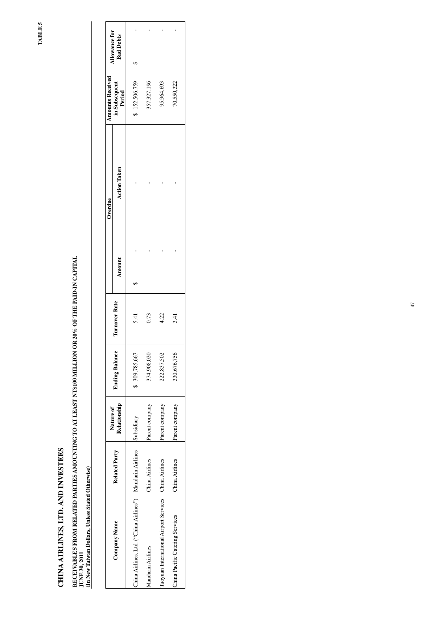# CHINA AIRLINES, LTD. AND INVESTEES **CHINA AIRLINES, LTD. AND INVESTEES**

# RECEIVABLES FROM RELATED PARTIES AMOUNTING TO AT LEAST NT\$100 MILLION OR 20% OF THE PAID-IN CAPITAL<br>JUNE 30, 2011<br>(In New Taiwan Dollars, Unless Stated Otherwise) **(In New Taiwan Dollars, Unless Stated Otherwise) JUNE 30, 2011**

**TABLE 5 TABLE 5** 

# **RECEIVABLES FROM RELATED PARTIES AMOUNTING TO AT LEAST NT\$100 MILLION OR 20% OF THE PAID-IN CAPITAL**

|                                         |                         | Nature of      |                       |               |        | Overdue             | <b>Amounts Received</b> | <b>Allowance for</b> |
|-----------------------------------------|-------------------------|----------------|-----------------------|---------------|--------|---------------------|-------------------------|----------------------|
| <b>Company Name</b>                     | <b>Related Party</b>    | Relationship   | <b>Ending Balance</b> | Turnover Rate | Amount | <b>Action Taken</b> | in Subsequent<br>Period | <b>Bad Debts</b>     |
| China Airlines, Ltd. ("China Airlines") | Mandarin Airlines       | Subsidiary     | \$ 309,785,667        | 5.41          |        |                     | \$152,506,759           |                      |
| Mandarin Airlines                       | China Airlines          | Parent company | 374,908,020           | 0.73          |        |                     | 357,327,196             |                      |
| Taoyuan International Airport Services  | na Airlines<br>ہے۔<br>ت | Parent company | 222,837,502           | 4.22          |        |                     | 95,964,693              |                      |
| China Pacific Catering Services         | China Airlines          | Parent company | 330,676,756           | 3.41          |        |                     | 70,550,322              |                      |
|                                         |                         |                |                       |               |        |                     |                         |                      |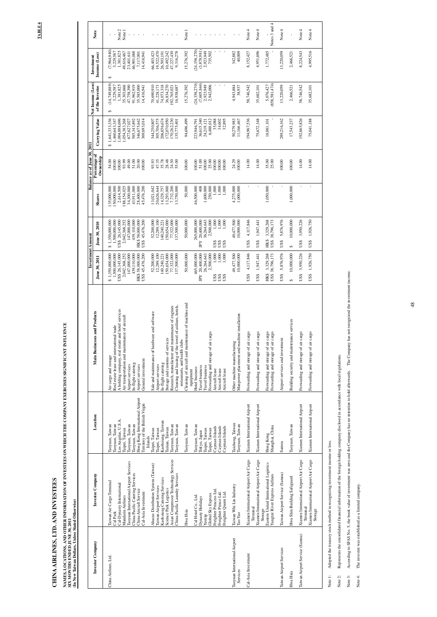TABLE 6 **TABLE 6** 

NAMES, LOCATIONS, AND OTHER INFORMATION OF INVESTEES ON WHICH THE COMPANY EXERCISES SIGNIFICANT INFLUENCE

# CHINA AIRLINES, LTD. AND INVESTEES **CHINA AIRLINES, LTD. AND INVESTEES**

**NAMES, LOCATIONS, AND OTHER INFORMATION OF INVESTEES ON WHICH THE COMPANY EXERCISES SIGNIFICANT INFLUENCE** 

|                                           |                                                               |                                                    |                                                                                                | Investmer                                | nt Amount                        |                          | Balance as of June 30, 2011 |                                |                                      |                             |                                  |
|-------------------------------------------|---------------------------------------------------------------|----------------------------------------------------|------------------------------------------------------------------------------------------------|------------------------------------------|----------------------------------|--------------------------|-----------------------------|--------------------------------|--------------------------------------|-----------------------------|----------------------------------|
| Investor Company                          | Investee Company                                              | Location                                           | Main Businesses and Products                                                                   | June 30, 2011                            | June 30, 2010                    | Shares                   | Percentage of<br>Ownership  | Carrying Value                 | Net Income (Loss)<br>of the Investee | Income (Loss)<br>Investment | Note                             |
| China Airlines, Ltd.                      | Taiwan Air Cargo Terminal                                     | Taoyuan, Taiwan                                    | Air cargo and storage                                                                          | \$1,350,000,000                          | \$1,350,000,000                  | 135,000,000              | 54.00                       | 1,641,333,336<br>$\Theta$      | (14,749,889)<br>$\Theta$             | (7,964,940)<br>↮            |                                  |
|                                           | Cal-Dynasty Internationa<br>Cal Park                          | Los Angelas, U.S.A.<br>Taoyuan, Taiwan             | A holding company, real estate and hotel services<br>Real estate lease and international trade | 1,500,000,000<br>US\$ 26,145,000         | 1,500,000,000<br>US\$ 26,145,000 | 150,000,000<br>2,614,500 | 100.00<br>100.00            | 1,004,888,696<br>1,460,643,347 | 1,381,825<br>3,229,587               | 1,381,825<br>3,229,587      | Note 2                           |
|                                           | Mandarin Airlines                                             | Taipei, Taiwan                                     | Air transportation and maintenance of aircraft                                                 | 2,042,368,252                            | 2,042,368,252                    | 188,154,025              | 93.99                       | 1,054,383,268                  | 35,303,666                           | 49,616,467                  | Note 1                           |
|                                           | rport Services<br>Taoyuan International Ai                    | Taoyuan, Taiwan                                    | Airport services                                                                               | 147,000,000                              | 147,000,000                      | 34,300,000               | 49.00                       | 677,627,027                    | 47,758,390                           | 23,401,611                  | 1                                |
|                                           | ervices<br>China Pacific Catering S<br>China Aircraft Service | Hong Kong International Airport<br>Taoyuan, Taiwan | In-flight catering<br>Airport services                                                         | 439,110,000<br>HK\$58,000,000            | HK\$58,000,000<br>439,110,000    | 43,911,000<br>28,400,000 | 51.00<br>20.00              | 585,343,892<br>346,675,642     | 91,962,919<br>35,585,000             | 46,901,088<br>7,117,001     | $\mathbf{I}$                     |
|                                           | Cal-Asia Investment                                           | Territory of the British Virgin                    | General investment                                                                             | US\$ 45,476,200                          | US\$ 45,476,200                  | 45,476,200               | 00.00                       | 369,693,014                    | 14,416,941                           | 14,416,941                  | $\mathbf{1}=\mathbf{1}$          |
|                                           |                                                               | Islands                                            |                                                                                                |                                          |                                  |                          |                             |                                |                                      |                             |                                  |
|                                           | Abacus Distribution System (Taiwan)                           | Taipei, Taiwan                                     | Sale and maintenance of hardware and software                                                  | 52,200,000                               | 52,200,000                       | 13,021,042               | 93.93                       | 344,250,807                    | 70,690,910                           | 66,403,423                  | $\Gamma_{\rm c} = 1$             |
|                                           | Kaohsiung Catering Services<br>Taiwan Airport Services        | Kaohsiung, Taiwan<br>Taipei, Taiwan                | In-flight catering<br>Airport services                                                         | 12,289,100<br>40,240,221                 | 12,289,100<br>140,240,221        | 20,626,644<br>14,329,757 | 35.78<br>47.35              | 305,706,575<br>206,856,674     | 41,228,173<br>74,073,318             | 19,522,470<br>26,503,191    |                                  |
|                                           | Science Park Logistics                                        | Tainan, Taiwan                                     | Storage and customs of services                                                                | 150,654,000                              | 150,654,000                      | 13,293,000               | 28.48                       | 172,070,950                    | 36,834,270                           | 10,492,242                  | $\sim 10^{-1}$ H $_\odot$ . The  |
|                                           | Asian Compressor Technology Services                          | Taoyuan, Taiwan                                    | Research, manufacture and maintenance of engines                                               | 77,322,000                               | 77,322,000                       | 7,732,200                | 24.50                       | 170,262,230                    | 192,765,021                          | 47,227,430                  |                                  |
|                                           | China Pacific Laundry Services                                | Taoyuan, Taiwan                                    | Cleaning and leasing of the towel of airlines, hotels,                                         | 137,500,000                              | 137,500,000                      | 13,750,000               | 55.00                       | 135,775,401                    | 16,938,687                           | 9,316,278                   |                                  |
|                                           | Hwa Hsia                                                      | Taoyuan, Taiwan                                    | Cleaning of aircraft and maintenance of machine and<br>restaurants, and health clubs           | 50,000,000                               | 50,000,000                       | 50,000                   | 100.00                      | 94,696,499                     | 15,276,392                           | 15,276,392                  | Note 1                           |
|                                           |                                                               |                                                    | equipment                                                                                      |                                          |                                  |                          |                             |                                |                                      |                             |                                  |
|                                           | Cal Hotel Co., Ltd.                                           | Taoyuan, Taiwan                                    | Hotel business                                                                                 | 465,000,000                              | 265,000,000                      | 46,500,000               | 00.00                       | 223,946,791                    | (24,358,270)                         | (24,358,270)                | $\mathbf{I}$                     |
|                                           | Dynasty Holidays                                              | Tokyo, Japan                                       | Travel business                                                                                | 20,400,000<br>26,264,643<br>$_{\rm{PY}}$ | 20,400,000<br>ΡY                 | 1,600,000<br>408         | 51.00                       | 36,615,340                     | (7,605,844)<br>2,923,949             | (3,878,981)                 |                                  |
|                                           | Global Sky Express<br>Yestrip                                 | Taipei, Taiwan<br>Taipei, Taiwan                   | Forwarding and storage of air cargo<br>Travel business                                         | 2,500,000                                | 36,264,643<br>2,500,000          | 250,000                  | 100.00<br>25.00             | 24,219,121<br>6,488,012        | 2,942,006                            | 2,923,949<br>735,502        | $\mathbf{1}=\mathbf{1}$          |
|                                           | Freighter Princess Ltd.                                       | Cayman Islands                                     | Aircraft lease                                                                                 | 1,000<br>US\$                            | 1,000<br>JS\$                    | 1,000                    | 00.00                       | 35,088                         |                                      |                             |                                  |
|                                           | Freighter Prince Ltd.<br>Freighter Queen Ltd.                 | Cayman Islands<br>Cayman Islands                   | Aircraft lease<br>Aircraft lease                                                               | 1,000<br>1,000<br>US\$<br>US\$           | 1,000<br>1,000<br>US\$<br>US\$   | $1,000$<br>1,000         | 100.00<br> 00.00            | 34,602<br>32,895               | $\blacksquare$                       | $\mathbf{I}$                | $\sim 10^{-1}$ , $10^{-1}$ , $1$ |
|                                           |                                                               |                                                    |                                                                                                |                                          |                                  |                          |                             |                                |                                      |                             |                                  |
| Taoyuan International Airport<br>Services | Taiwan Whi Lin Industry<br>Tao Yao                            | Taichung, Taiwan<br>Taoyuan, Taiwan                | Manpower placement and machine installation<br>Other machine manufacturing                     | 49,477,500<br>10,000,000                 | 49,477,500<br>10,000,000         | 4,275,000<br>1,000,000   | 24.29<br>100.00             | 50,279,983<br>11,166,467       | 4,943,884<br>38,937                  | 342,882<br>40,009           | $\mathbf{I}$                     |
| Cal-Asia Investment                       | Xiamen International Airport Air Cargo                        | Xiamen International Airport                       | Forwarding and storage of air cargo                                                            | 4,117,846<br>US\$                        | 4,117,846<br>US\$                |                          | 14.00                       | 194,967,536                    | 58,746,542                           | 8,152,427                   | Note 4                           |
|                                           | Xiamen International Airport Air Cargo<br>Terminal            | Xiamen International Airport                       | Forwarding and storage of air cargo                                                            | 1,947,441<br>US\$                        | 1,947,441<br>US\$                |                          | 14.00                       | 75,672,348                     | 35,682,101                           | 4,951,696                   | Note 4                           |
|                                           | Eastern United International Logistics<br>Storage             | Hong Kong                                          | Forwarding and storage of air cargo                                                            | 3,329,268<br><b>HK\$</b>                 | 3,329,268<br>HK\$                | 1,050,000                | 35.00                       | 18,881,101                     | 5,076,427                            | 1,772,485                   |                                  |
|                                           | Yangtze River Express Airlines                                | Shanghai, China                                    | Forwarding and storage of air cargo                                                            | US\$ 38,796,173                          | US\$ 38,796,173                  |                          | 25.00                       |                                | (858, 581, 474)                      |                             | Notes 3 and 4                    |
| Taiwan Airport Services                   | Taiwan Airport Service (Samoa)                                | Samoa                                              | Airport services and investment                                                                | 5,876,976<br>US\$                        | 5,876,976<br>US\$                |                          | 100.00                      | 289,216,162                    | 13,220,059                           | 13,220,059                  | Note 4                           |
| Hwa Hsia                                  | Hwa Shin Building Safeguard                                   | Taoyuan, Taiwan                                    | Building security and maintenance services                                                     | 10,000,000<br>↮                          | 10,000,000<br>↮                  | 1,000,000                | 100.00                      | 17,543,237                     | 2,466,521                            | 2,466,521                   |                                  |
| Taiwan Airport Service (Samoa)            | Xiamen International Airport Air Cargo                        | Xiamen International Airport                       | Forwarding and storage of air cargo                                                            | 3,950,226<br>US\$                        | 3,950,226<br>US\$                |                          | 14.00                       | 192,865,826                    | 58,746,542                           | 8,224,543                   | Note 4                           |
|                                           | Xiamen International Airport Air Cargo<br>Terminal<br>Storage | Xiamen International Airport                       | Forwarding and storage of air cargo                                                            | 1,926,750<br>US\$                        | 1,926,750<br>US\$                |                          | 14.00                       | 75,041,188                     | 35,682,101                           | 4,995,516                   | Note $4$                         |
|                                           |                                                               |                                                    |                                                                                                |                                          |                                  |                          |                             |                                |                                      |                             |                                  |

According to SFAS No. 5, the book value of investment was zero and the Company has no intention to hold afterwards. The Company has not recognized the investment income. Note 3: According to SFAS No. 5, the book value of investment was zero and the Company has not obold afterwards. The Company has not recognized the investment income. Represents the consolidated financial information of the foreign holding company disclosed in accordance with local regulations. Note 2: Represents the consolidated financial information of the foreign holding company disclosed in accordance with local regulations. Note 1: Adopted the treasury stock method in recognizing investment income or loss. Adopted the treasury stock method in recognizing investment income or loss. The investee was established as a limited company. Note 4: The investee was established as a limited company. Note 1: Note 2: Note 3: Note 4: